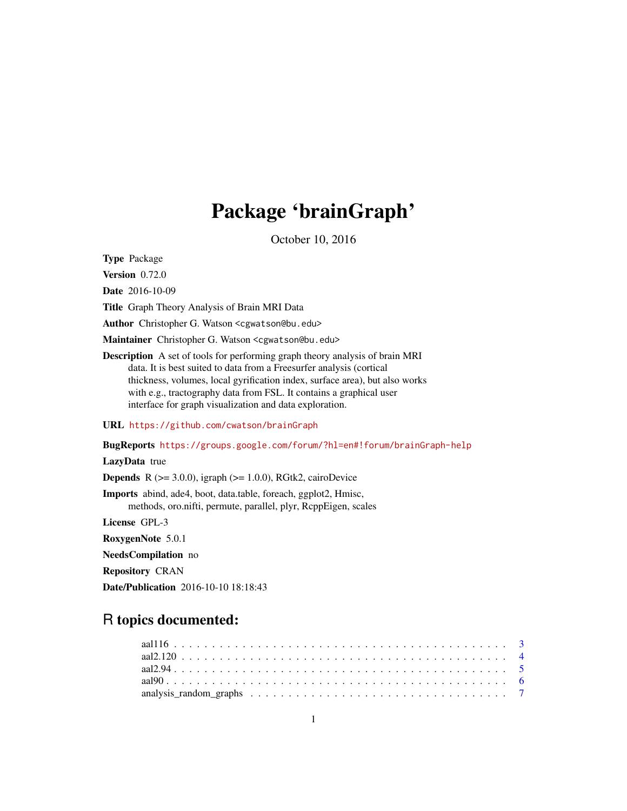# Package 'brainGraph'

October 10, 2016

<span id="page-0-0"></span>Type Package

Version 0.72.0

Date 2016-10-09

Title Graph Theory Analysis of Brain MRI Data

Author Christopher G. Watson <cgwatson@bu.edu>

Maintainer Christopher G. Watson <cgwatson@bu.edu>

Description A set of tools for performing graph theory analysis of brain MRI data. It is best suited to data from a Freesurfer analysis (cortical thickness, volumes, local gyrification index, surface area), but also works with e.g., tractography data from FSL. It contains a graphical user interface for graph visualization and data exploration.

URL <https://github.com/cwatson/brainGraph>

BugReports <https://groups.google.com/forum/?hl=en#!forum/brainGraph-help>

## LazyData true

**Depends** R  $(>= 3.0.0)$ , igraph  $(>= 1.0.0)$ , RGtk2, cairoDevice

Imports abind, ade4, boot, data.table, foreach, ggplot2, Hmisc, methods, oro.nifti, permute, parallel, plyr, RcppEigen, scales

License GPL-3

RoxygenNote 5.0.1

NeedsCompilation no

Repository CRAN

Date/Publication 2016-10-10 18:18:43

## R topics documented: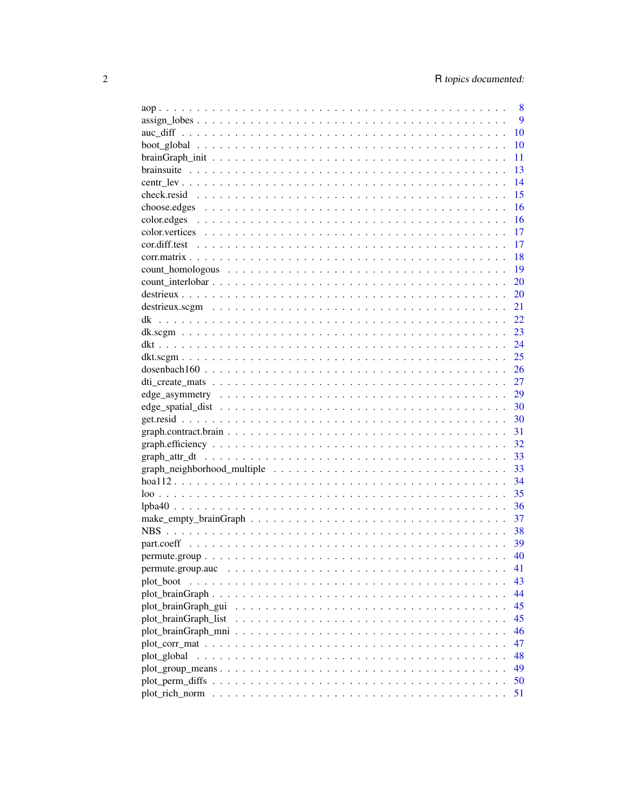|                      | 8        |
|----------------------|----------|
|                      | 9        |
|                      | 10       |
|                      | 10       |
|                      | 11       |
|                      | 13       |
|                      | 14       |
|                      | 15       |
|                      | 16       |
|                      | 16       |
|                      | 17       |
|                      | 17       |
|                      | 18       |
|                      | 19       |
|                      | 20       |
|                      | 20       |
|                      | 21       |
|                      | 22       |
|                      | 23       |
|                      | 24       |
|                      | 25       |
| dosenbach160         | 26       |
|                      | 27       |
|                      | 29       |
|                      | 30       |
|                      | -30      |
|                      | 31       |
|                      | 32       |
|                      | 33       |
|                      | 33       |
|                      | 34       |
|                      | 35       |
|                      | 36       |
|                      | 37       |
|                      | -38      |
|                      |          |
|                      | 39<br>40 |
|                      |          |
|                      | 41       |
| plot_boot            | 43       |
|                      | 44       |
|                      | 45       |
| plot_brainGraph_list | 45       |
|                      | 46       |
|                      | 47       |
|                      | 48       |
|                      | 49       |
|                      | 50       |
|                      | 51       |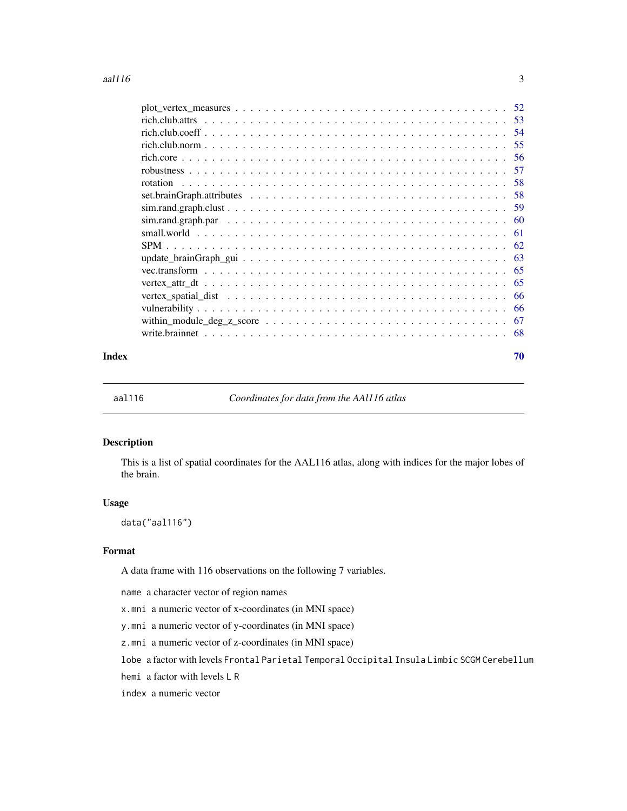<span id="page-2-0"></span>

| Index | 70 |
|-------|----|

aal116 *Coordinates for data from the AAl116 atlas*

## Description

This is a list of spatial coordinates for the AAL116 atlas, along with indices for the major lobes of the brain.

## Usage

data("aal116")

## Format

A data frame with 116 observations on the following 7 variables.

name a character vector of region names

x.mni a numeric vector of x-coordinates (in MNI space)

y.mni a numeric vector of y-coordinates (in MNI space)

z.mni a numeric vector of z-coordinates (in MNI space)

lobe a factor with levels Frontal Parietal Temporal Occipital Insula Limbic SCGM Cerebellum

hemi a factor with levels L R

index a numeric vector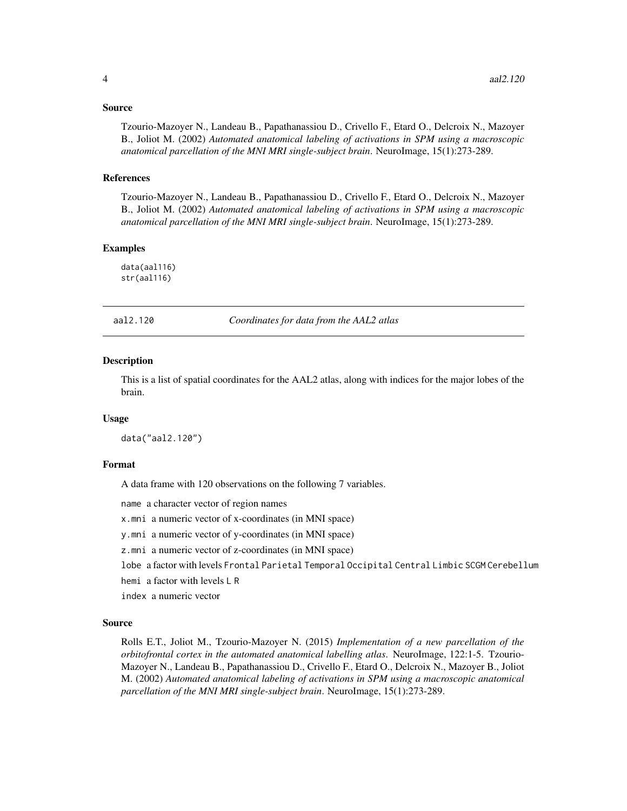#### <span id="page-3-0"></span>Source

Tzourio-Mazoyer N., Landeau B., Papathanassiou D., Crivello F., Etard O., Delcroix N., Mazoyer B., Joliot M. (2002) *Automated anatomical labeling of activations in SPM using a macroscopic anatomical parcellation of the MNI MRI single-subject brain*. NeuroImage, 15(1):273-289.

#### References

Tzourio-Mazoyer N., Landeau B., Papathanassiou D., Crivello F., Etard O., Delcroix N., Mazoyer B., Joliot M. (2002) *Automated anatomical labeling of activations in SPM using a macroscopic anatomical parcellation of the MNI MRI single-subject brain*. NeuroImage, 15(1):273-289.

## Examples

data(aal116) str(aal116)

aal2.120 *Coordinates for data from the AAL2 atlas*

#### **Description**

This is a list of spatial coordinates for the AAL2 atlas, along with indices for the major lobes of the brain.

#### Usage

data("aal2.120")

#### Format

A data frame with 120 observations on the following 7 variables.

name a character vector of region names

x.mni a numeric vector of x-coordinates (in MNI space)

y.mni a numeric vector of y-coordinates (in MNI space)

z.mni a numeric vector of z-coordinates (in MNI space)

lobe a factor with levels Frontal Parietal Temporal Occipital Central Limbic SCGM Cerebellum

hemi a factor with levels L R

index a numeric vector

## Source

Rolls E.T., Joliot M., Tzourio-Mazoyer N. (2015) *Implementation of a new parcellation of the orbitofrontal cortex in the automated anatomical labelling atlas*. NeuroImage, 122:1-5. Tzourio-Mazoyer N., Landeau B., Papathanassiou D., Crivello F., Etard O., Delcroix N., Mazoyer B., Joliot M. (2002) *Automated anatomical labeling of activations in SPM using a macroscopic anatomical parcellation of the MNI MRI single-subject brain*. NeuroImage, 15(1):273-289.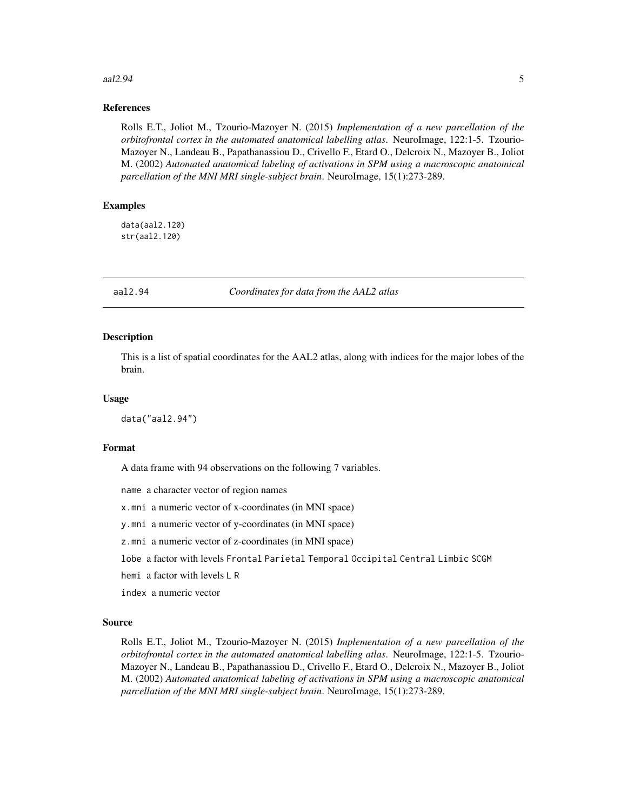#### <span id="page-4-0"></span> $a$ aal2.94 5

## References

Rolls E.T., Joliot M., Tzourio-Mazoyer N. (2015) *Implementation of a new parcellation of the orbitofrontal cortex in the automated anatomical labelling atlas*. NeuroImage, 122:1-5. Tzourio-Mazoyer N., Landeau B., Papathanassiou D., Crivello F., Etard O., Delcroix N., Mazoyer B., Joliot M. (2002) *Automated anatomical labeling of activations in SPM using a macroscopic anatomical parcellation of the MNI MRI single-subject brain*. NeuroImage, 15(1):273-289.

## Examples

data(aal2.120) str(aal2.120)

aal2.94 *Coordinates for data from the AAL2 atlas*

#### Description

This is a list of spatial coordinates for the AAL2 atlas, along with indices for the major lobes of the brain.

#### Usage

data("aal2.94")

#### Format

A data frame with 94 observations on the following 7 variables.

name a character vector of region names

x.mni a numeric vector of x-coordinates (in MNI space)

y.mni a numeric vector of y-coordinates (in MNI space)

z.mni a numeric vector of z-coordinates (in MNI space)

lobe a factor with levels Frontal Parietal Temporal Occipital Central Limbic SCGM

hemi a factor with levels L R

index a numeric vector

#### Source

Rolls E.T., Joliot M., Tzourio-Mazoyer N. (2015) *Implementation of a new parcellation of the orbitofrontal cortex in the automated anatomical labelling atlas*. NeuroImage, 122:1-5. Tzourio-Mazoyer N., Landeau B., Papathanassiou D., Crivello F., Etard O., Delcroix N., Mazoyer B., Joliot M. (2002) *Automated anatomical labeling of activations in SPM using a macroscopic anatomical parcellation of the MNI MRI single-subject brain*. NeuroImage, 15(1):273-289.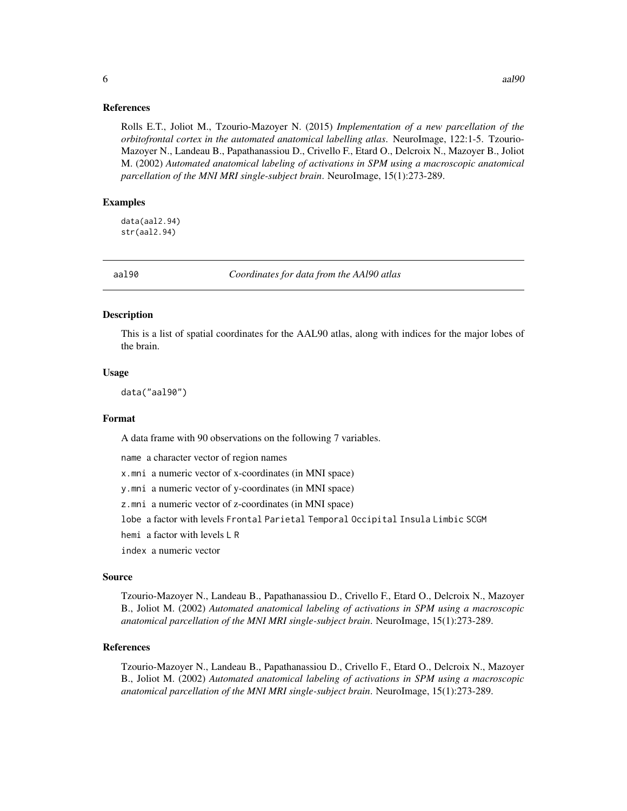<span id="page-5-0"></span>Rolls E.T., Joliot M., Tzourio-Mazoyer N. (2015) *Implementation of a new parcellation of the orbitofrontal cortex in the automated anatomical labelling atlas*. NeuroImage, 122:1-5. Tzourio-Mazoyer N., Landeau B., Papathanassiou D., Crivello F., Etard O., Delcroix N., Mazoyer B., Joliot M. (2002) *Automated anatomical labeling of activations in SPM using a macroscopic anatomical parcellation of the MNI MRI single-subject brain*. NeuroImage, 15(1):273-289.

#### Examples

data(aal2.94) str(aal2.94)

aal90 *Coordinates for data from the AAl90 atlas*

#### Description

This is a list of spatial coordinates for the AAL90 atlas, along with indices for the major lobes of the brain.

#### Usage

data("aal90")

#### Format

A data frame with 90 observations on the following 7 variables.

name a character vector of region names

x.mni a numeric vector of x-coordinates (in MNI space)

y.mni a numeric vector of y-coordinates (in MNI space)

z.mni a numeric vector of z-coordinates (in MNI space)

lobe a factor with levels Frontal Parietal Temporal Occipital Insula Limbic SCGM

hemi a factor with levels L R

index a numeric vector

#### Source

Tzourio-Mazoyer N., Landeau B., Papathanassiou D., Crivello F., Etard O., Delcroix N., Mazoyer B., Joliot M. (2002) *Automated anatomical labeling of activations in SPM using a macroscopic anatomical parcellation of the MNI MRI single-subject brain*. NeuroImage, 15(1):273-289.

## References

Tzourio-Mazoyer N., Landeau B., Papathanassiou D., Crivello F., Etard O., Delcroix N., Mazoyer B., Joliot M. (2002) *Automated anatomical labeling of activations in SPM using a macroscopic anatomical parcellation of the MNI MRI single-subject brain*. NeuroImage, 15(1):273-289.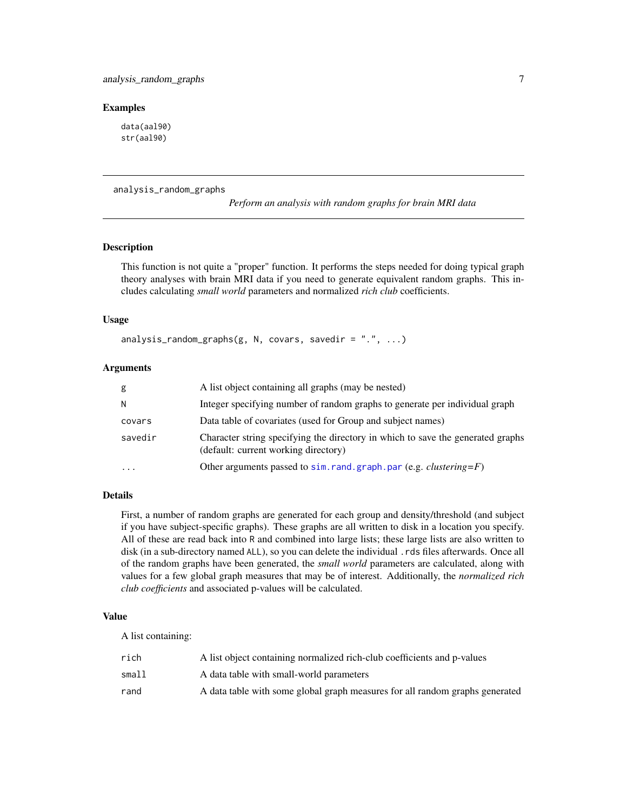#### <span id="page-6-0"></span>Examples

data(aal90) str(aal90)

analysis\_random\_graphs

*Perform an analysis with random graphs for brain MRI data*

## Description

This function is not quite a "proper" function. It performs the steps needed for doing typical graph theory analyses with brain MRI data if you need to generate equivalent random graphs. This includes calculating *small world* parameters and normalized *rich club* coefficients.

#### Usage

analysis\_random\_graphs(g, N, covars, savedir =  $".", ...$ )

## Arguments

| g         | A list object containing all graphs (may be nested)                                                                     |
|-----------|-------------------------------------------------------------------------------------------------------------------------|
| N         | Integer specifying number of random graphs to generate per individual graph                                             |
| covars    | Data table of covariates (used for Group and subject names)                                                             |
| savedir   | Character string specifying the directory in which to save the generated graphs<br>(default: current working directory) |
| $\ddotsc$ | Other arguments passed to $sim$ . rand. graph. par (e.g. <i>clustering</i> = $F$ )                                      |
|           |                                                                                                                         |

## Details

First, a number of random graphs are generated for each group and density/threshold (and subject if you have subject-specific graphs). These graphs are all written to disk in a location you specify. All of these are read back into R and combined into large lists; these large lists are also written to disk (in a sub-directory named ALL), so you can delete the individual .rds files afterwards. Once all of the random graphs have been generated, the *small world* parameters are calculated, along with values for a few global graph measures that may be of interest. Additionally, the *normalized rich club coefficients* and associated p-values will be calculated.

#### Value

A list containing:

| rich  | A list object containing normalized rich-club coefficients and p-values      |
|-------|------------------------------------------------------------------------------|
| small | A data table with small-world parameters                                     |
| rand  | A data table with some global graph measures for all random graphs generated |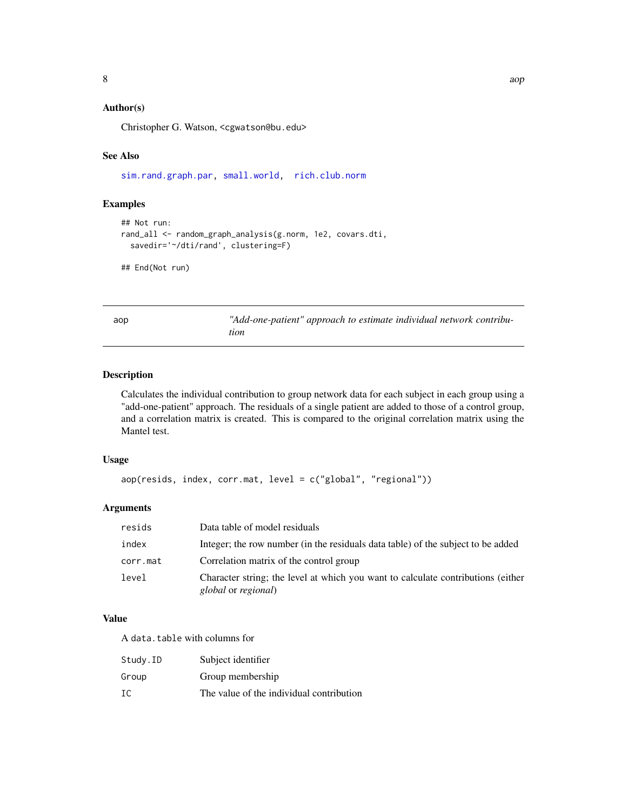## <span id="page-7-0"></span>Author(s)

Christopher G. Watson, <cgwatson@bu.edu>

## See Also

[sim.rand.graph.par,](#page-59-1) [small.world,](#page-60-1) [rich.club.norm](#page-54-1)

## Examples

```
## Not run:
rand_all <- random_graph_analysis(g.norm, 1e2, covars.dti,
  savedir='~/dti/rand', clustering=F)
```
## End(Not run)

aop *"Add-one-patient" approach to estimate individual network contribution*

## Description

Calculates the individual contribution to group network data for each subject in each group using a "add-one-patient" approach. The residuals of a single patient are added to those of a control group, and a correlation matrix is created. This is compared to the original correlation matrix using the Mantel test.

#### Usage

```
aop(resids, index, corr.mat, level = c("global", "regional"))
```
## Arguments

| resids   | Data table of model residuals                                                                           |
|----------|---------------------------------------------------------------------------------------------------------|
| index    | Integer; the row number (in the residuals data table) of the subject to be added                        |
| corr.mat | Correlation matrix of the control group                                                                 |
| level    | Character string; the level at which you want to calculate contributions (either<br>global or regional) |

#### Value

A data.table with columns for

| Study.ID | Subject identifier                       |
|----------|------------------------------------------|
| Group    | Group membership                         |
| IC       | The value of the individual contribution |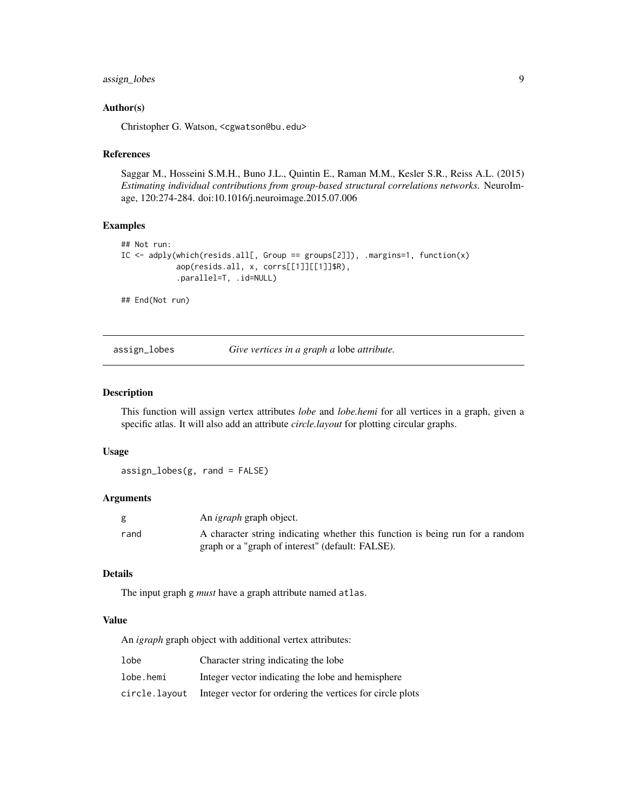## <span id="page-8-0"></span>assign\_lobes 9

### Author(s)

Christopher G. Watson, <cgwatson@bu.edu>

#### References

Saggar M., Hosseini S.M.H., Buno J.L., Quintin E., Raman M.M., Kesler S.R., Reiss A.L. (2015) *Estimating individual contributions from group-based structural correlations networks*. NeuroImage, 120:274-284. doi:10.1016/j.neuroimage.2015.07.006

## Examples

```
## Not run:
IC <- adply(which(resids.all[, Group == groups[2]]), .margins=1, function(x)
            aop(resids.all, x, corrs[[1]][[1]]$R),
            .parallel=T, .id=NULL)
```
## End(Not run)

assign\_lobes *Give vertices in a graph a* lobe *attribute.*

#### Description

This function will assign vertex attributes *lobe* and *lobe.hemi* for all vertices in a graph, given a specific atlas. It will also add an attribute *circle.layout* for plotting circular graphs.

#### Usage

assign\_lobes(g, rand = FALSE)

#### Arguments

| g    | An <i>igraph</i> graph object.                                                |
|------|-------------------------------------------------------------------------------|
| rand | A character string indicating whether this function is being run for a random |
|      | graph or a "graph of interest" (default: FALSE).                              |

## Details

The input graph g *must* have a graph attribute named atlas.

## Value

An *igraph* graph object with additional vertex attributes:

| lobe          | Character string indicating the lobe                      |
|---------------|-----------------------------------------------------------|
| lobe.hemi     | Integer vector indicating the lobe and hemisphere         |
| circle.lavout | Integer vector for ordering the vertices for circle plots |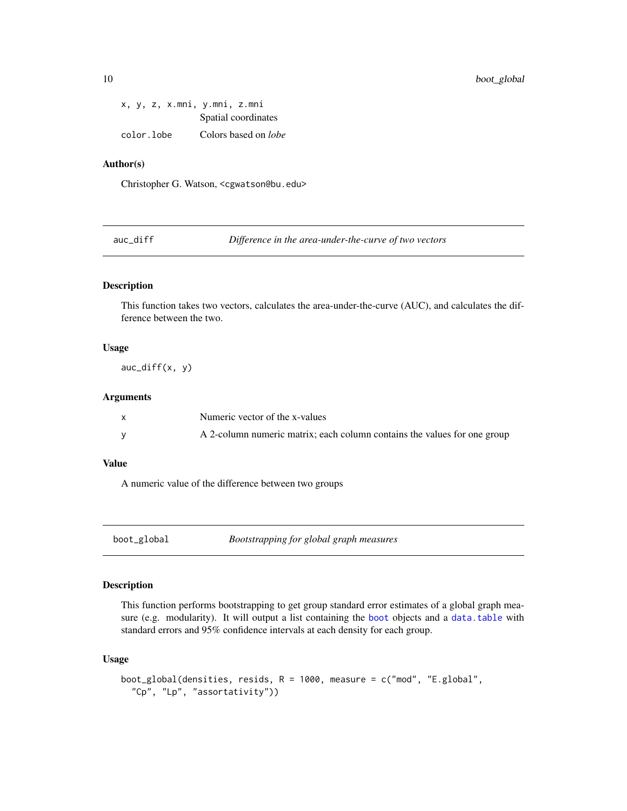|  |            | x, y, z, x.mni, y.mni, z.mni |                             |
|--|------------|------------------------------|-----------------------------|
|  |            |                              | Spatial coordinates         |
|  | color.lobe |                              | Colors based on <i>lobe</i> |

## Author(s)

Christopher G. Watson, <cgwatson@bu.edu>

auc\_diff *Difference in the area-under-the-curve of two vectors*

## Description

This function takes two vectors, calculates the area-under-the-curve (AUC), and calculates the difference between the two.

#### Usage

 $auc\_diff(x, y)$ 

#### Arguments

| Numeric vector of the x-values                                           |
|--------------------------------------------------------------------------|
| A 2-column numeric matrix; each column contains the values for one group |

## Value

A numeric value of the difference between two groups

<span id="page-9-1"></span>boot\_global *Bootstrapping for global graph measures*

## Description

This function performs bootstrapping to get group standard error estimates of a global graph measure (e.g. modularity). It will output a list containing the [boot](#page-0-0) objects and a [data.table](#page-0-0) with standard errors and 95% confidence intervals at each density for each group.

## Usage

```
boot_global(densities, resids, R = 1000, measure = c("mod", "E.global",
  "Cp", "Lp", "assortativity"))
```
<span id="page-9-0"></span>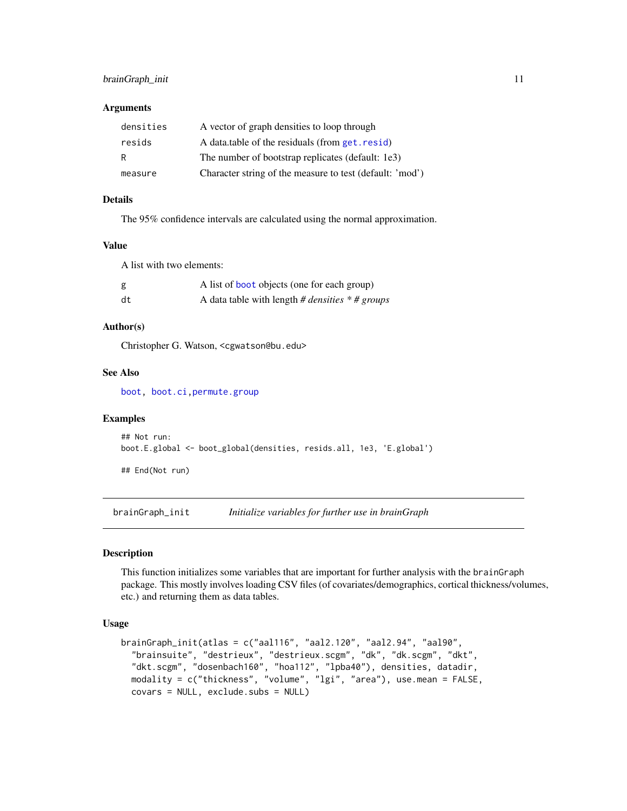## <span id="page-10-0"></span>brainGraph\_init 11

#### **Arguments**

| densities | A vector of graph densities to loop through              |
|-----------|----------------------------------------------------------|
| resids    | A data table of the residuals (from get. resid)          |
| R         | The number of bootstrap replicates (default: 1e3)        |
| measure   | Character string of the measure to test (default: 'mod') |

## Details

The 95% confidence intervals are calculated using the normal approximation.

#### Value

A list with two elements:

| g  | A list of <b>boot</b> objects (one for each group)              |
|----|-----------------------------------------------------------------|
| dt | A data table with length # <i>densities</i> $*$ # <i>groups</i> |

## Author(s)

Christopher G. Watson, <cgwatson@bu.edu>

## See Also

[boot,](#page-0-0) [boot.ci](#page-0-0)[,permute.group](#page-39-1)

#### Examples

```
## Not run:
boot.E.global <- boot_global(densities, resids.all, 1e3, 'E.global')
```
## End(Not run)

brainGraph\_init *Initialize variables for further use in brainGraph*

## Description

This function initializes some variables that are important for further analysis with the brainGraph package. This mostly involves loading CSV files (of covariates/demographics, cortical thickness/volumes, etc.) and returning them as data tables.

#### Usage

```
brainGraph_init(atlas = c("aal116", "aal2.120", "aal2.94", "aal90",
 "brainsuite", "destrieux", "destrieux.scgm", "dk", "dk.scgm", "dkt",
  "dkt.scgm", "dosenbach160", "hoa112", "lpba40"), densities, datadir,
 modality = c("thickness", "volume", "lgi", "area"), use.mean = FALSE,
 covars = NULL, exclude.subs = NULL)
```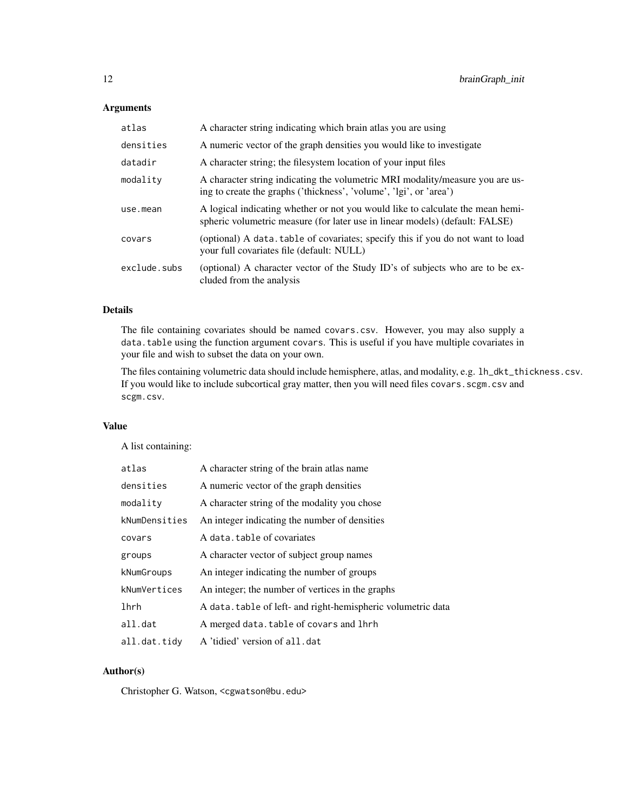## Arguments

| atlas        | A character string indicating which brain atlas you are using                                                                                                  |
|--------------|----------------------------------------------------------------------------------------------------------------------------------------------------------------|
| densities    | A numeric vector of the graph densities you would like to investigate                                                                                          |
| datadir      | A character string; the filesystem location of your input files                                                                                                |
| modality     | A character string indicating the volumetric MRI modality/measure you are us-<br>ing to create the graphs ('thickness', 'volume', 'lgi', or 'area')            |
| use.mean     | A logical indicating whether or not you would like to calculate the mean hemi-<br>spheric volumetric measure (for later use in linear models) (default: FALSE) |
| covars       | (optional) A data table of covariates; specify this if you do not want to load<br>your full covariates file (default: NULL)                                    |
| exclude.subs | (optional) A character vector of the Study ID's of subjects who are to be ex-<br>cluded from the analysis                                                      |

## Details

The file containing covariates should be named covars.csv. However, you may also supply a data.table using the function argument covars. This is useful if you have multiple covariates in your file and wish to subset the data on your own.

The files containing volumetric data should include hemisphere, atlas, and modality, e.g. lh\_dkt\_thickness.csv. If you would like to include subcortical gray matter, then you will need files covars.scgm.csv and scgm.csv.

## Value

A list containing:

| atlas         | A character string of the brain atlas name                   |
|---------------|--------------------------------------------------------------|
| densities     | A numeric vector of the graph densities                      |
| modality      | A character string of the modality you chose                 |
| kNumDensities | An integer indicating the number of densities                |
| covars        | A data, table of covariates                                  |
| groups        | A character vector of subject group names                    |
| kNumGroups    | An integer indicating the number of groups                   |
| kNumVertices  | An integer; the number of vertices in the graphs             |
| lhrh          | A data, table of left- and right-hemispheric volumetric data |
| all.dat       | A merged data.table of covars and lhrh                       |
| all.dat.tidy  | A 'tidied' version of all.dat                                |

## Author(s)

Christopher G. Watson, <cgwatson@bu.edu>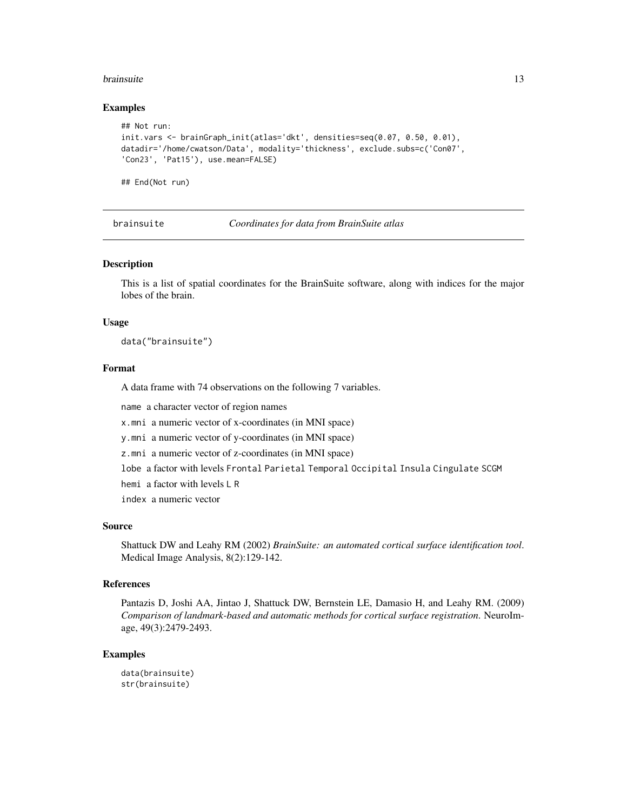#### <span id="page-12-0"></span>brainsuite that the contract of the contract of the contract of the contract of the contract of the contract of the contract of the contract of the contract of the contract of the contract of the contract of the contract o

#### Examples

```
## Not run:
init.vars <- brainGraph_init(atlas='dkt', densities=seq(0.07, 0.50, 0.01),
datadir='/home/cwatson/Data', modality='thickness', exclude.subs=c('Con07',
'Con23', 'Pat15'), use.mean=FALSE)
```
## End(Not run)

brainsuite *Coordinates for data from BrainSuite atlas*

#### Description

This is a list of spatial coordinates for the BrainSuite software, along with indices for the major lobes of the brain.

#### Usage

data("brainsuite")

## Format

A data frame with 74 observations on the following 7 variables.

name a character vector of region names

x.mni a numeric vector of x-coordinates (in MNI space)

y.mni a numeric vector of y-coordinates (in MNI space)

z.mni a numeric vector of z-coordinates (in MNI space)

lobe a factor with levels Frontal Parietal Temporal Occipital Insula Cingulate SCGM

hemi a factor with levels L R

index a numeric vector

## Source

Shattuck DW and Leahy RM (2002) *BrainSuite: an automated cortical surface identification tool*. Medical Image Analysis, 8(2):129-142.

#### References

Pantazis D, Joshi AA, Jintao J, Shattuck DW, Bernstein LE, Damasio H, and Leahy RM. (2009) *Comparison of landmark-based and automatic methods for cortical surface registration*. NeuroImage, 49(3):2479-2493.

## Examples

data(brainsuite) str(brainsuite)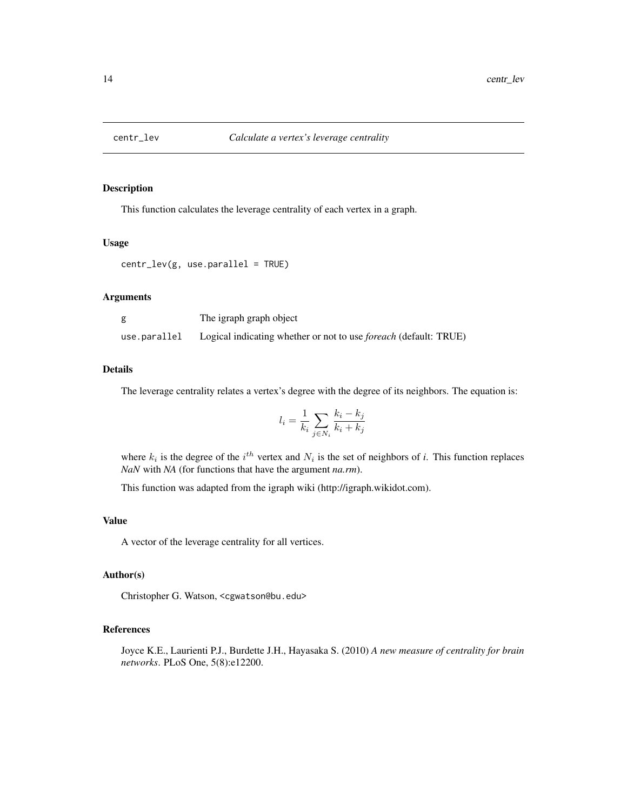<span id="page-13-1"></span><span id="page-13-0"></span>

This function calculates the leverage centrality of each vertex in a graph.

## Usage

```
centr_lev(g, use.parallel = TRUE)
```
#### Arguments

| g            | The igraph graph object                                                 |
|--------------|-------------------------------------------------------------------------|
| use.parallel | Logical indicating whether or not to use <i>foreach</i> (default: TRUE) |

#### Details

The leverage centrality relates a vertex's degree with the degree of its neighbors. The equation is:

$$
l_i = \frac{1}{k_i} \sum_{j \in N_i} \frac{k_i - k_j}{k_i + k_j}
$$

where  $k_i$  is the degree of the  $i^{th}$  vertex and  $N_i$  is the set of neighbors of *i*. This function replaces *NaN* with *NA* (for functions that have the argument *na.rm*).

This function was adapted from the igraph wiki (http://igraph.wikidot.com).

## Value

A vector of the leverage centrality for all vertices.

#### Author(s)

Christopher G. Watson, <cgwatson@bu.edu>

#### References

Joyce K.E., Laurienti P.J., Burdette J.H., Hayasaka S. (2010) *A new measure of centrality for brain networks*. PLoS One, 5(8):e12200.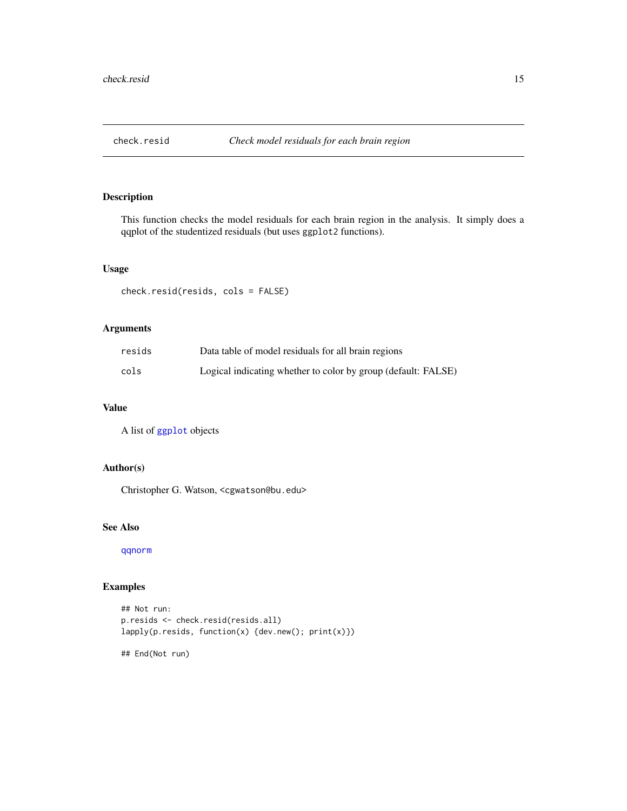<span id="page-14-0"></span>

This function checks the model residuals for each brain region in the analysis. It simply does a qqplot of the studentized residuals (but uses ggplot2 functions).

## Usage

check.resid(resids, cols = FALSE)

## Arguments

| resids | Data table of model residuals for all brain regions           |
|--------|---------------------------------------------------------------|
| cols   | Logical indicating whether to color by group (default: FALSE) |

## Value

A list of [ggplot](#page-0-0) objects

## Author(s)

Christopher G. Watson, <cgwatson@bu.edu>

#### See Also

[qqnorm](#page-0-0)

## Examples

```
## Not run:
p.resids <- check.resid(resids.all)
lapply(p.resids, function(x) {dev.new(); print(x)})
```
## End(Not run)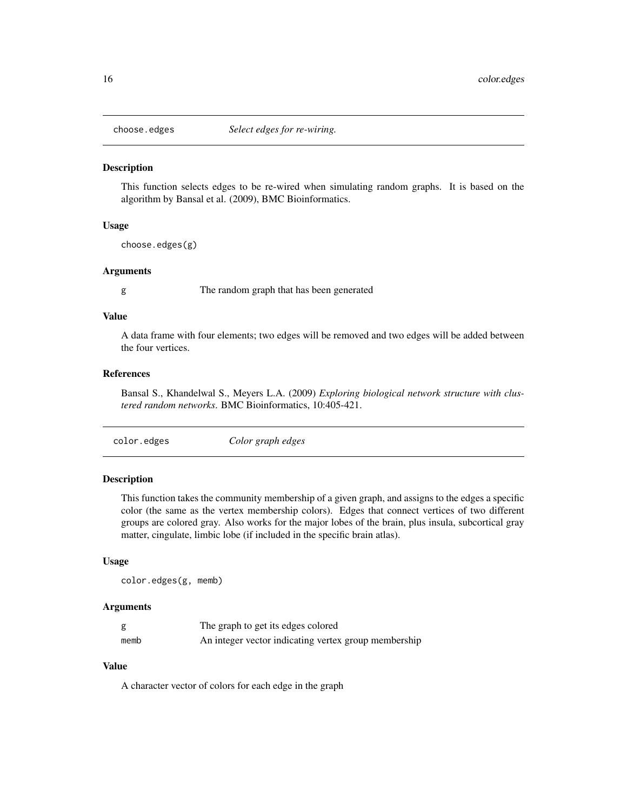<span id="page-15-2"></span><span id="page-15-0"></span>

This function selects edges to be re-wired when simulating random graphs. It is based on the algorithm by Bansal et al. (2009), BMC Bioinformatics.

## Usage

choose.edges(g)

## Arguments

g The random graph that has been generated

#### Value

A data frame with four elements; two edges will be removed and two edges will be added between the four vertices.

#### References

Bansal S., Khandelwal S., Meyers L.A. (2009) *Exploring biological network structure with clustered random networks*. BMC Bioinformatics, 10:405-421.

<span id="page-15-1"></span>color.edges *Color graph edges*

## Description

This function takes the community membership of a given graph, and assigns to the edges a specific color (the same as the vertex membership colors). Edges that connect vertices of two different groups are colored gray. Also works for the major lobes of the brain, plus insula, subcortical gray matter, cingulate, limbic lobe (if included in the specific brain atlas).

#### Usage

```
color.edges(g, memb)
```
#### Arguments

|      | The graph to get its edges colored                   |
|------|------------------------------------------------------|
| memb | An integer vector indicating vertex group membership |

## Value

A character vector of colors for each edge in the graph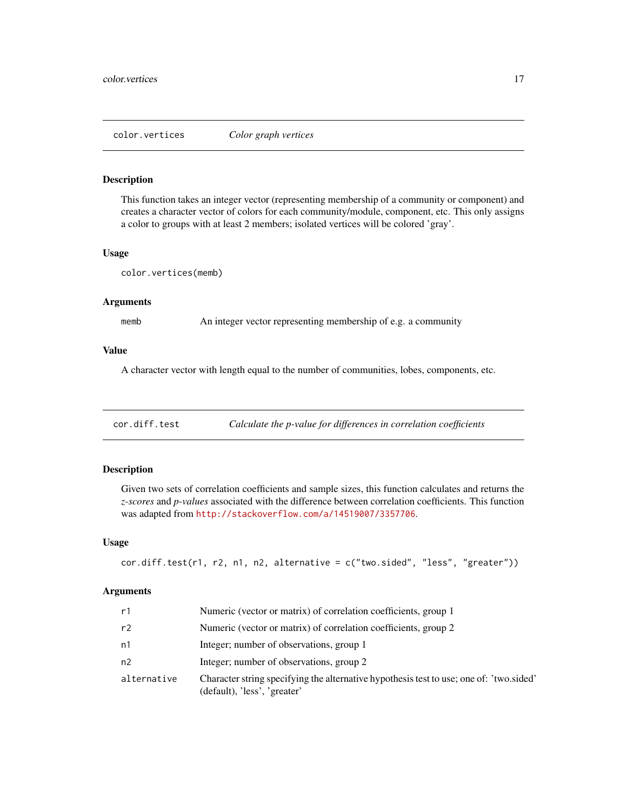<span id="page-16-0"></span>color.vertices *Color graph vertices*

## **Description**

This function takes an integer vector (representing membership of a community or component) and creates a character vector of colors for each community/module, component, etc. This only assigns a color to groups with at least 2 members; isolated vertices will be colored 'gray'.

## Usage

color.vertices(memb)

#### Arguments

memb An integer vector representing membership of e.g. a community

## Value

A character vector with length equal to the number of communities, lobes, components, etc.

cor.diff.test *Calculate the p-value for differences in correlation coefficients*

## Description

Given two sets of correlation coefficients and sample sizes, this function calculates and returns the *z-scores* and *p-values* associated with the difference between correlation coefficients. This function was adapted from <http://stackoverflow.com/a/14519007/3357706>.

#### Usage

```
cor.diff.test(r1, r2, n1, n2, alternative = c("two.sided", "less", "greater"))
```
## Arguments

| r1          | Numeric (vector or matrix) of correlation coefficients, group 1                                                         |
|-------------|-------------------------------------------------------------------------------------------------------------------------|
| r2          | Numeric (vector or matrix) of correlation coefficients, group 2                                                         |
| n1          | Integer; number of observations, group 1                                                                                |
| n2          | Integer; number of observations, group 2                                                                                |
| alternative | Character string specifying the alternative hypothesis test to use; one of: 'two.sided'<br>(default), 'less', 'greater' |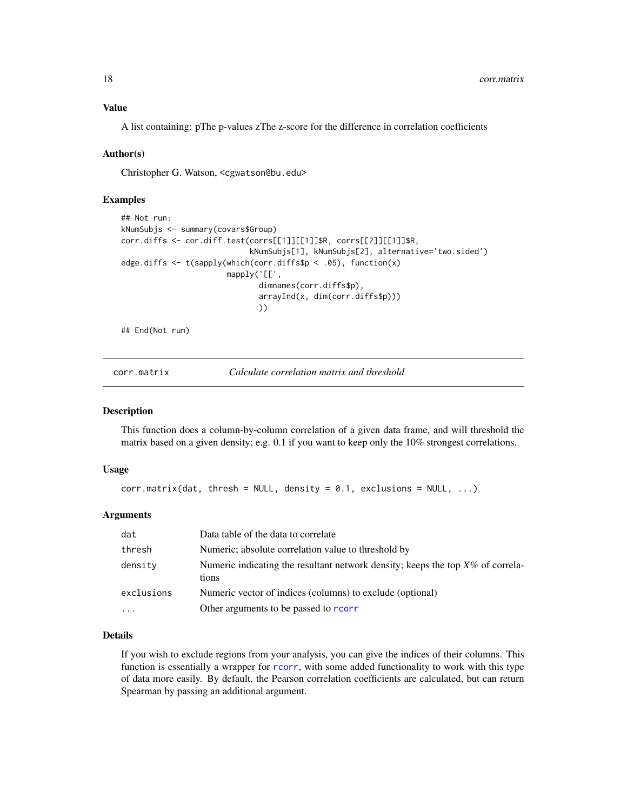<span id="page-17-0"></span>Value

A list containing: pThe p-values zThe z-score for the difference in correlation coefficients

#### Author(s)

Christopher G. Watson, <cgwatson@bu.edu>

## Examples

```
## Not run:
kNumSubjs <- summary(covars$Group)
corr.diffs <- cor.diff.test(corrs[[1]][[1]]$R, corrs[[2]][[1]]$R,
                            kNumSubjs[1], kNumSubjs[2], alternative='two.sided')
edge.diffs <- t(sapply(which(corr.diffs$p < .05), function(x)
                       mapply('[[',
                              dimnames(corr.diffs$p),
                              arrayInd(x, dim(corr.diffs$p)))
                              ))
```
## End(Not run)

<span id="page-17-1"></span>corr.matrix *Calculate correlation matrix and threshold*

## Description

This function does a column-by-column correlation of a given data frame, and will threshold the matrix based on a given density; e.g. 0.1 if you want to keep only the 10% strongest correlations.

#### Usage

```
corr.matrix(dat, thresh = NULL, density = 0.1, exclusions = NULL, ...)
```
#### Arguments

| dat        | Data table of the data to correlate                                                        |
|------------|--------------------------------------------------------------------------------------------|
| thresh     | Numeric; absolute correlation value to threshold by                                        |
| density    | Numeric indicating the resultant network density; keeps the top $X\%$ of correla-<br>tions |
| exclusions | Numeric vector of indices (columns) to exclude (optional)                                  |
| .          | Other arguments to be passed to rcorr                                                      |

#### Details

If you wish to exclude regions from your analysis, you can give the indices of their columns. This function is essentially a wrapper for [rcorr](#page-0-0), with some added functionality to work with this type of data more easily. By default, the Pearson correlation coefficients are calculated, but can return Spearman by passing an additional argument.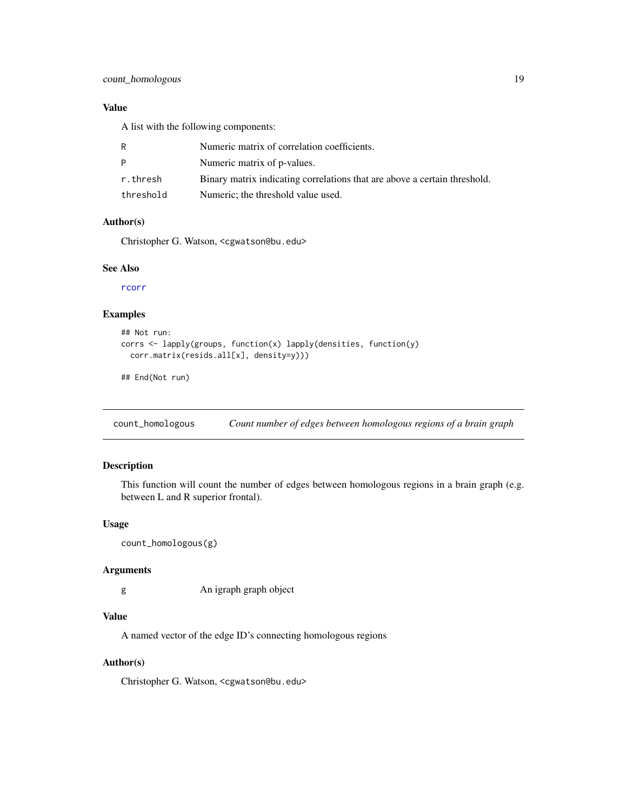## <span id="page-18-0"></span>Value

A list with the following components:

|           | Numeric matrix of correlation coefficients.                               |
|-----------|---------------------------------------------------------------------------|
| D         | Numeric matrix of p-values.                                               |
| r.thresh  | Binary matrix indicating correlations that are above a certain threshold. |
| threshold | Numeric; the threshold value used.                                        |

#### Author(s)

Christopher G. Watson, <cgwatson@bu.edu>

## See Also

[rcorr](#page-0-0)

## Examples

```
## Not run:
corrs <- lapply(groups, function(x) lapply(densities, function(y)
  corr.matrix(resids.all[x], density=y)))
```
## End(Not run)

count\_homologous *Count number of edges between homologous regions of a brain graph*

## Description

This function will count the number of edges between homologous regions in a brain graph (e.g. between L and R superior frontal).

## Usage

```
count_homologous(g)
```
## Arguments

g An igraph graph object

## Value

A named vector of the edge ID's connecting homologous regions

#### Author(s)

Christopher G. Watson, <cgwatson@bu.edu>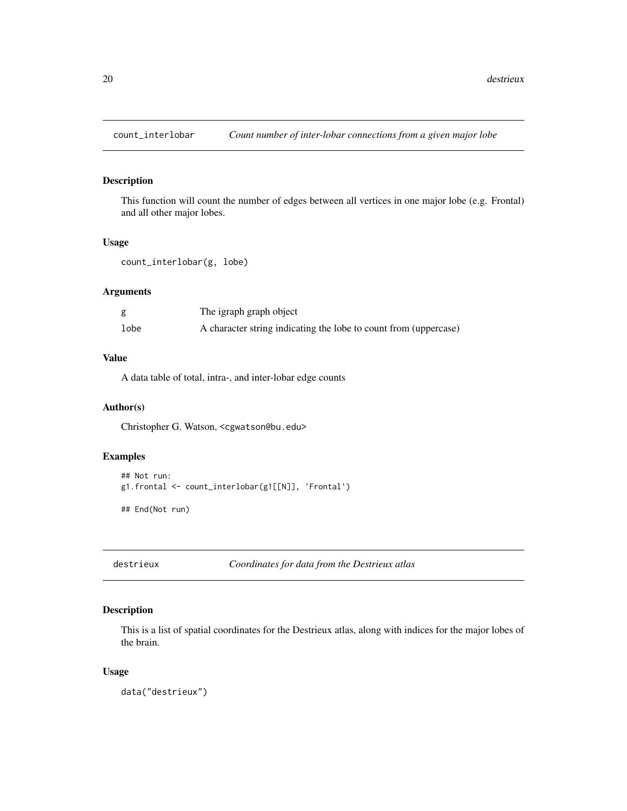<span id="page-19-1"></span><span id="page-19-0"></span>

This function will count the number of edges between all vertices in one major lobe (e.g. Frontal) and all other major lobes.

#### Usage

```
count_interlobar(g, lobe)
```
#### Arguments

|      | The igraph graph object                                          |
|------|------------------------------------------------------------------|
| lobe | A character string indicating the lobe to count from (uppercase) |

## Value

A data table of total, intra-, and inter-lobar edge counts

## Author(s)

Christopher G. Watson, <cgwatson@bu.edu>

## Examples

```
## Not run:
g1.frontal <- count_interlobar(g1[[N]], 'Frontal')
## End(Not run)
```
destrieux *Coordinates for data from the Destrieux atlas*

## Description

This is a list of spatial coordinates for the Destrieux atlas, along with indices for the major lobes of the brain.

## Usage

data("destrieux")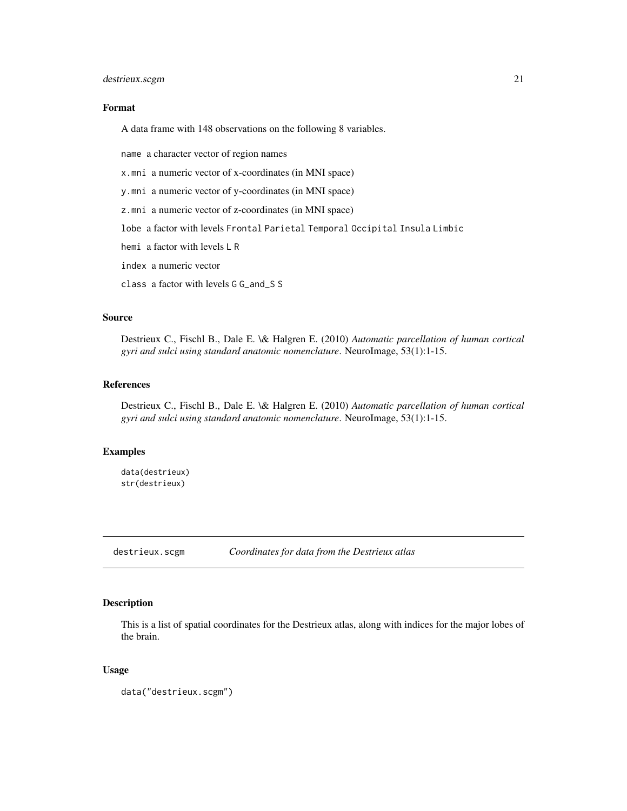## <span id="page-20-0"></span>destrieux.scgm 21

#### Format

A data frame with 148 observations on the following 8 variables.

name a character vector of region names

x.mni a numeric vector of x-coordinates (in MNI space)

y.mni a numeric vector of y-coordinates (in MNI space)

z.mni a numeric vector of z-coordinates (in MNI space)

lobe a factor with levels Frontal Parietal Temporal Occipital Insula Limbic

hemi a factor with levels L R

index a numeric vector

class a factor with levels G G\_and\_S S

#### Source

Destrieux C., Fischl B., Dale E. \& Halgren E. (2010) *Automatic parcellation of human cortical gyri and sulci using standard anatomic nomenclature*. NeuroImage, 53(1):1-15.

## References

Destrieux C., Fischl B., Dale E. \& Halgren E. (2010) *Automatic parcellation of human cortical gyri and sulci using standard anatomic nomenclature*. NeuroImage, 53(1):1-15.

## Examples

data(destrieux) str(destrieux)

destrieux.scgm *Coordinates for data from the Destrieux atlas*

## Description

This is a list of spatial coordinates for the Destrieux atlas, along with indices for the major lobes of the brain.

#### Usage

data("destrieux.scgm")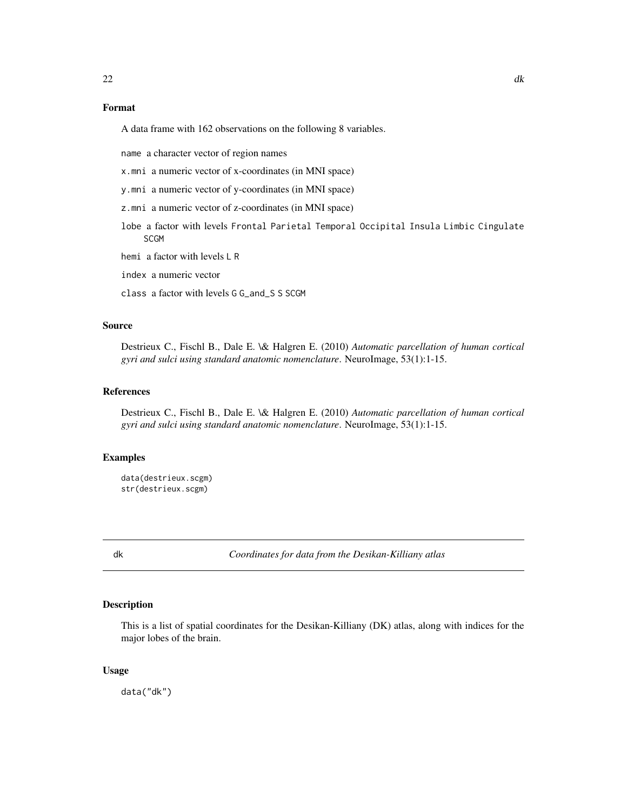## <span id="page-21-0"></span>Format

A data frame with 162 observations on the following 8 variables.

name a character vector of region names

x.mni a numeric vector of x-coordinates (in MNI space)

y.mni a numeric vector of y-coordinates (in MNI space)

z.mni a numeric vector of z-coordinates (in MNI space)

lobe a factor with levels Frontal Parietal Temporal Occipital Insula Limbic Cingulate **SCGM** 

hemi a factor with levels L R

index a numeric vector

class a factor with levels G G\_and\_S S SCGM

#### Source

Destrieux C., Fischl B., Dale E. \& Halgren E. (2010) *Automatic parcellation of human cortical gyri and sulci using standard anatomic nomenclature*. NeuroImage, 53(1):1-15.

#### References

Destrieux C., Fischl B., Dale E. \& Halgren E. (2010) *Automatic parcellation of human cortical gyri and sulci using standard anatomic nomenclature*. NeuroImage, 53(1):1-15.

## Examples

data(destrieux.scgm) str(destrieux.scgm)

dk *Coordinates for data from the Desikan-Killiany atlas*

#### Description

This is a list of spatial coordinates for the Desikan-Killiany (DK) atlas, along with indices for the major lobes of the brain.

#### Usage

data("dk")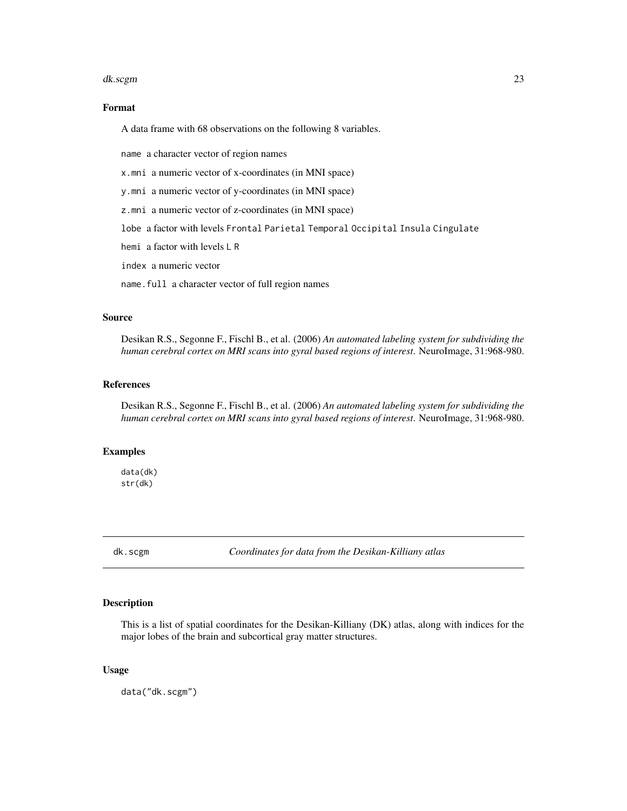#### <span id="page-22-0"></span>dk.scgm 23

## Format

A data frame with 68 observations on the following 8 variables.

name a character vector of region names

x.mni a numeric vector of x-coordinates (in MNI space)

y.mni a numeric vector of y-coordinates (in MNI space)

z.mni a numeric vector of z-coordinates (in MNI space)

lobe a factor with levels Frontal Parietal Temporal Occipital Insula Cingulate

hemi a factor with levels L R

index a numeric vector

name.full a character vector of full region names

#### Source

Desikan R.S., Segonne F., Fischl B., et al. (2006) *An automated labeling system for subdividing the human cerebral cortex on MRI scans into gyral based regions of interest*. NeuroImage, 31:968-980.

## References

Desikan R.S., Segonne F., Fischl B., et al. (2006) *An automated labeling system for subdividing the human cerebral cortex on MRI scans into gyral based regions of interest*. NeuroImage, 31:968-980.

## Examples

data(dk) str(dk)

dk.scgm *Coordinates for data from the Desikan-Killiany atlas*

## Description

This is a list of spatial coordinates for the Desikan-Killiany (DK) atlas, along with indices for the major lobes of the brain and subcortical gray matter structures.

#### Usage

data("dk.scgm")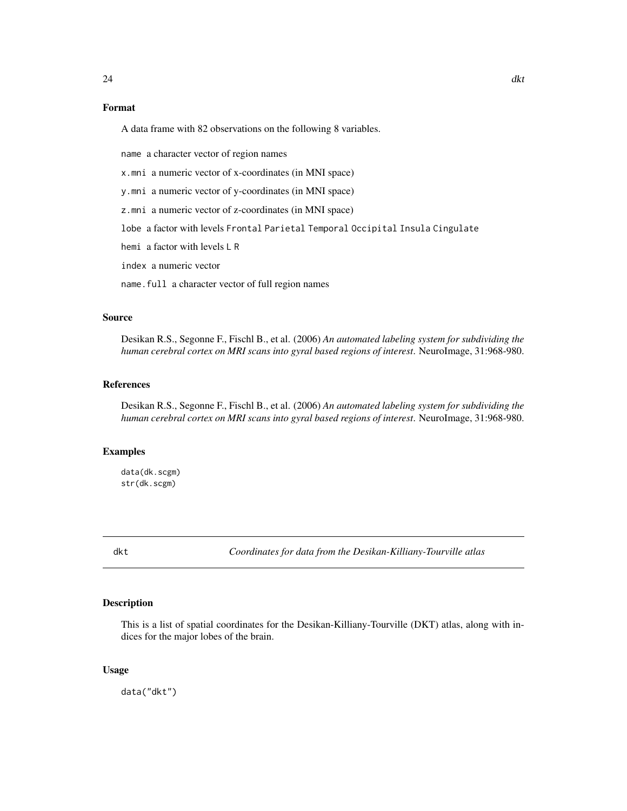## <span id="page-23-0"></span>Format

A data frame with 82 observations on the following 8 variables.

name a character vector of region names

x.mni a numeric vector of x-coordinates (in MNI space)

y.mni a numeric vector of y-coordinates (in MNI space)

z.mni a numeric vector of z-coordinates (in MNI space)

lobe a factor with levels Frontal Parietal Temporal Occipital Insula Cingulate

hemi a factor with levels L R

index a numeric vector

name.full a character vector of full region names

#### Source

Desikan R.S., Segonne F., Fischl B., et al. (2006) *An automated labeling system for subdividing the human cerebral cortex on MRI scans into gyral based regions of interest*. NeuroImage, 31:968-980.

## References

Desikan R.S., Segonne F., Fischl B., et al. (2006) *An automated labeling system for subdividing the human cerebral cortex on MRI scans into gyral based regions of interest*. NeuroImage, 31:968-980.

## Examples

data(dk.scgm) str(dk.scgm)

dkt *Coordinates for data from the Desikan-Killiany-Tourville atlas*

#### Description

This is a list of spatial coordinates for the Desikan-Killiany-Tourville (DKT) atlas, along with indices for the major lobes of the brain.

#### Usage

data("dkt")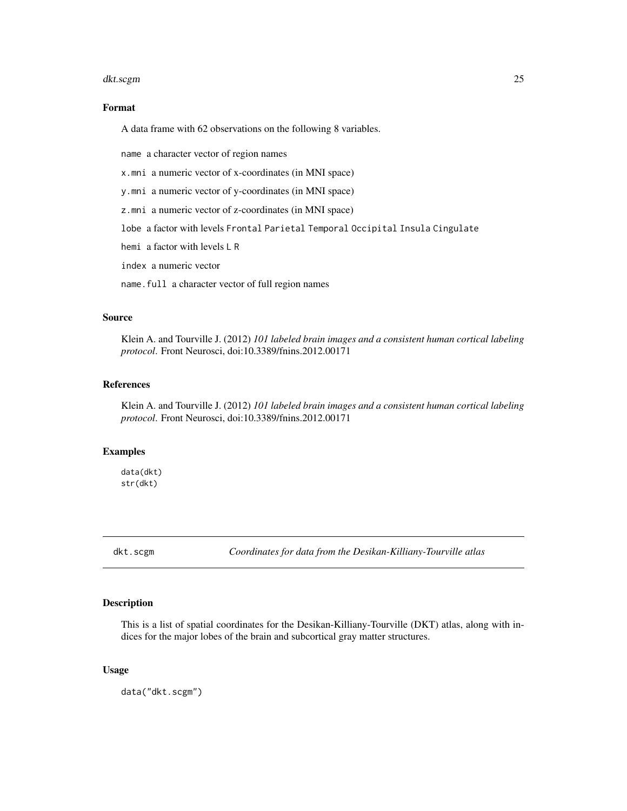#### <span id="page-24-0"></span>dkt.scgm 25

## Format

A data frame with 62 observations on the following 8 variables.

name a character vector of region names

x.mni a numeric vector of x-coordinates (in MNI space)

y.mni a numeric vector of y-coordinates (in MNI space)

z.mni a numeric vector of z-coordinates (in MNI space)

lobe a factor with levels Frontal Parietal Temporal Occipital Insula Cingulate

hemi a factor with levels L R

index a numeric vector

name.full a character vector of full region names

#### Source

Klein A. and Tourville J. (2012) *101 labeled brain images and a consistent human cortical labeling protocol*. Front Neurosci, doi:10.3389/fnins.2012.00171

## References

Klein A. and Tourville J. (2012) *101 labeled brain images and a consistent human cortical labeling protocol*. Front Neurosci, doi:10.3389/fnins.2012.00171

## Examples

data(dkt) str(dkt)

dkt.scgm *Coordinates for data from the Desikan-Killiany-Tourville atlas*

## Description

This is a list of spatial coordinates for the Desikan-Killiany-Tourville (DKT) atlas, along with indices for the major lobes of the brain and subcortical gray matter structures.

#### Usage

data("dkt.scgm")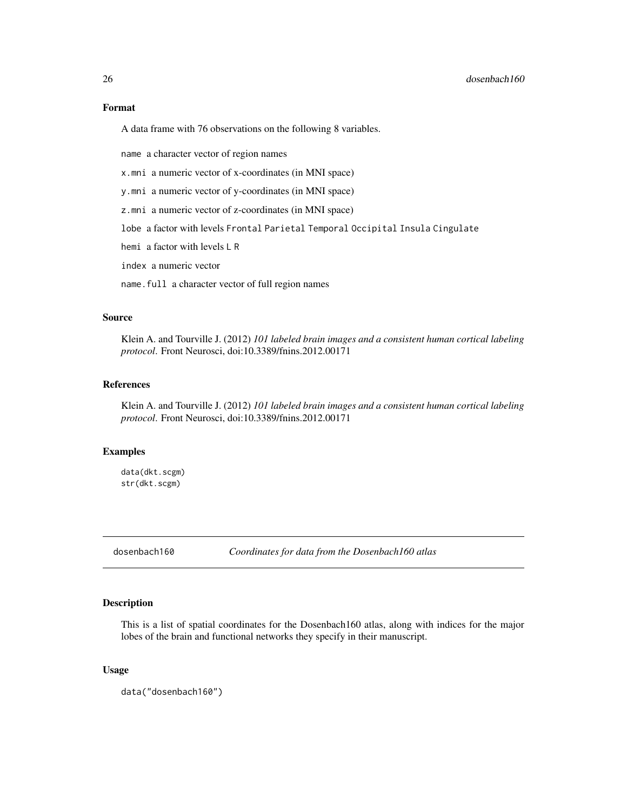## <span id="page-25-0"></span>Format

A data frame with 76 observations on the following 8 variables.

name a character vector of region names

x.mni a numeric vector of x-coordinates (in MNI space)

y.mni a numeric vector of y-coordinates (in MNI space)

z.mni a numeric vector of z-coordinates (in MNI space)

lobe a factor with levels Frontal Parietal Temporal Occipital Insula Cingulate

hemi a factor with levels L R

index a numeric vector

name.full a character vector of full region names

#### Source

Klein A. and Tourville J. (2012) *101 labeled brain images and a consistent human cortical labeling protocol*. Front Neurosci, doi:10.3389/fnins.2012.00171

## References

Klein A. and Tourville J. (2012) *101 labeled brain images and a consistent human cortical labeling protocol*. Front Neurosci, doi:10.3389/fnins.2012.00171

## Examples

data(dkt.scgm) str(dkt.scgm)

dosenbach160 *Coordinates for data from the Dosenbach160 atlas*

## Description

This is a list of spatial coordinates for the Dosenbach160 atlas, along with indices for the major lobes of the brain and functional networks they specify in their manuscript.

#### Usage

data("dosenbach160")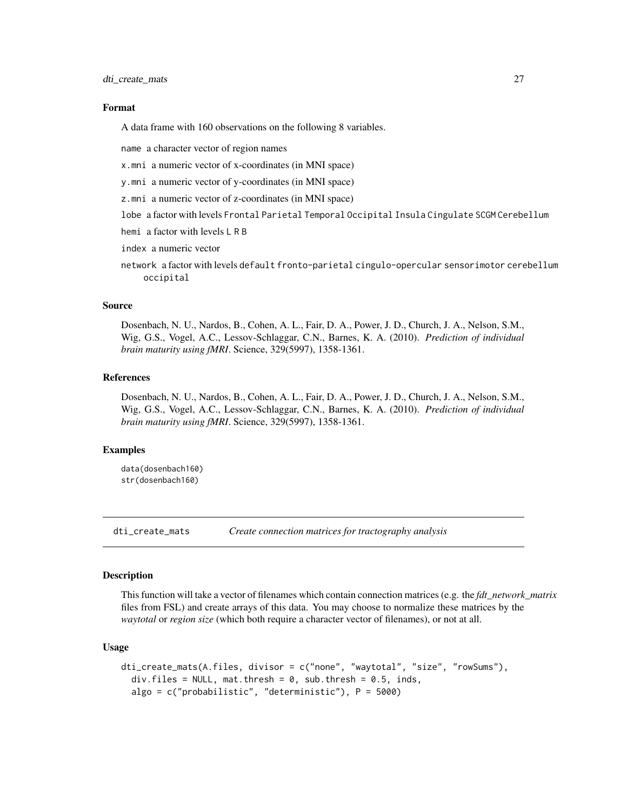<span id="page-26-0"></span>dti\_create\_mats 27

#### Format

A data frame with 160 observations on the following 8 variables.

name a character vector of region names

x.mni a numeric vector of x-coordinates (in MNI space)

y.mni a numeric vector of y-coordinates (in MNI space)

z.mni a numeric vector of z-coordinates (in MNI space)

lobe a factor with levels Frontal Parietal Temporal Occipital Insula Cingulate SCGM Cerebellum

hemi a factor with levels L R B

index a numeric vector

network a factor with levels default fronto-parietal cingulo-opercular sensorimotor cerebellum occipital

## Source

Dosenbach, N. U., Nardos, B., Cohen, A. L., Fair, D. A., Power, J. D., Church, J. A., Nelson, S.M., Wig, G.S., Vogel, A.C., Lessov-Schlaggar, C.N., Barnes, K. A. (2010). *Prediction of individual brain maturity using fMRI*. Science, 329(5997), 1358-1361.

#### References

Dosenbach, N. U., Nardos, B., Cohen, A. L., Fair, D. A., Power, J. D., Church, J. A., Nelson, S.M., Wig, G.S., Vogel, A.C., Lessov-Schlaggar, C.N., Barnes, K. A. (2010). *Prediction of individual brain maturity using fMRI*. Science, 329(5997), 1358-1361.

## Examples

data(dosenbach160) str(dosenbach160)

dti\_create\_mats *Create connection matrices for tractography analysis*

#### Description

This function will take a vector of filenames which contain connection matrices (e.g. the *fdt\_network\_matrix* files from FSL) and create arrays of this data. You may choose to normalize these matrices by the *waytotal* or *region size* (which both require a character vector of filenames), or not at all.

#### Usage

```
dti_create_mats(A.files, divisor = c("none", "waytotal", "size", "rowSums"),
  div.files = NULL, mat.thresh = 0, sub.thresh = 0.5, inds,
  algo = c("probabilistic", "deterministic"), P = 5000)
```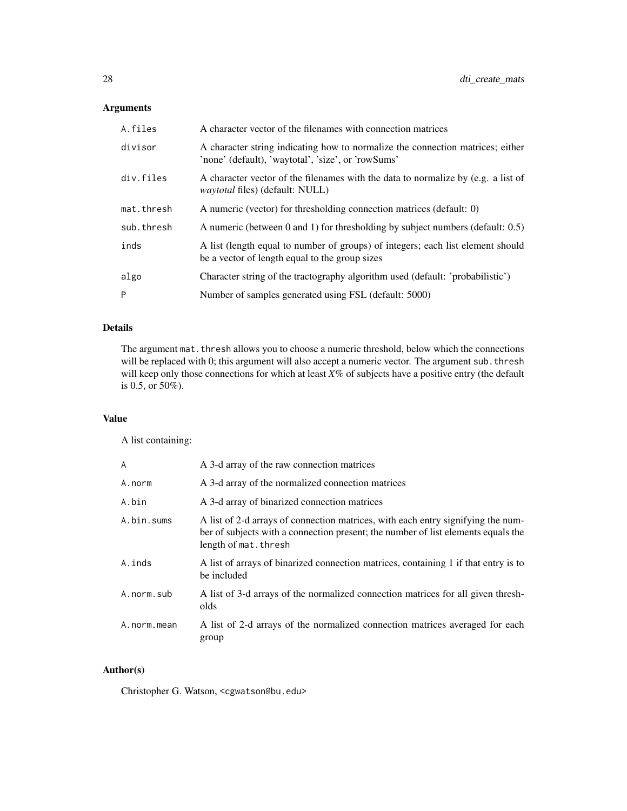## Arguments

| A.files    | A character vector of the filenames with connection matrices                                                                         |
|------------|--------------------------------------------------------------------------------------------------------------------------------------|
| divisor    | A character string indicating how to normalize the connection matrices; either<br>'none' (default), 'waytotal', 'size', or 'rowSums' |
| div.files  | A character vector of the filenames with the data to normalize by (e.g. a list of<br><i>waytotal</i> files) (default: NULL)          |
| mat.thresh | A numeric (vector) for thresholding connection matrices (default: 0)                                                                 |
| sub.thresh | A numeric (between 0 and 1) for thresholding by subject numbers (default: $0.5$ )                                                    |
| inds       | A list (length equal to number of groups) of integers; each list element should<br>be a vector of length equal to the group sizes    |
| algo       | Character string of the tractography algorithm used (default: 'probabilistic')                                                       |
| P          | Number of samples generated using FSL (default: 5000)                                                                                |

## Details

The argument mat. thresh allows you to choose a numeric threshold, below which the connections will be replaced with 0; this argument will also accept a numeric vector. The argument sub. thresh will keep only those connections for which at least *X*% of subjects have a positive entry (the default is 0.5, or 50%).

## Value

A list containing:

| A           | A 3-d array of the raw connection matrices                                                                                                                                                     |
|-------------|------------------------------------------------------------------------------------------------------------------------------------------------------------------------------------------------|
| A.norm      | A 3-d array of the normalized connection matrices                                                                                                                                              |
| A.bin       | A 3-d array of binarized connection matrices                                                                                                                                                   |
| A.bin.sums  | A list of 2-d arrays of connection matrices, with each entry signifying the num-<br>ber of subjects with a connection present; the number of list elements equals the<br>length of mat. thresh |
| A.inds      | A list of arrays of binarized connection matrices, containing 1 if that entry is to<br>be included                                                                                             |
| A.norm.sub  | A list of 3-d arrays of the normalized connection matrices for all given thresh-<br>olds                                                                                                       |
| A.norm.mean | A list of 2-d arrays of the normalized connection matrices averaged for each<br>group                                                                                                          |

## Author(s)

Christopher G. Watson, <cgwatson@bu.edu>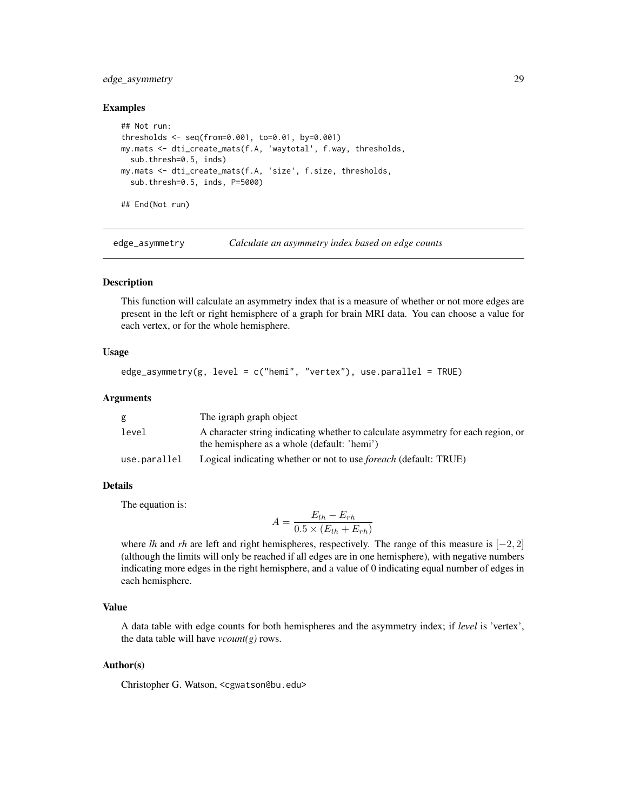## <span id="page-28-0"></span>edge\_asymmetry 29

#### Examples

```
## Not run:
thresholds <- seq(from=0.001, to=0.01, by=0.001)
my.mats <- dti_create_mats(f.A, 'waytotal', f.way, thresholds,
  sub.thresh=0.5, inds)
my.mats <- dti_create_mats(f.A, 'size', f.size, thresholds,
  sub.thresh=0.5, inds, P=5000)
## End(Not run)
```
<span id="page-28-1"></span>edge\_asymmetry *Calculate an asymmetry index based on edge counts*

#### **Description**

This function will calculate an asymmetry index that is a measure of whether or not more edges are present in the left or right hemisphere of a graph for brain MRI data. You can choose a value for each vertex, or for the whole hemisphere.

#### Usage

```
edge_asymmetry(g, level = c("hemi", "vertex"), use.parallel = TRUE)
```
#### Arguments

| g            | The igraph graph object                                                          |
|--------------|----------------------------------------------------------------------------------|
| level        | A character string indicating whether to calculate asymmetry for each region, or |
|              | the hemisphere as a whole (default: 'hemi')                                      |
| use.parallel | Logical indicating whether or not to use <i>foreach</i> (default: TRUE)          |

## Details

The equation is:

$$
A = \frac{E_{lh} - E_{rh}}{0.5 \times (E_{lh} + E_{rh})}
$$

where *lh* and *rh* are left and right hemispheres, respectively. The range of this measure is [−2, 2] (although the limits will only be reached if all edges are in one hemisphere), with negative numbers indicating more edges in the right hemisphere, and a value of 0 indicating equal number of edges in each hemisphere.

## Value

A data table with edge counts for both hemispheres and the asymmetry index; if *level* is 'vertex', the data table will have *vcount(g)* rows.

## Author(s)

Christopher G. Watson, <cgwatson@bu.edu>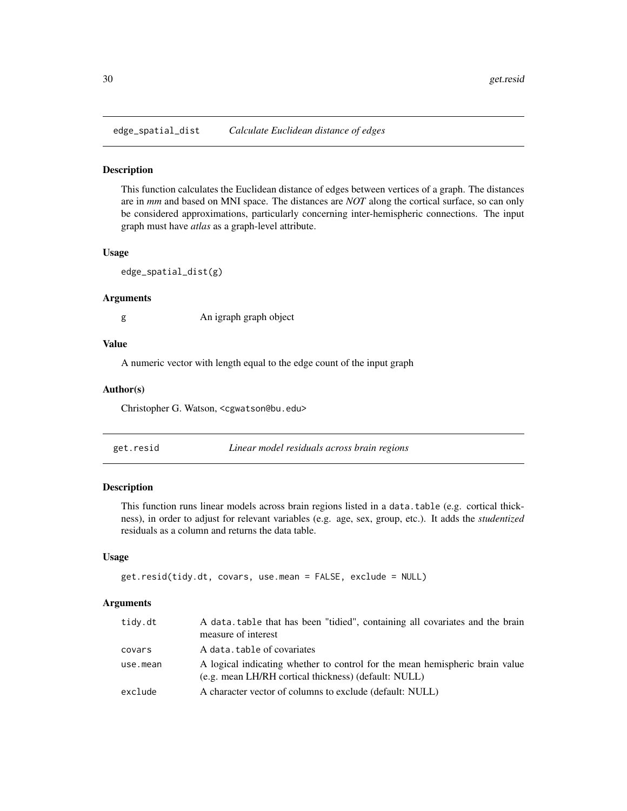<span id="page-29-2"></span><span id="page-29-0"></span>edge\_spatial\_dist *Calculate Euclidean distance of edges*

#### Description

This function calculates the Euclidean distance of edges between vertices of a graph. The distances are in *mm* and based on MNI space. The distances are *NOT* along the cortical surface, so can only be considered approximations, particularly concerning inter-hemispheric connections. The input graph must have *atlas* as a graph-level attribute.

## Usage

edge\_spatial\_dist(g)

## Arguments

g An igraph graph object

## Value

A numeric vector with length equal to the edge count of the input graph

#### Author(s)

Christopher G. Watson, <cgwatson@bu.edu>

<span id="page-29-1"></span>

## Description

This function runs linear models across brain regions listed in a data.table (e.g. cortical thickness), in order to adjust for relevant variables (e.g. age, sex, group, etc.). It adds the *studentized* residuals as a column and returns the data table.

## Usage

```
get.resid(tidy.dt, covars, use.mean = FALSE, exclude = NULL)
```
## Arguments

| tidy.dt  | A data table that has been "tidied", containing all covariates and the brain<br>measure of interest                                  |
|----------|--------------------------------------------------------------------------------------------------------------------------------------|
| covars   | A data, table of covariates                                                                                                          |
| use.mean | A logical indicating whether to control for the mean hemispheric brain value<br>(e.g. mean LH/RH cortical thickness) (default: NULL) |
| exclude  | A character vector of columns to exclude (default: NULL)                                                                             |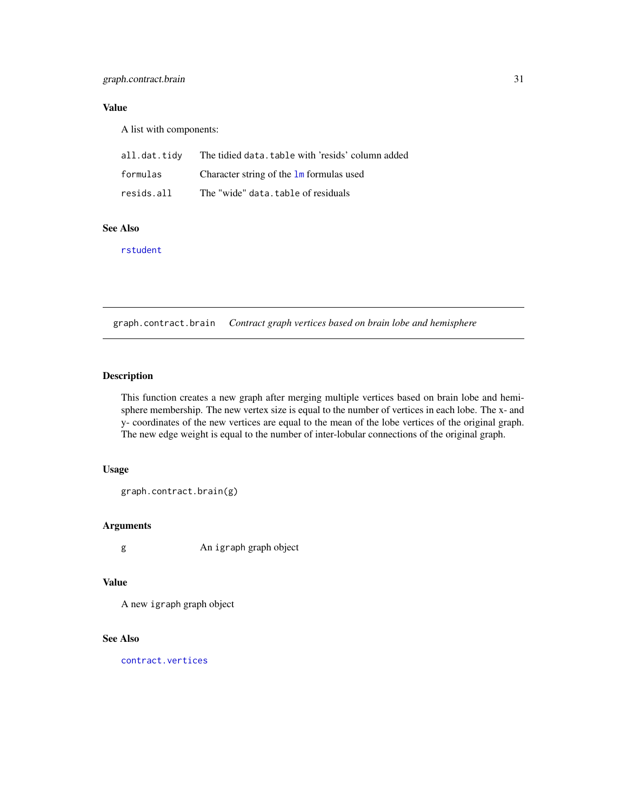## <span id="page-30-0"></span>Value

A list with components:

| all.dat.tidy | The tidied data, table with 'resids' column added |
|--------------|---------------------------------------------------|
| formulas     | Character string of the $\text{Im}$ formulas used |
| resids.all   | The "wide" data, table of residuals               |

## See Also

[rstudent](#page-0-0)

graph.contract.brain *Contract graph vertices based on brain lobe and hemisphere*

## Description

This function creates a new graph after merging multiple vertices based on brain lobe and hemisphere membership. The new vertex size is equal to the number of vertices in each lobe. The x- and y- coordinates of the new vertices are equal to the mean of the lobe vertices of the original graph. The new edge weight is equal to the number of inter-lobular connections of the original graph.

## Usage

graph.contract.brain(g)

## Arguments

g An igraph graph object

#### Value

A new igraph graph object

## See Also

[contract.vertices](#page-0-0)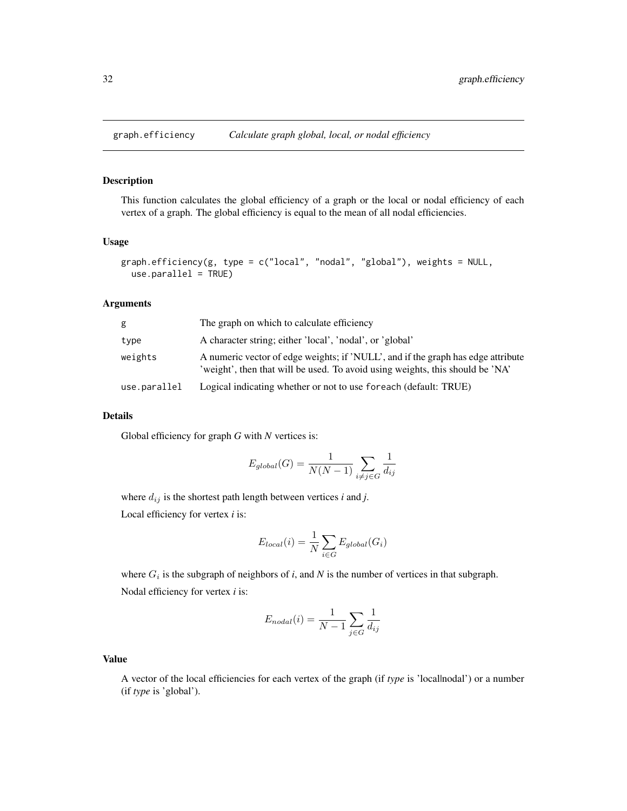<span id="page-31-1"></span><span id="page-31-0"></span>

This function calculates the global efficiency of a graph or the local or nodal efficiency of each vertex of a graph. The global efficiency is equal to the mean of all nodal efficiencies.

## Usage

```
graph.efficiency(g, type = c("local", "nodal", "global"), weights = NULL,
  use.parallel = TRUE)
```
## Arguments

| g            | The graph on which to calculate efficiency                                                                                                                        |
|--------------|-------------------------------------------------------------------------------------------------------------------------------------------------------------------|
| type         | A character string; either 'local', 'nodal', or 'global'                                                                                                          |
| weights      | A numeric vector of edge weights; if 'NULL', and if the graph has edge attribute<br>'weight', then that will be used. To avoid using weights, this should be 'NA' |
| use.parallel | Logical indicating whether or not to use foreach (default: TRUE)                                                                                                  |

## Details

Global efficiency for graph *G* with *N* vertices is:

$$
E_{global}(G) = \frac{1}{N(N-1)} \sum_{i \neq j \in G} \frac{1}{d_{ij}}
$$

where  $d_{ij}$  is the shortest path length between vertices *i* and *j*.

Local efficiency for vertex *i* is:

$$
E_{local}(i) = \frac{1}{N} \sum_{i \in G} E_{global}(G_i)
$$

where  $G_i$  is the subgraph of neighbors of *i*, and *N* is the number of vertices in that subgraph. Nodal efficiency for vertex *i* is:

$$
E_{nodal}(i) = \frac{1}{N-1} \sum_{j \in G} \frac{1}{d_{ij}}
$$

## Value

A vector of the local efficiencies for each vertex of the graph (if *type* is 'local|nodal') or a number (if *type* is 'global').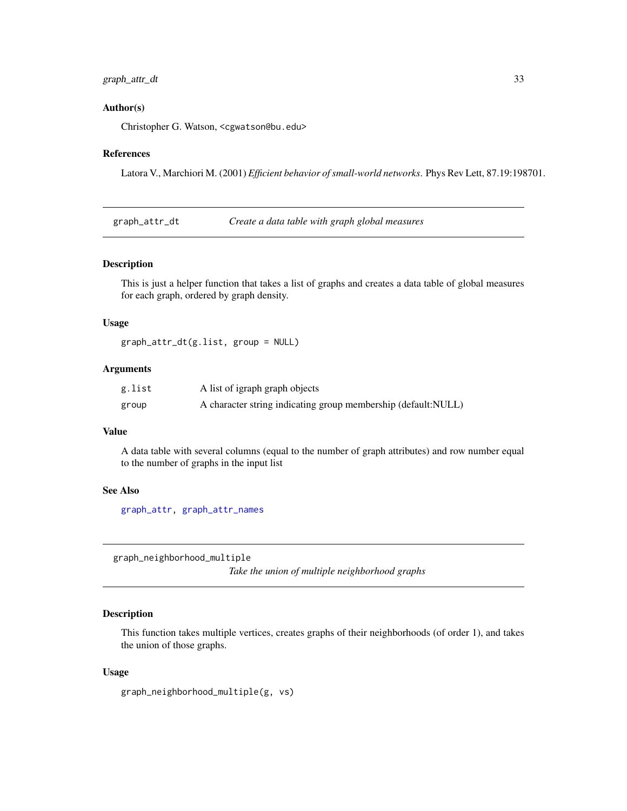## <span id="page-32-0"></span>graph\_attr\_dt 33

### Author(s)

Christopher G. Watson, <cgwatson@bu.edu>

#### References

Latora V., Marchiori M. (2001) *Efficient behavior of small-world networks*. Phys Rev Lett, 87.19:198701.

graph\_attr\_dt *Create a data table with graph global measures*

## Description

This is just a helper function that takes a list of graphs and creates a data table of global measures for each graph, ordered by graph density.

## Usage

```
graph_attr_dt(g.list, group = NULL)
```
#### Arguments

| g.list | A list of igraph graph objects                                |
|--------|---------------------------------------------------------------|
| group  | A character string indicating group membership (default:NULL) |

#### Value

A data table with several columns (equal to the number of graph attributes) and row number equal to the number of graphs in the input list

## See Also

[graph\\_attr,](#page-0-0) [graph\\_attr\\_names](#page-0-0)

graph\_neighborhood\_multiple

*Take the union of multiple neighborhood graphs*

## Description

This function takes multiple vertices, creates graphs of their neighborhoods (of order 1), and takes the union of those graphs.

#### Usage

```
graph_neighborhood_multiple(g, vs)
```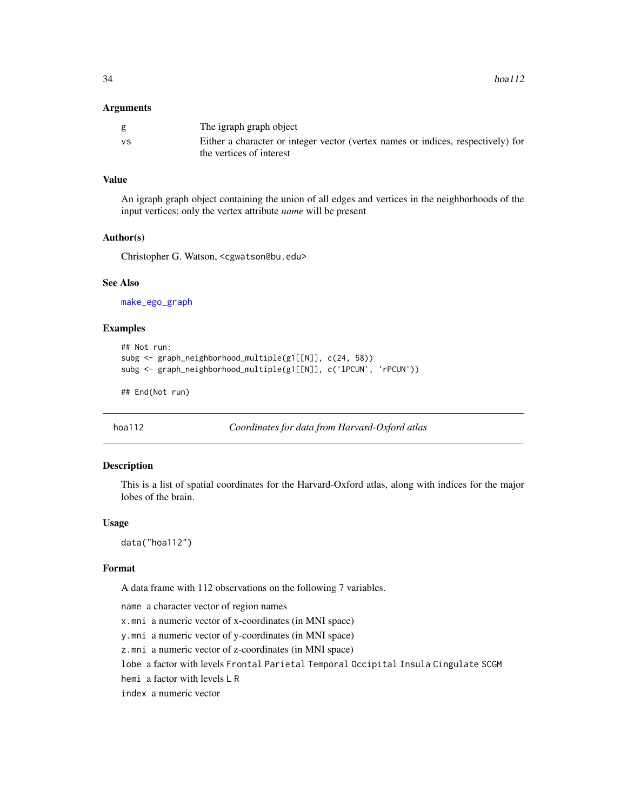#### <span id="page-33-0"></span>Arguments

|           | The igraph graph object                                                          |
|-----------|----------------------------------------------------------------------------------|
| <b>VS</b> | Either a character or integer vector (vertex names or indices, respectively) for |
|           | the vertices of interest                                                         |

## Value

An igraph graph object containing the union of all edges and vertices in the neighborhoods of the input vertices; only the vertex attribute *name* will be present

#### Author(s)

Christopher G. Watson, <cgwatson@bu.edu>

#### See Also

[make\\_ego\\_graph](#page-0-0)

#### Examples

```
## Not run:
subg <- graph_neighborhood_multiple(g1[[N]], c(24, 58))
subg <- graph_neighborhood_multiple(g1[[N]], c('lPCUN', 'rPCUN'))
```
## End(Not run)

```
hoa112 Coordinates for data from Harvard-Oxford atlas
```
## Description

This is a list of spatial coordinates for the Harvard-Oxford atlas, along with indices for the major lobes of the brain.

#### Usage

data("hoa112")

## Format

A data frame with 112 observations on the following 7 variables.

name a character vector of region names x.mni a numeric vector of x-coordinates (in MNI space) y.mni a numeric vector of y-coordinates (in MNI space) z.mni a numeric vector of z-coordinates (in MNI space) lobe a factor with levels Frontal Parietal Temporal Occipital Insula Cingulate SCGM hemi a factor with levels L R index a numeric vector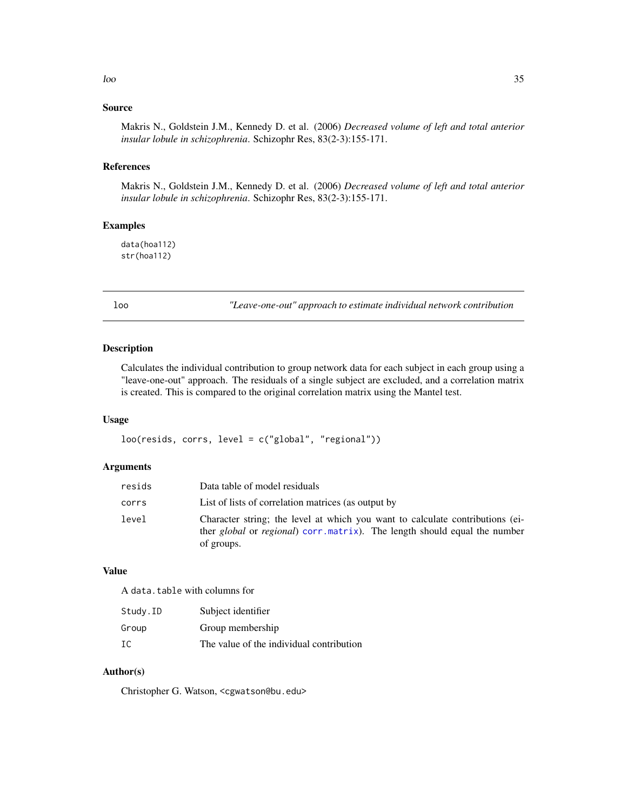## <span id="page-34-0"></span>Source

Makris N., Goldstein J.M., Kennedy D. et al. (2006) *Decreased volume of left and total anterior insular lobule in schizophrenia*. Schizophr Res, 83(2-3):155-171.

#### References

Makris N., Goldstein J.M., Kennedy D. et al. (2006) *Decreased volume of left and total anterior insular lobule in schizophrenia*. Schizophr Res, 83(2-3):155-171.

## Examples

data(hoa112) str(hoa112)

loo *"Leave-one-out" approach to estimate individual network contribution*

## Description

Calculates the individual contribution to group network data for each subject in each group using a "leave-one-out" approach. The residuals of a single subject are excluded, and a correlation matrix is created. This is compared to the original correlation matrix using the Mantel test.

## Usage

loo(resids, corrs, level = c("global", "regional"))

## Arguments

| resids | Data table of model residuals                                                                                                                                                            |
|--------|------------------------------------------------------------------------------------------------------------------------------------------------------------------------------------------|
| corrs  | List of lists of correlation matrices (as output by                                                                                                                                      |
| level  | Character string; the level at which you want to calculate contributions (ei-<br>ther <i>global</i> or <i>regional</i> ) corr. matrix). The length should equal the number<br>of groups. |

## Value

A data.table with columns for

| Study.ID | Subject identifier                       |
|----------|------------------------------------------|
| Group    | Group membership                         |
| TC.      | The value of the individual contribution |

## Author(s)

Christopher G. Watson, <cgwatson@bu.edu>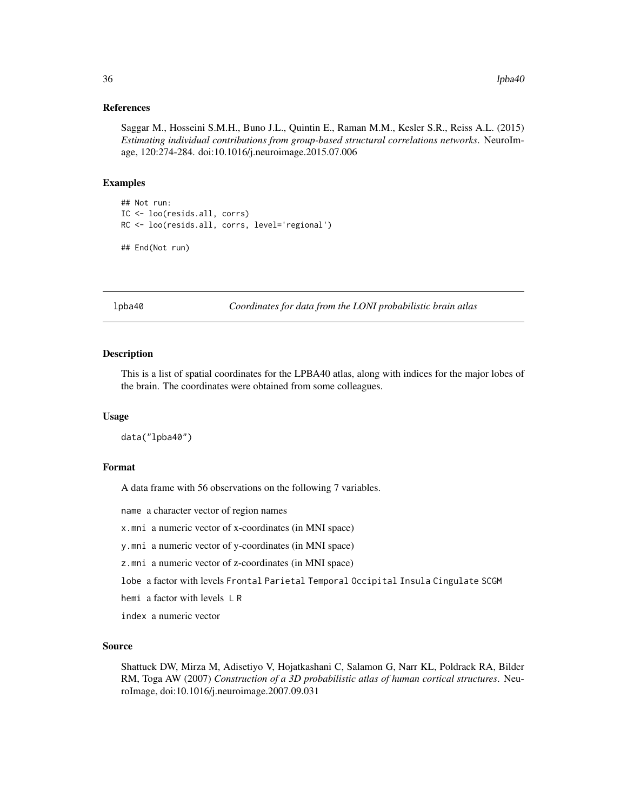#### <span id="page-35-0"></span>References

Saggar M., Hosseini S.M.H., Buno J.L., Quintin E., Raman M.M., Kesler S.R., Reiss A.L. (2015) *Estimating individual contributions from group-based structural correlations networks*. NeuroImage, 120:274-284. doi:10.1016/j.neuroimage.2015.07.006

#### Examples

```
## Not run:
IC <- loo(resids.all, corrs)
RC <- loo(resids.all, corrs, level='regional')
## End(Not run)
```
lpba40 *Coordinates for data from the LONI probabilistic brain atlas*

## Description

This is a list of spatial coordinates for the LPBA40 atlas, along with indices for the major lobes of the brain. The coordinates were obtained from some colleagues.

#### Usage

data("lpba40")

## Format

A data frame with 56 observations on the following 7 variables.

name a character vector of region names

x.mni a numeric vector of x-coordinates (in MNI space)

y.mni a numeric vector of y-coordinates (in MNI space)

z.mni a numeric vector of z-coordinates (in MNI space)

lobe a factor with levels Frontal Parietal Temporal Occipital Insula Cingulate SCGM

hemi a factor with levels L R

index a numeric vector

#### Source

Shattuck DW, Mirza M, Adisetiyo V, Hojatkashani C, Salamon G, Narr KL, Poldrack RA, Bilder RM, Toga AW (2007) *Construction of a 3D probabilistic atlas of human cortical structures*. NeuroImage, doi:10.1016/j.neuroimage.2007.09.031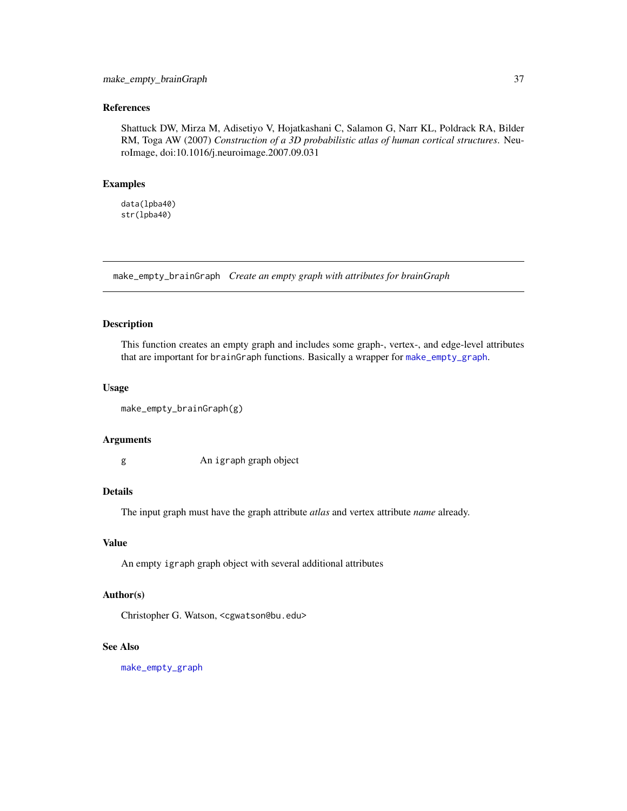## <span id="page-36-0"></span>References

Shattuck DW, Mirza M, Adisetiyo V, Hojatkashani C, Salamon G, Narr KL, Poldrack RA, Bilder RM, Toga AW (2007) *Construction of a 3D probabilistic atlas of human cortical structures*. NeuroImage, doi:10.1016/j.neuroimage.2007.09.031

#### Examples

data(lpba40) str(lpba40)

make\_empty\_brainGraph *Create an empty graph with attributes for brainGraph*

#### Description

This function creates an empty graph and includes some graph-, vertex-, and edge-level attributes that are important for brainGraph functions. Basically a wrapper for [make\\_empty\\_graph](#page-0-0).

#### Usage

```
make_empty_brainGraph(g)
```
#### Arguments

g An igraph graph object

## Details

The input graph must have the graph attribute *atlas* and vertex attribute *name* already.

#### Value

An empty igraph graph object with several additional attributes

## Author(s)

Christopher G. Watson, <cgwatson@bu.edu>

#### See Also

[make\\_empty\\_graph](#page-0-0)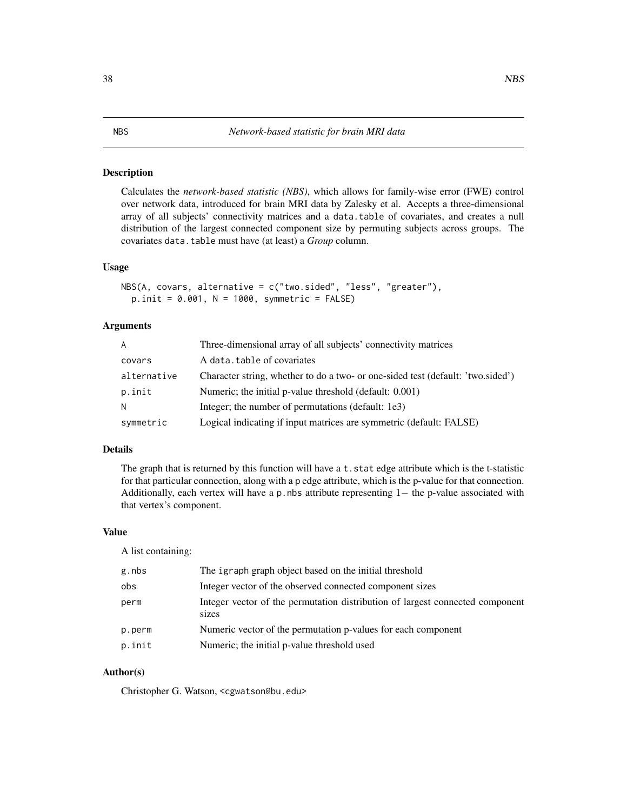<span id="page-37-0"></span>Calculates the *network-based statistic (NBS)*, which allows for family-wise error (FWE) control over network data, introduced for brain MRI data by Zalesky et al. Accepts a three-dimensional array of all subjects' connectivity matrices and a data.table of covariates, and creates a null distribution of the largest connected component size by permuting subjects across groups. The covariates data.table must have (at least) a *Group* column.

#### Usage

```
NBS(A, covars, alternative = c("two.sided", "less", "greater"),
 p.init = 0.001, N = 1000, symmetric = FALSE)
```
## Arguments

| A           | Three-dimensional array of all subjects' connectivity matrices                  |
|-------------|---------------------------------------------------------------------------------|
| covars      | A data.table of covariates                                                      |
| alternative | Character string, whether to do a two- or one-sided test (default: 'two.sided') |
| p.init      | Numeric; the initial p-value threshold (default: 0.001)                         |
| N           | Integer; the number of permutations (default: 1e3)                              |
| symmetric   | Logical indicating if input matrices are symmetric (default: FALSE)             |

#### Details

The graph that is returned by this function will have a  $t$ , stat edge attribute which is the t-statistic for that particular connection, along with a p edge attribute, which is the p-value for that connection. Additionally, each vertex will have a p.nbs attribute representing  $1-$  the p-value associated with that vertex's component.

#### Value

A list containing:

| g.nbs  | The igraph graph object based on the initial threshold                                 |
|--------|----------------------------------------------------------------------------------------|
| obs    | Integer vector of the observed connected component sizes                               |
| perm   | Integer vector of the permutation distribution of largest connected component<br>sizes |
| p.perm | Numeric vector of the permutation p-values for each component                          |
| p.init | Numeric; the initial p-value threshold used                                            |

## Author(s)

Christopher G. Watson, <cgwatson@bu.edu>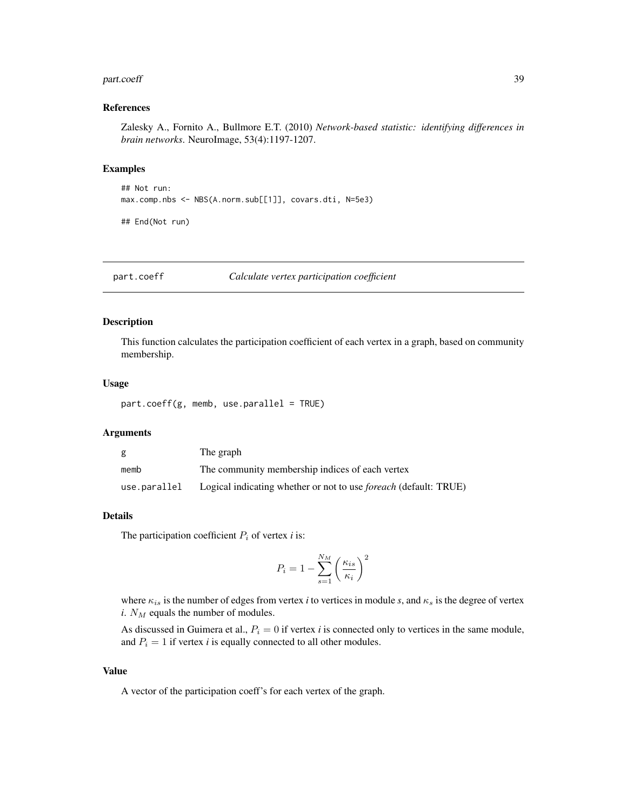#### <span id="page-38-0"></span>part.coeff 39

#### References

Zalesky A., Fornito A., Bullmore E.T. (2010) *Network-based statistic: identifying differences in brain networks*. NeuroImage, 53(4):1197-1207.

## Examples

## Not run: max.comp.nbs <- NBS(A.norm.sub[[1]], covars.dti, N=5e3)

## End(Not run)

<span id="page-38-1"></span>part.coeff *Calculate vertex participation coefficient*

## Description

This function calculates the participation coefficient of each vertex in a graph, based on community membership.

#### Usage

part.coeff(g, memb, use.parallel = TRUE)

## Arguments

| g            | The graph                                                               |
|--------------|-------------------------------------------------------------------------|
| memb         | The community membership indices of each vertex                         |
| use.parallel | Logical indicating whether or not to use <i>foreach</i> (default: TRUE) |

#### Details

The participation coefficient  $P_i$  of vertex  $i$  is:

$$
P_i = 1 - \sum_{s=1}^{N_M} \left(\frac{\kappa_{is}}{\kappa_i}\right)^2
$$

where  $\kappa_{is}$  is the number of edges from vertex *i* to vertices in module *s*, and  $\kappa_s$  is the degree of vertex  $i. N_M$  equals the number of modules.

As discussed in Guimera et al.,  $P_i = 0$  if vertex *i* is connected only to vertices in the same module, and  $P_i = 1$  if vertex *i* is equally connected to all other modules.

## Value

A vector of the participation coeff's for each vertex of the graph.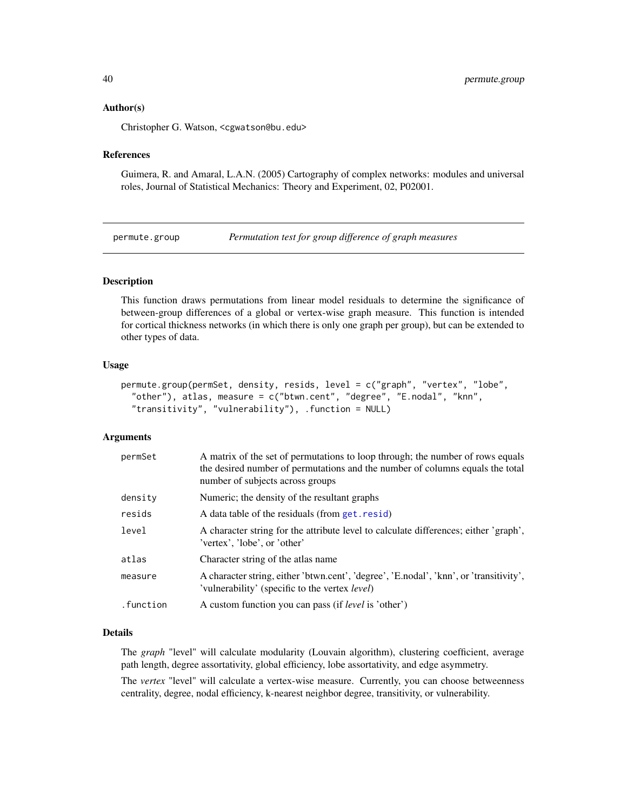#### <span id="page-39-0"></span>Author(s)

Christopher G. Watson, <cgwatson@bu.edu>

#### References

Guimera, R. and Amaral, L.A.N. (2005) Cartography of complex networks: modules and universal roles, Journal of Statistical Mechanics: Theory and Experiment, 02, P02001.

<span id="page-39-1"></span>permute.group *Permutation test for group difference of graph measures*

## Description

This function draws permutations from linear model residuals to determine the significance of between-group differences of a global or vertex-wise graph measure. This function is intended for cortical thickness networks (in which there is only one graph per group), but can be extended to other types of data.

#### Usage

```
permute.group(permSet, density, resids, level = c("graph", "vertex", "lobe",
  "other"), atlas, measure = c("btwn.cent", "degree", "E.nodal", "knn",
  "transitivity", "vulnerability"), .function = NULL)
```
#### Arguments

| permSet   | A matrix of the set of permutations to loop through; the number of rows equals<br>the desired number of permutations and the number of columns equals the total<br>number of subjects across groups |
|-----------|-----------------------------------------------------------------------------------------------------------------------------------------------------------------------------------------------------|
| density   | Numeric; the density of the resultant graphs                                                                                                                                                        |
| resids    | A data table of the residuals (from get. resid)                                                                                                                                                     |
| level     | A character string for the attribute level to calculate differences; either 'graph',<br>'vertex', 'lobe', or 'other'                                                                                |
| atlas     | Character string of the atlas name                                                                                                                                                                  |
| measure   | A character string, either 'btwn.cent', 'degree', 'E.nodal', 'knn', or 'transitivity',<br>'vulnerability' (specific to the vertex <i>level</i> )                                                    |
| .function | A custom function you can pass (if <i>level</i> is 'other')                                                                                                                                         |

#### Details

The *graph* "level" will calculate modularity (Louvain algorithm), clustering coefficient, average path length, degree assortativity, global efficiency, lobe assortativity, and edge asymmetry.

The *vertex* "level" will calculate a vertex-wise measure. Currently, you can choose betweenness centrality, degree, nodal efficiency, k-nearest neighbor degree, transitivity, or vulnerability.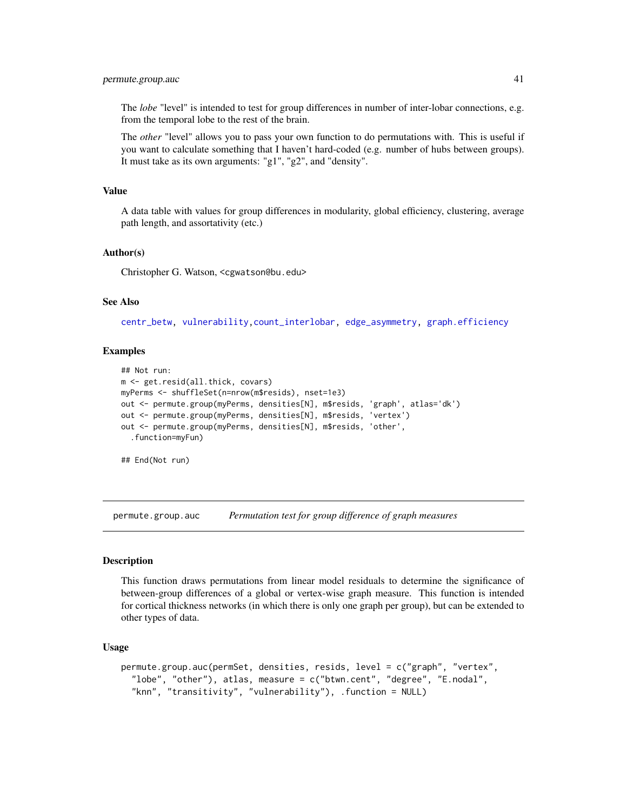## <span id="page-40-0"></span>permute.group.auc 41

The *lobe* "level" is intended to test for group differences in number of inter-lobar connections, e.g. from the temporal lobe to the rest of the brain.

The *other* "level" allows you to pass your own function to do permutations with. This is useful if you want to calculate something that I haven't hard-coded (e.g. number of hubs between groups). It must take as its own arguments: "g1", "g2", and "density".

#### Value

A data table with values for group differences in modularity, global efficiency, clustering, average path length, and assortativity (etc.)

## Author(s)

Christopher G. Watson, <cgwatson@bu.edu>

#### See Also

[centr\\_betw,](#page-0-0) [vulnerability,](#page-65-1)[count\\_interlobar,](#page-19-1) [edge\\_asymmetry,](#page-28-1) [graph.efficiency](#page-31-1)

#### Examples

```
## Not run:
m <- get.resid(all.thick, covars)
myPerms <- shuffleSet(n=nrow(m$resids), nset=1e3)
out <- permute.group(myPerms, densities[N], m$resids, 'graph', atlas='dk')
out <- permute.group(myPerms, densities[N], m$resids, 'vertex')
out <- permute.group(myPerms, densities[N], m$resids, 'other',
  .function=myFun)
```
## End(Not run)

permute.group.auc *Permutation test for group difference of graph measures*

#### Description

This function draws permutations from linear model residuals to determine the significance of between-group differences of a global or vertex-wise graph measure. This function is intended for cortical thickness networks (in which there is only one graph per group), but can be extended to other types of data.

## Usage

```
permute.group.auc(permSet, densities, resids, level = c("graph", "vertex",
  "lobe", "other"), atlas, measure = c("btwn.cent", "degree", "E.nodal",
  "knn", "transitivity", "vulnerability"), .function = NULL)
```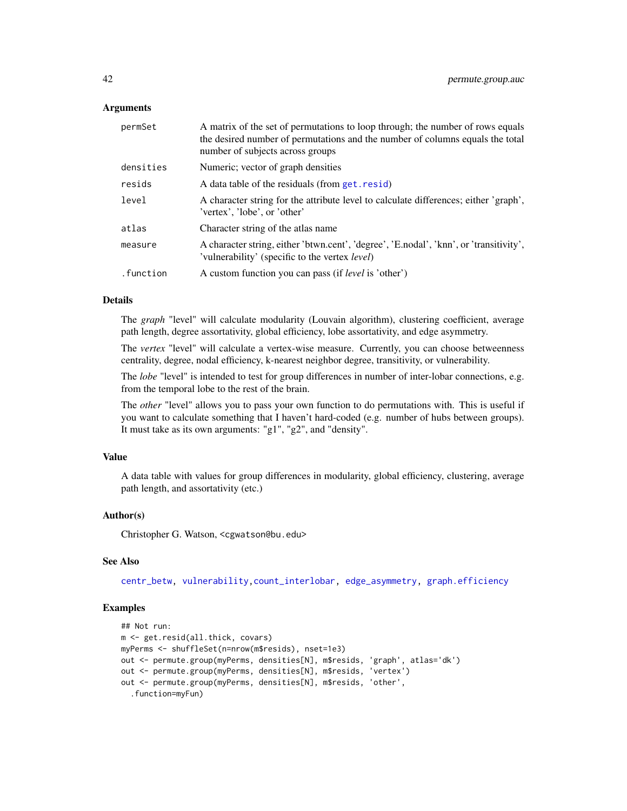#### Arguments

| permSet   | A matrix of the set of permutations to loop through; the number of rows equals<br>the desired number of permutations and the number of columns equals the total<br>number of subjects across groups |
|-----------|-----------------------------------------------------------------------------------------------------------------------------------------------------------------------------------------------------|
| densities | Numeric; vector of graph densities                                                                                                                                                                  |
| resids    | A data table of the residuals (from get. resid)                                                                                                                                                     |
| level     | A character string for the attribute level to calculate differences; either 'graph',<br>'vertex', 'lobe', or 'other'                                                                                |
| atlas     | Character string of the atlas name                                                                                                                                                                  |
| measure   | A character string, either 'btwn.cent', 'degree', 'E.nodal', 'knn', or 'transitivity',<br>'vulnerability' (specific to the vertex <i>level</i> )                                                    |
| .function | A custom function you can pass (if <i>level</i> is 'other')                                                                                                                                         |

## Details

The *graph* "level" will calculate modularity (Louvain algorithm), clustering coefficient, average path length, degree assortativity, global efficiency, lobe assortativity, and edge asymmetry.

The *vertex* "level" will calculate a vertex-wise measure. Currently, you can choose betweenness centrality, degree, nodal efficiency, k-nearest neighbor degree, transitivity, or vulnerability.

The *lobe* "level" is intended to test for group differences in number of inter-lobar connections, e.g. from the temporal lobe to the rest of the brain.

The *other* "level" allows you to pass your own function to do permutations with. This is useful if you want to calculate something that I haven't hard-coded (e.g. number of hubs between groups). It must take as its own arguments: "g1", "g2", and "density".

#### Value

A data table with values for group differences in modularity, global efficiency, clustering, average path length, and assortativity (etc.)

## Author(s)

Christopher G. Watson, <cgwatson@bu.edu>

#### See Also

[centr\\_betw,](#page-0-0) [vulnerability,](#page-65-1)[count\\_interlobar,](#page-19-1) [edge\\_asymmetry,](#page-28-1) [graph.efficiency](#page-31-1)

## Examples

```
## Not run:
m <- get.resid(all.thick, covars)
myPerms <- shuffleSet(n=nrow(m$resids), nset=1e3)
out <- permute.group(myPerms, densities[N], m$resids, 'graph', atlas='dk')
out <- permute.group(myPerms, densities[N], m$resids, 'vertex')
out <- permute.group(myPerms, densities[N], m$resids, 'other',
  .function=myFun)
```
<span id="page-41-0"></span>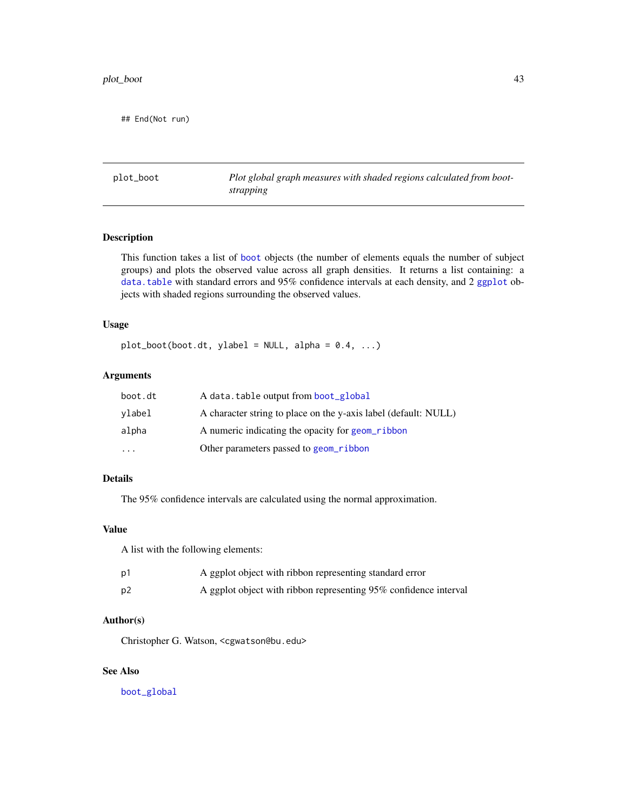<span id="page-42-0"></span>## End(Not run)

plot\_boot *Plot global graph measures with shaded regions calculated from bootstrapping*

#### Description

This function takes a list of [boot](#page-0-0) objects (the number of elements equals the number of subject groups) and plots the observed value across all graph densities. It returns a list containing: a [data.table](#page-0-0) with standard errors and 95% confidence intervals at each density, and 2 [ggplot](#page-0-0) objects with shaded regions surrounding the observed values.

## Usage

 $plot\_boot(boot. dt, ylabel = NULL, alpha = 0.4, ...)$ 

## Arguments

| boot.dt | A data.table output from boot_global                            |
|---------|-----------------------------------------------------------------|
| vlabel  | A character string to place on the y-axis label (default: NULL) |
| alpha   | A numeric indicating the opacity for geom ribbon                |
| $\cdot$ | Other parameters passed to geom ribbon                          |

## Details

The 95% confidence intervals are calculated using the normal approximation.

## Value

A list with the following elements:

| p1 | A ggplot object with ribbon representing standard error          |
|----|------------------------------------------------------------------|
| p2 | A ggplot object with ribbon representing 95% confidence interval |

## Author(s)

Christopher G. Watson, <cgwatson@bu.edu>

## See Also

[boot\\_global](#page-9-1)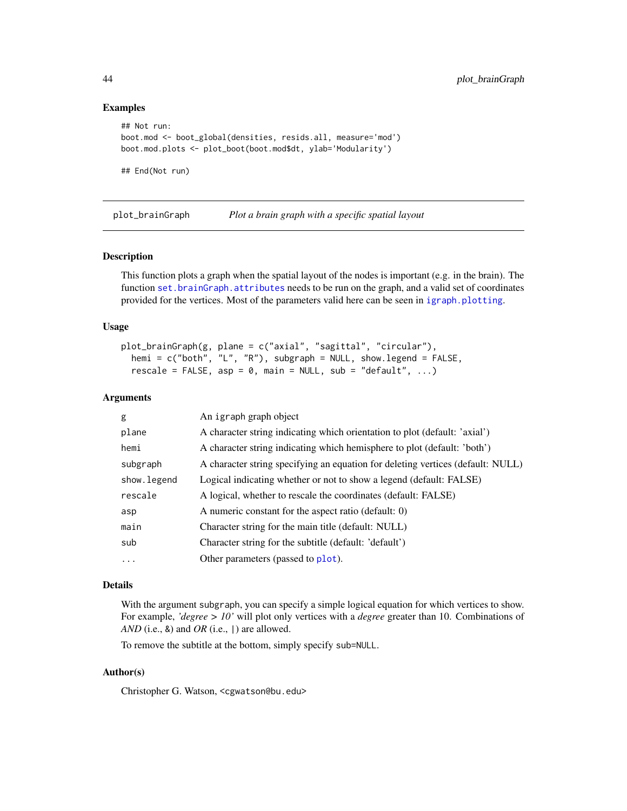#### Examples

```
## Not run:
boot.mod <- boot_global(densities, resids.all, measure='mod')
boot.mod.plots <- plot_boot(boot.mod$dt, ylab='Modularity')
## End(Not run)
```
<span id="page-43-1"></span>plot\_brainGraph *Plot a brain graph with a specific spatial layout*

#### Description

This function plots a graph when the spatial layout of the nodes is important (e.g. in the brain). The function [set.brainGraph.attributes](#page-57-1) needs to be run on the graph, and a valid set of coordinates provided for the vertices. Most of the parameters valid here can be seen in [igraph.plotting](#page-0-0).

#### Usage

```
plot_brainGraph(g, plane = c("axial", "sagittal", "circular"),
  hemi = c("both", "L", "R"), subgraph = NULL, show.legend = FALSE,
  rescale = FALSE, asp = 0, main = NULL, sub = "default", ...)
```
#### Arguments

| g            | An igraph graph object                                                          |
|--------------|---------------------------------------------------------------------------------|
| plane        | A character string indicating which orientation to plot (default: 'axial')      |
| hemi         | A character string indicating which hemisphere to plot (default: 'both')        |
| subgraph     | A character string specifying an equation for deleting vertices (default: NULL) |
| show. legend | Logical indicating whether or not to show a legend (default: FALSE)             |
| rescale      | A logical, whether to rescale the coordinates (default: FALSE)                  |
| asp          | A numeric constant for the aspect ratio (default: 0)                            |
| main         | Character string for the main title (default: NULL)                             |
| sub          | Character string for the subtitle (default: 'default')                          |
| $\ddotsc$    | Other parameters (passed to plot).                                              |
|              |                                                                                 |

## Details

With the argument subgraph, you can specify a simple logical equation for which vertices to show. For example, *'degree > 10'* will plot only vertices with a *degree* greater than 10. Combinations of *AND* (i.e., &) and *OR* (i.e., |) are allowed.

To remove the subtitle at the bottom, simply specify sub=NULL.

## Author(s)

Christopher G. Watson, <cgwatson@bu.edu>

<span id="page-43-0"></span>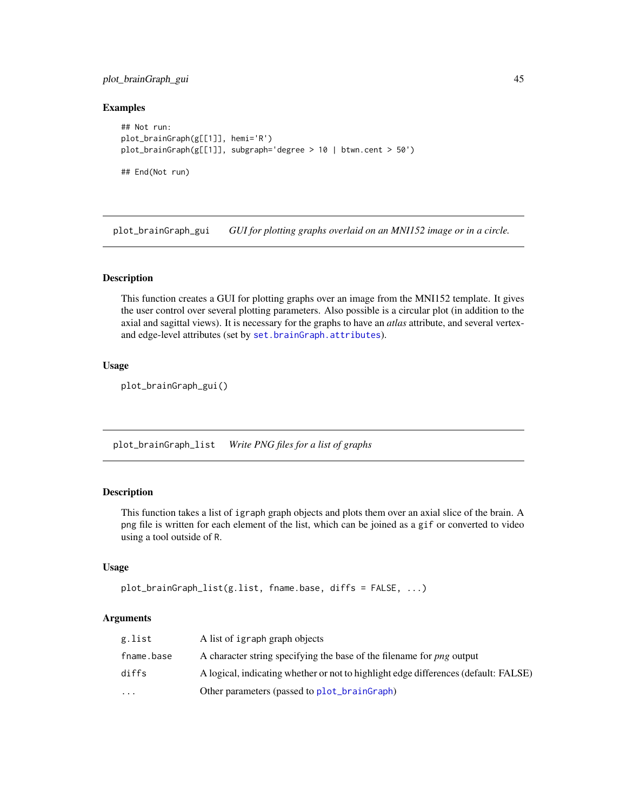## <span id="page-44-0"></span>plot\_brainGraph\_gui 45

### Examples

```
## Not run:
plot_brainGraph(g[[1]], hemi='R')
plot_brainGraph(g[[1]], subgraph='degree > 10 | btwn.cent > 50')
## End(Not run)
```
<span id="page-44-1"></span>plot\_brainGraph\_gui *GUI for plotting graphs overlaid on an MNI152 image or in a circle.*

#### Description

This function creates a GUI for plotting graphs over an image from the MNI152 template. It gives the user control over several plotting parameters. Also possible is a circular plot (in addition to the axial and sagittal views). It is necessary for the graphs to have an *atlas* attribute, and several vertexand edge-level attributes (set by [set.brainGraph.attributes](#page-57-1)).

## Usage

plot\_brainGraph\_gui()

plot\_brainGraph\_list *Write PNG files for a list of graphs*

## Description

This function takes a list of igraph graph objects and plots them over an axial slice of the brain. A png file is written for each element of the list, which can be joined as a gif or converted to video using a tool outside of R.

## Usage

```
plot_brainGraph_list(g.list, fname.base, diffs = FALSE, ...)
```
#### Arguments

| g.list     | A list of igraph graph objects                                                      |
|------------|-------------------------------------------------------------------------------------|
| fname.base | A character string specifying the base of the filename for <i>png</i> output        |
| diffs      | A logical, indicating whether or not to highlight edge differences (default: FALSE) |
| $\cdots$   | Other parameters (passed to plot_brainGraph)                                        |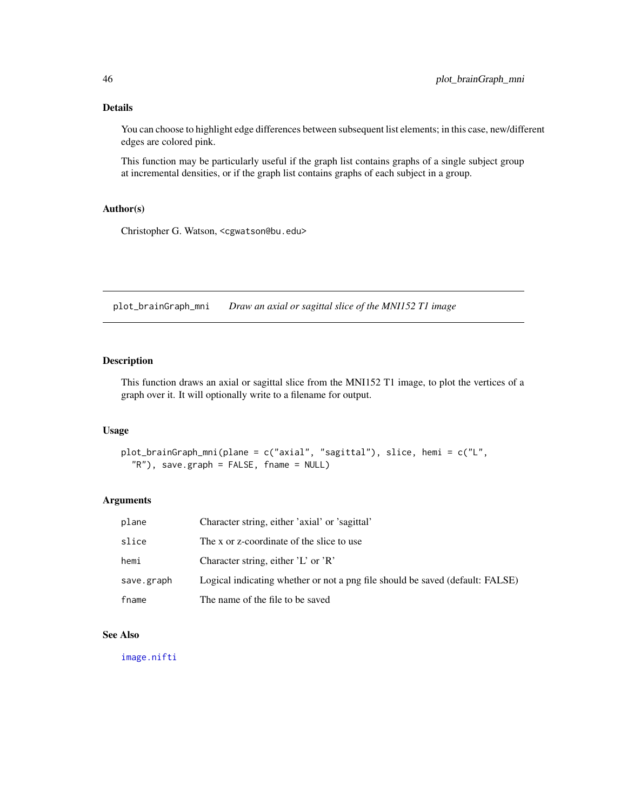## <span id="page-45-0"></span>Details

You can choose to highlight edge differences between subsequent list elements; in this case, new/different edges are colored pink.

This function may be particularly useful if the graph list contains graphs of a single subject group at incremental densities, or if the graph list contains graphs of each subject in a group.

## Author(s)

Christopher G. Watson, <cgwatson@bu.edu>

plot\_brainGraph\_mni *Draw an axial or sagittal slice of the MNI152 T1 image*

## Description

This function draws an axial or sagittal slice from the MNI152 T1 image, to plot the vertices of a graph over it. It will optionally write to a filename for output.

## Usage

```
plot_brainGraph_mni(plane = c("axial", "sagittal"), slice, hemi = c("L",
  "R"), save.graph = FALSE, fname = NULL)
```
#### Arguments

| plane      | Character string, either 'axial' or 'sagittal'                                |
|------------|-------------------------------------------------------------------------------|
| slice      | The x or z-coordinate of the slice to use                                     |
| hemi       | Character string, either $'L'$ or $'R'$                                       |
| save.graph | Logical indicating whether or not a png file should be saved (default: FALSE) |
| fname      | The name of the file to be saved                                              |

#### See Also

[image.nifti](#page-0-0)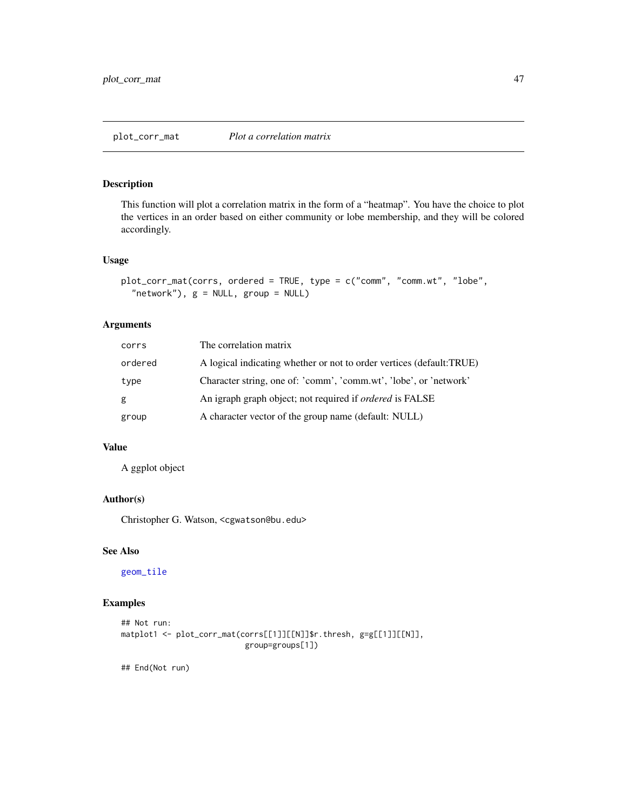<span id="page-46-0"></span>This function will plot a correlation matrix in the form of a "heatmap". You have the choice to plot the vertices in an order based on either community or lobe membership, and they will be colored accordingly.

## Usage

```
plot_corr_mat(corrs, ordered = TRUE, type = c("comm", "comm.wt", "lobe",
  "network"), g = NULL, group = NULL
```
## Arguments

| corrs   | The correlation matrix                                               |
|---------|----------------------------------------------------------------------|
| ordered | A logical indicating whether or not to order vertices (default:TRUE) |
| type    | Character string, one of: 'comm', 'comm.wt', 'lobe', or 'network'    |
| g       | An igraph graph object; not required if <i>ordered</i> is FALSE      |
| group   | A character vector of the group name (default: NULL)                 |

## Value

A ggplot object

## Author(s)

Christopher G. Watson, <cgwatson@bu.edu>

## See Also

[geom\\_tile](#page-0-0)

## Examples

```
## Not run:
matplot1 <- plot_corr_mat(corrs[[1]][[N]]$r.thresh, g=g[[1]][[N]],
                           group=groups[1])
```
## End(Not run)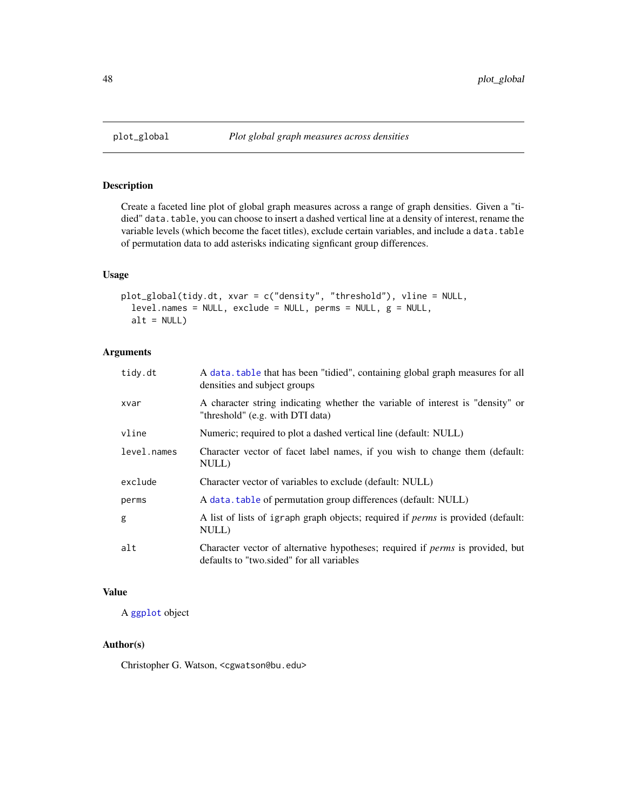<span id="page-47-0"></span>

Create a faceted line plot of global graph measures across a range of graph densities. Given a "tidied" data.table, you can choose to insert a dashed vertical line at a density of interest, rename the variable levels (which become the facet titles), exclude certain variables, and include a data.table of permutation data to add asterisks indicating signficant group differences.

## Usage

```
plot_global(tidy.dt, xvar = c("density", "threshold"), vline = NULL,
 level.names = NULL, exclude = NULL, perms = NULL, g = NULL,
  alt = NULL)
```
## Arguments

| tidy.dt     | A data, table that has been "tidied", containing global graph measures for all<br>densities and subject groups                     |
|-------------|------------------------------------------------------------------------------------------------------------------------------------|
| xvar        | A character string indicating whether the variable of interest is "density" or<br>"threshold" (e.g. with DTI data)                 |
| vline       | Numeric; required to plot a dashed vertical line (default: NULL)                                                                   |
| level.names | Character vector of facet label names, if you wish to change them (default:<br>NULL)                                               |
| exclude     | Character vector of variables to exclude (default: NULL)                                                                           |
| perms       | A data. table of permutation group differences (default: NULL)                                                                     |
| g           | A list of lists of igraph graph objects; required if <i>perms</i> is provided (default:<br>NULL)                                   |
| alt         | Character vector of alternative hypotheses; required if <i>perms</i> is provided, but<br>defaults to "two sided" for all variables |

## Value

A [ggplot](#page-0-0) object

## Author(s)

Christopher G. Watson, <cgwatson@bu.edu>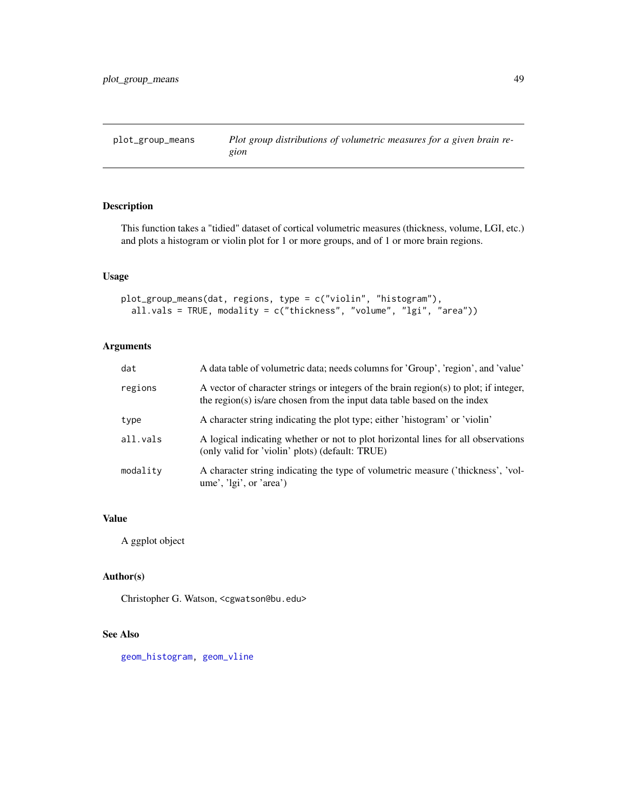<span id="page-48-0"></span>

This function takes a "tidied" dataset of cortical volumetric measures (thickness, volume, LGI, etc.) and plots a histogram or violin plot for 1 or more groups, and of 1 or more brain regions.

## Usage

```
plot_group_means(dat, regions, type = c("violin", "histogram"),
  all.vals = TRUE, modality = c("thickness", "volume", "lgi", "area"))
```
## Arguments

| dat      | A data table of volumetric data; needs columns for 'Group', 'region', and 'value'                                                                                 |
|----------|-------------------------------------------------------------------------------------------------------------------------------------------------------------------|
| regions  | A vector of character strings or integers of the brain region(s) to plot; if integer,<br>the region(s) is/are chosen from the input data table based on the index |
| type     | A character string indicating the plot type; either 'histogram' or 'violin'                                                                                       |
| all.vals | A logical indicating whether or not to plot horizontal lines for all observations<br>(only valid for 'violin' plots) (default: TRUE)                              |
| modality | A character string indicating the type of volumetric measure ('thickness', 'vol-<br>ume', 'lgi', or 'area')                                                       |

## Value

A ggplot object

## Author(s)

Christopher G. Watson, <cgwatson@bu.edu>

## See Also

[geom\\_histogram,](#page-0-0) [geom\\_vline](#page-0-0)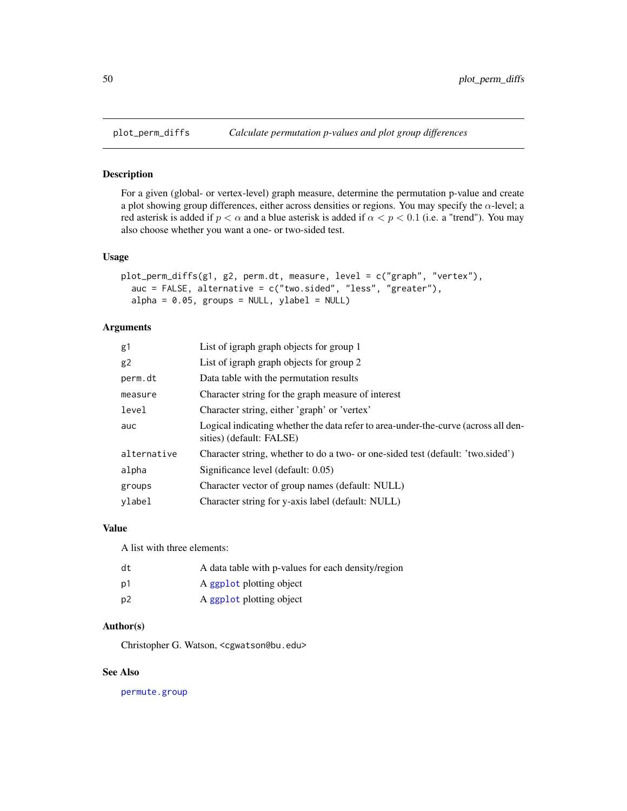<span id="page-49-0"></span>

For a given (global- or vertex-level) graph measure, determine the permutation p-value and create a plot showing group differences, either across densities or regions. You may specify the  $\alpha$ -level; a red asterisk is added if  $p < \alpha$  and a blue asterisk is added if  $\alpha < p < 0.1$  (i.e. a "trend"). You may also choose whether you want a one- or two-sided test.

#### Usage

```
plot_perm_diffs(g1, g2, perm.dt, measure, level = c("graph", "vertex"),
  auc = FALSE, alternative = c("two.sided", "less", "greater"),
  alpha = 0.05, groups = NULL, ylabel = NULL)
```
## Arguments

| g1          | List of igraph graph objects for group 1                                                                       |
|-------------|----------------------------------------------------------------------------------------------------------------|
| g2          | List of igraph graph objects for group 2                                                                       |
| perm.dt     | Data table with the permutation results                                                                        |
| measure     | Character string for the graph measure of interest                                                             |
| level       | Character string, either 'graph' or 'vertex'                                                                   |
| auc         | Logical indicating whether the data refer to area-under-the-curve (across all den-<br>sities) (default: FALSE) |
| alternative | Character string, whether to do a two- or one-sided test (default: 'two.sided')                                |
| alpha       | Significance level (default: 0.05)                                                                             |
| groups      | Character vector of group names (default: NULL)                                                                |
| vlabel      | Character string for y-axis label (default: NULL)                                                              |

## Value

A list with three elements:

| dt | A data table with p-values for each density/region |
|----|----------------------------------------------------|
| p1 | A ggplot plotting object                           |
| p2 | A ggplot plotting object                           |

#### Author(s)

Christopher G. Watson, <cgwatson@bu.edu>

#### See Also

[permute.group](#page-39-1)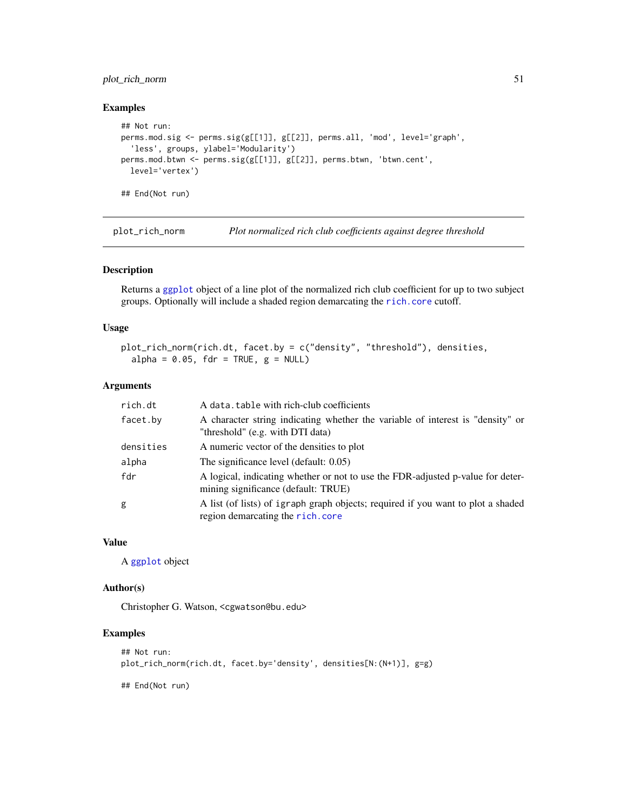## <span id="page-50-0"></span>plot\_rich\_norm 51

#### Examples

```
## Not run:
perms.mod.sig <- perms.sig(g[[1]], g[[2]], perms.all, 'mod', level='graph',
  'less', groups, ylabel='Modularity')
perms.mod.btwn <- perms.sig(g[[1]], g[[2]], perms.btwn, 'btwn.cent',
  level='vertex')
## End(Not run)
```
plot\_rich\_norm *Plot normalized rich club coefficients against degree threshold*

## Description

Returns a [ggplot](#page-0-0) object of a line plot of the normalized rich club coefficient for up to two subject groups. Optionally will include a shaded region demarcating the [rich.core](#page-55-1) cutoff.

## Usage

```
plot_rich_norm(rich.dt, facet.by = c("density", "threshold"), densities,
  alpha = 0.05, fdr = TRUE, g = NULL
```
#### Arguments

| rich.dt   | A data, table with rich-club coefficients                                                                              |
|-----------|------------------------------------------------------------------------------------------------------------------------|
| facet.by  | A character string indicating whether the variable of interest is "density" or<br>"threshold" (e.g. with DTI data)     |
| densities | A numeric vector of the densities to plot                                                                              |
| alpha     | The significance level (default: 0.05)                                                                                 |
| fdr       | A logical, indicating whether or not to use the FDR-adjusted p-value for deter-<br>mining significance (default: TRUE) |
| g         | A list (of lists) of igraph graph objects; required if you want to plot a shaded<br>region demarcating the rich.core   |

## Value

A [ggplot](#page-0-0) object

#### Author(s)

Christopher G. Watson, <cgwatson@bu.edu>

## Examples

```
## Not run:
plot_rich_norm(rich.dt, facet.by='density', densities[N:(N+1)], g=g)
```
## End(Not run)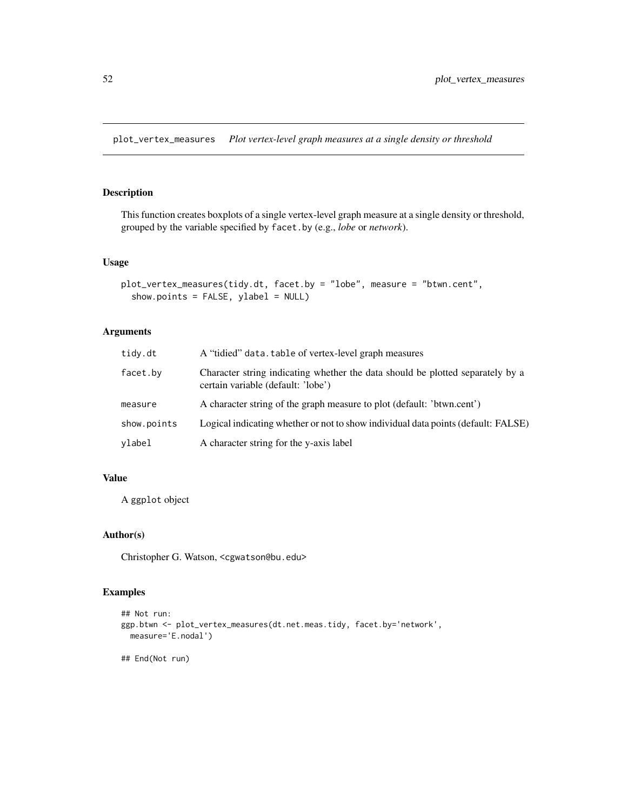<span id="page-51-0"></span>plot\_vertex\_measures *Plot vertex-level graph measures at a single density or threshold*

## Description

This function creates boxplots of a single vertex-level graph measure at a single density or threshold, grouped by the variable specified by facet.by (e.g., *lobe* or *network*).

## Usage

```
plot_vertex_measures(tidy.dt, facet.by = "lobe", measure = "btwn.cent",
  show.points = FALSE, ylabel = NULL)
```
## Arguments

| tidy.dt     | A "tidied" data. table of vertex-level graph measures                                                                |  |
|-------------|----------------------------------------------------------------------------------------------------------------------|--|
| facet.by    | Character string indicating whether the data should be plotted separately by a<br>certain variable (default: 'lobe') |  |
| measure     | A character string of the graph measure to plot (default: 'btwn.cent')                                               |  |
| show.points | Logical indicating whether or not to show individual data points (default: FALSE)                                    |  |
| ylabel      | A character string for the y-axis label                                                                              |  |

## Value

A ggplot object

## Author(s)

Christopher G. Watson, <cgwatson@bu.edu>

## Examples

```
## Not run:
ggp.btwn <- plot_vertex_measures(dt.net.meas.tidy, facet.by='network',
  measure='E.nodal')
## End(Not run)
```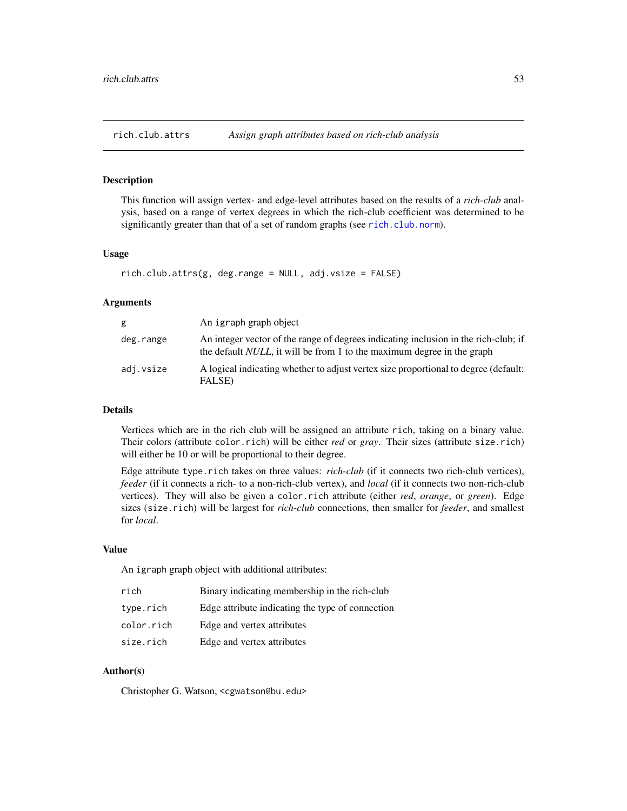<span id="page-52-0"></span>

This function will assign vertex- and edge-level attributes based on the results of a *rich-club* analysis, based on a range of vertex degrees in which the rich-club coefficient was determined to be significantly greater than that of a set of random graphs (see [rich.club.norm](#page-54-1)).

#### Usage

```
rich.club.attrs(g, deg.range = NULL, adj.vsize = FALSE)
```
#### Arguments

| g         | An igraph graph object                                                                                                                                                |
|-----------|-----------------------------------------------------------------------------------------------------------------------------------------------------------------------|
| deg.range | An integer vector of the range of degrees indicating inclusion in the rich-club; if<br>the default <i>NULL</i> , it will be from 1 to the maximum degree in the graph |
| adj.vsize | A logical indicating whether to adjust vertex size proportional to degree (default:<br>FALSE)                                                                         |

#### Details

Vertices which are in the rich club will be assigned an attribute rich, taking on a binary value. Their colors (attribute color.rich) will be either *red* or *gray*. Their sizes (attribute size.rich) will either be 10 or will be proportional to their degree.

Edge attribute type.rich takes on three values: *rich-club* (if it connects two rich-club vertices), *feeder* (if it connects a rich- to a non-rich-club vertex), and *local* (if it connects two non-rich-club vertices). They will also be given a color.rich attribute (either *red*, *orange*, or *green*). Edge sizes (size.rich) will be largest for *rich-club* connections, then smaller for *feeder*, and smallest for *local*.

#### Value

An igraph graph object with additional attributes:

| rich       | Binary indicating membership in the rich-club    |
|------------|--------------------------------------------------|
| type.rich  | Edge attribute indicating the type of connection |
| color.rich | Edge and vertex attributes                       |
| size.rich  | Edge and vertex attributes                       |

## Author(s)

Christopher G. Watson, <cgwatson@bu.edu>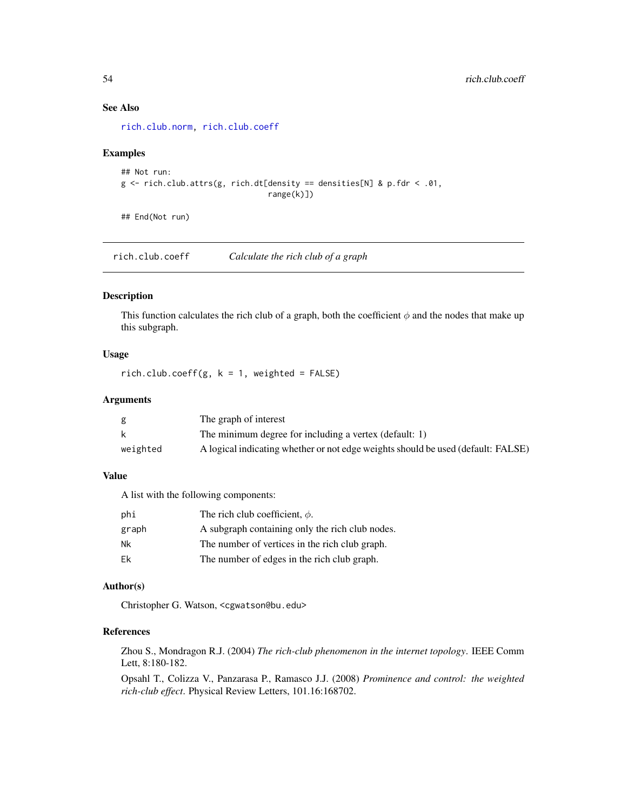## See Also

[rich.club.norm,](#page-54-1) [rich.club.coeff](#page-53-1)

## Examples

```
## Not run:
g \leftarrow rich.club.attrs(g, rich.dt[density == densities[N] & p.fdr < .01,
                                   range(k)])
```
## End(Not run)

<span id="page-53-1"></span>rich.club.coeff *Calculate the rich club of a graph*

## Description

This function calculates the rich club of a graph, both the coefficient  $\phi$  and the nodes that make up this subgraph.

## Usage

rich.club.coeff(g,  $k = 1$ , weighted = FALSE)

## Arguments

|          | The graph of interest                                                            |
|----------|----------------------------------------------------------------------------------|
|          | The minimum degree for including a vertex (default: 1)                           |
| weighted | A logical indicating whether or not edge weights should be used (default: FALSE) |

## Value

A list with the following components:

| phi   | The rich club coefficient, $\phi$ .             |
|-------|-------------------------------------------------|
| graph | A subgraph containing only the rich club nodes. |
| Nk    | The number of vertices in the rich club graph.  |
| Fk    | The number of edges in the rich club graph.     |

#### Author(s)

Christopher G. Watson, <cgwatson@bu.edu>

## References

Zhou S., Mondragon R.J. (2004) *The rich-club phenomenon in the internet topology*. IEEE Comm Lett, 8:180-182.

Opsahl T., Colizza V., Panzarasa P., Ramasco J.J. (2008) *Prominence and control: the weighted rich-club effect*. Physical Review Letters, 101.16:168702.

<span id="page-53-0"></span>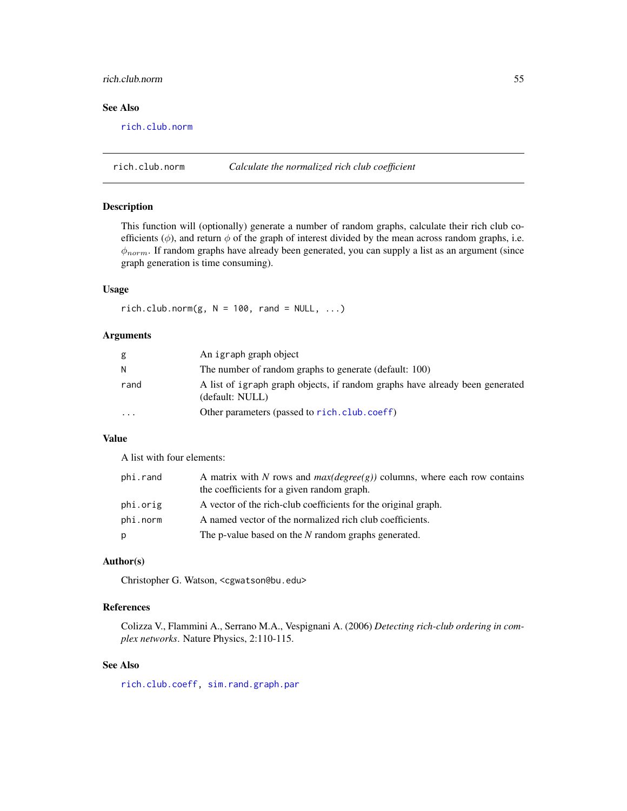## <span id="page-54-0"></span>rich.club.norm 55

## See Also

[rich.club.norm](#page-54-1)

<span id="page-54-1"></span>rich.club.norm *Calculate the normalized rich club coefficient*

## Description

This function will (optionally) generate a number of random graphs, calculate their rich club coefficients ( $\phi$ ), and return  $\phi$  of the graph of interest divided by the mean across random graphs, i.e.  $\phi_{norm}$ . If random graphs have already been generated, you can supply a list as an argument (since graph generation is time consuming).

#### Usage

 $rich. club.norm(g, N = 100, rand = NULL, ...)$ 

#### Arguments

| g        | An igraph graph object                                                                          |
|----------|-------------------------------------------------------------------------------------------------|
| N        | The number of random graphs to generate (default: 100)                                          |
| rand     | A list of igraph graph objects, if random graphs have already been generated<br>(default: NULL) |
| $\cdots$ | Other parameters (passed to rich.club.coeff)                                                    |

## Value

A list with four elements:

| phi.rand | A matrix with N rows and $max(degree(g))$ columns, where each row contains<br>the coefficients for a given random graph. |
|----------|--------------------------------------------------------------------------------------------------------------------------|
| phi.orig | A vector of the rich-club coefficients for the original graph.                                                           |
| phi.norm | A named vector of the normalized rich club coefficients.                                                                 |
| p        | The p-value based on the N random graphs generated.                                                                      |

#### Author(s)

Christopher G. Watson, <cgwatson@bu.edu>

## References

Colizza V., Flammini A., Serrano M.A., Vespignani A. (2006) *Detecting rich-club ordering in complex networks*. Nature Physics, 2:110-115.

#### See Also

[rich.club.coeff,](#page-53-1) [sim.rand.graph.par](#page-59-1)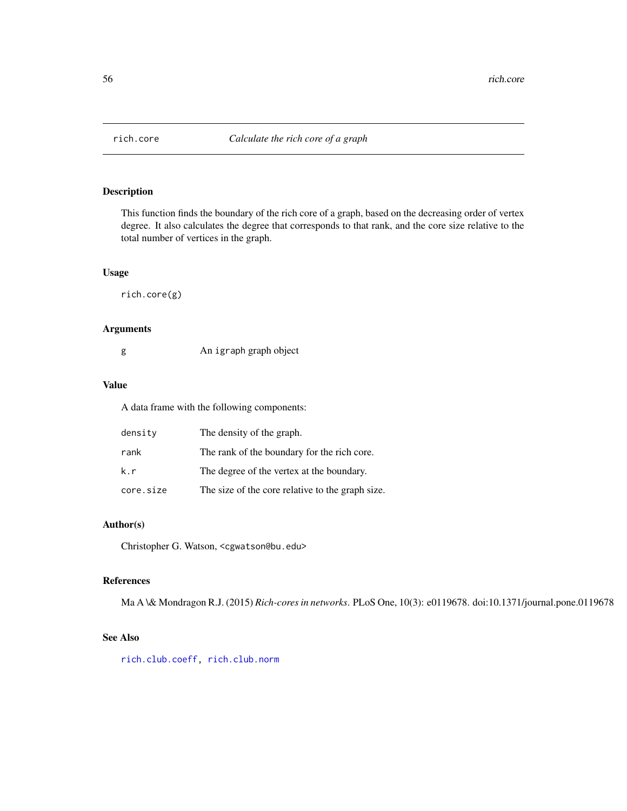<span id="page-55-1"></span><span id="page-55-0"></span>

This function finds the boundary of the rich core of a graph, based on the decreasing order of vertex degree. It also calculates the degree that corresponds to that rank, and the core size relative to the total number of vertices in the graph.

#### Usage

rich.core(g)

## Arguments

| g | An igraph graph object |
|---|------------------------|
|   |                        |

#### Value

A data frame with the following components:

| density   | The density of the graph.                        |
|-----------|--------------------------------------------------|
| rank      | The rank of the boundary for the rich core.      |
| k.r       | The degree of the vertex at the boundary.        |
| core.size | The size of the core relative to the graph size. |

## Author(s)

Christopher G. Watson, <cgwatson@bu.edu>

## References

Ma A \& Mondragon R.J. (2015) *Rich-cores in networks*. PLoS One, 10(3): e0119678. doi:10.1371/journal.pone.0119678

## See Also

[rich.club.coeff,](#page-53-1) [rich.club.norm](#page-54-1)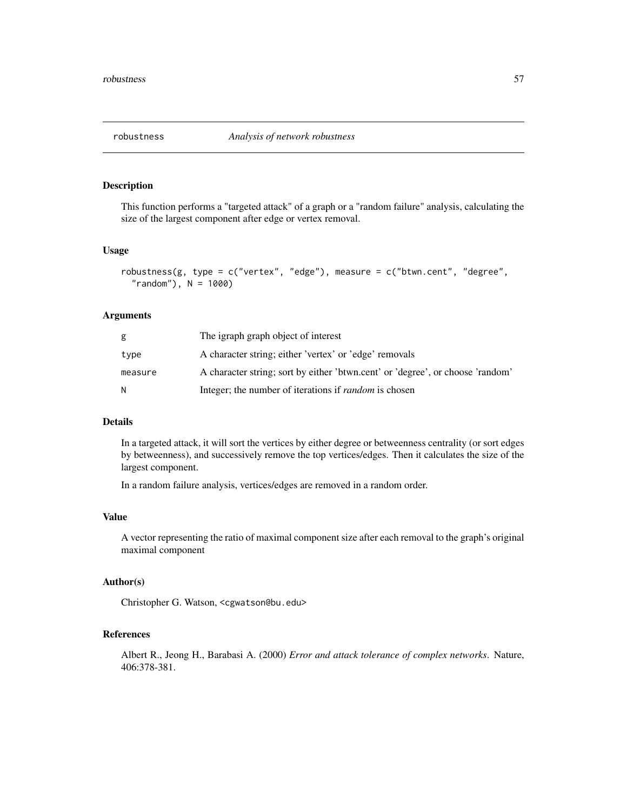<span id="page-56-0"></span>

This function performs a "targeted attack" of a graph or a "random failure" analysis, calculating the size of the largest component after edge or vertex removal.

#### Usage

```
robustness(g, type = c("vertex", "edge"), measure = c("btwn.cent", "degree","random"), N = 1000
```
#### Arguments

| g       | The igraph graph object of interest                                            |
|---------|--------------------------------------------------------------------------------|
| type    | A character string; either 'vertex' or 'edge' removals                         |
| measure | A character string; sort by either 'btwn.cent' or 'degree', or choose 'random' |
| N       | Integer; the number of iterations if <i>random</i> is chosen                   |

## Details

In a targeted attack, it will sort the vertices by either degree or betweenness centrality (or sort edges by betweenness), and successively remove the top vertices/edges. Then it calculates the size of the largest component.

In a random failure analysis, vertices/edges are removed in a random order.

## Value

A vector representing the ratio of maximal component size after each removal to the graph's original maximal component

## Author(s)

Christopher G. Watson, <cgwatson@bu.edu>

## References

Albert R., Jeong H., Barabasi A. (2000) *Error and attack tolerance of complex networks*. Nature, 406:378-381.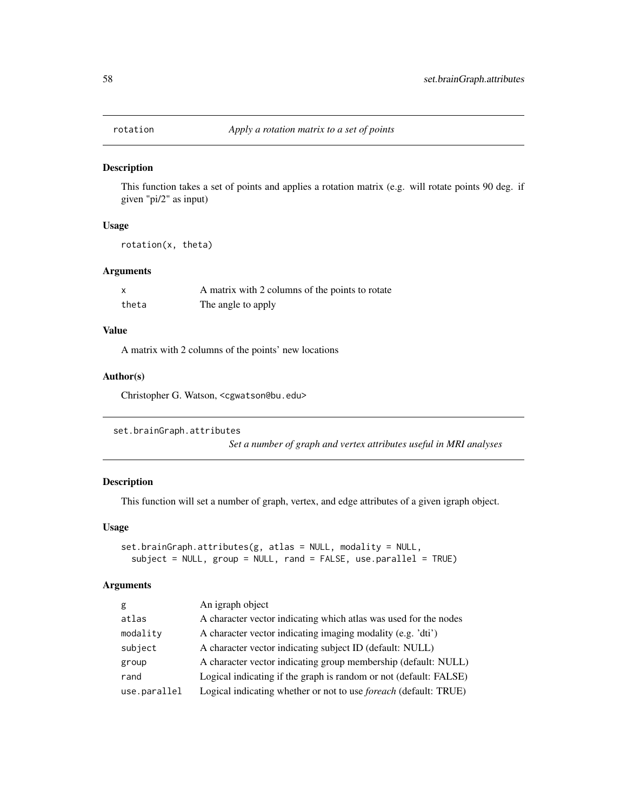<span id="page-57-0"></span>

This function takes a set of points and applies a rotation matrix (e.g. will rotate points 90 deg. if given "pi/2" as input)

## Usage

rotation(x, theta)

## Arguments

|       | A matrix with 2 columns of the points to rotate |
|-------|-------------------------------------------------|
| theta | The angle to apply                              |

## Value

A matrix with 2 columns of the points' new locations

#### Author(s)

Christopher G. Watson, <cgwatson@bu.edu>

```
set.brainGraph.attributes
```
*Set a number of graph and vertex attributes useful in MRI analyses*

## Description

This function will set a number of graph, vertex, and edge attributes of a given igraph object.

#### Usage

```
set.brainGraph.attributes(g, atlas = NULL, modality = NULL,
  subject = NULL, group = NULL, rand = FALSE, use.parallel = TRUE)
```
## Arguments

| g            | An igraph object                                                        |
|--------------|-------------------------------------------------------------------------|
| atlas        | A character vector indicating which atlas was used for the nodes        |
| modality     | A character vector indicating imaging modality (e.g. 'dti')             |
| subject      | A character vector indicating subject ID (default: NULL)                |
| group        | A character vector indicating group membership (default: NULL)          |
| rand         | Logical indicating if the graph is random or not (default: FALSE)       |
| use.parallel | Logical indicating whether or not to use <i>foreach</i> (default: TRUE) |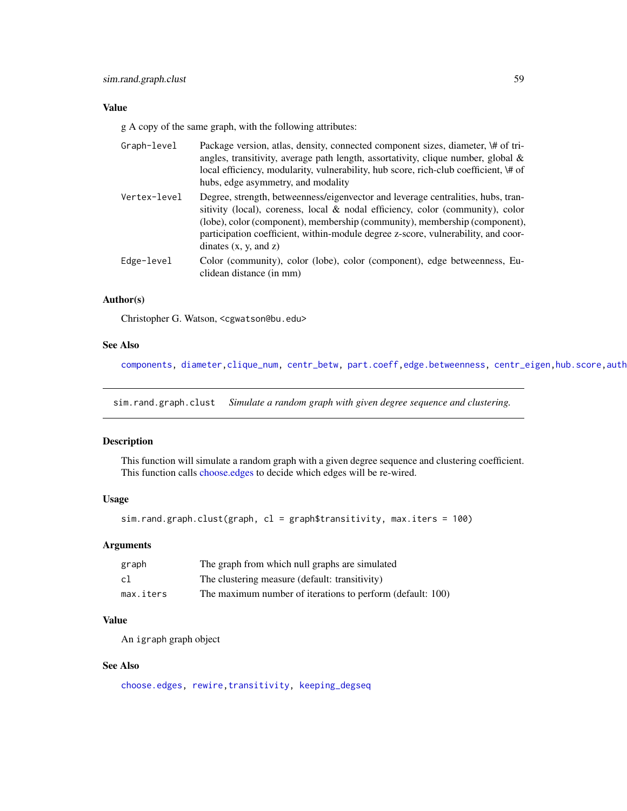## <span id="page-58-0"></span>Value

g A copy of the same graph, with the following attributes:

| Graph-level  | Package version, atlas, density, connected component sizes, diameter, \# of tri-<br>angles, transitivity, average path length, assortativity, clique number, global $\&$<br>local efficiency, modularity, vulnerability, hub score, rich-club coefficient, \# of<br>hubs, edge asymmetry, and modality                                                           |
|--------------|------------------------------------------------------------------------------------------------------------------------------------------------------------------------------------------------------------------------------------------------------------------------------------------------------------------------------------------------------------------|
| Vertex-level | Degree, strength, betweenness/eigenvector and leverage centralities, hubs, tran-<br>sitivity (local), coreness, local & nodal efficiency, color (community), color<br>(lobe), color (component), membership (community), membership (component),<br>participation coefficient, within-module degree z-score, vulnerability, and coor-<br>dinates $(x, y, and z)$ |
| Edge-level   | Color (community), color (lobe), color (component), edge betweenness, Eu-<br>clidean distance (in mm)                                                                                                                                                                                                                                                            |

## Author(s)

Christopher G. Watson, <cgwatson@bu.edu>

#### See Also

[components,](#page-0-0) diameter, clique\_num, [centr\\_betw,](#page-0-0) [part.coeff](#page-38-1), edge.betweenness, centr\_eigen, hub.score, auth

<span id="page-58-1"></span>sim.rand.graph.clust *Simulate a random graph with given degree sequence and clustering.*

## Description

This function will simulate a random graph with a given degree sequence and clustering coefficient. This function calls [choose.edges](#page-15-2) to decide which edges will be re-wired.

## Usage

sim.rand.graph.clust(graph, cl = graph\$transitivity, max.iters = 100)

## Arguments

| graph     | The graph from which null graphs are simulated             |
|-----------|------------------------------------------------------------|
| cl        | The clustering measure (default: transitivity)             |
| max.iters | The maximum number of iterations to perform (default: 100) |

## Value

An igraph graph object

## See Also

[choose.edges,](#page-15-2) [rewire,transitivity,](#page-0-0) [keeping\\_degseq](#page-0-0)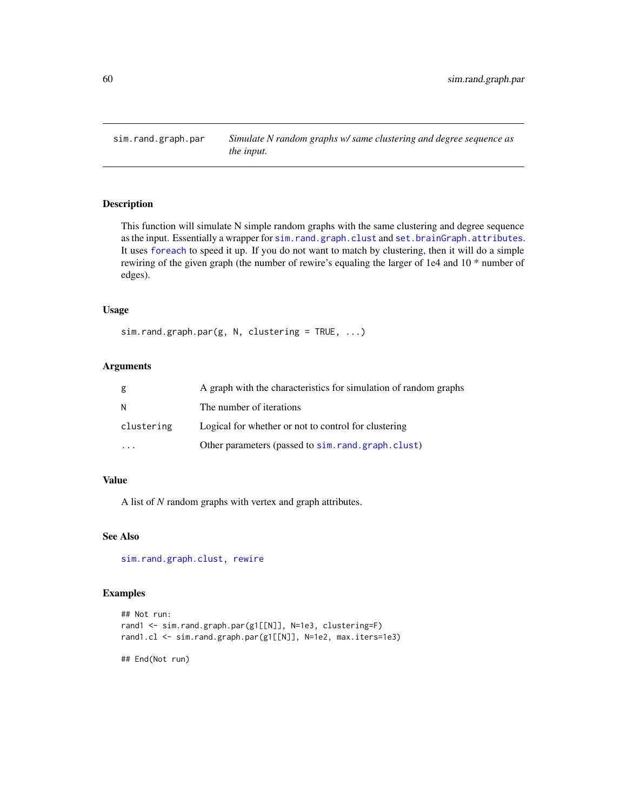<span id="page-59-1"></span><span id="page-59-0"></span>

This function will simulate N simple random graphs with the same clustering and degree sequence as the input. Essentially a wrapper for [sim.rand.graph.clust](#page-58-1) and [set.brainGraph.attributes](#page-57-1). It uses [foreach](#page-0-0) to speed it up. If you do not want to match by clustering, then it will do a simple rewiring of the given graph (the number of rewire's equaling the larger of 1e4 and 10 \* number of edges).

## Usage

```
sim.random.graph.par(g, N, clustering = TRUE, ...)
```
## Arguments

| g          | A graph with the characteristics for simulation of random graphs |
|------------|------------------------------------------------------------------|
| N          | The number of iterations                                         |
| clustering | Logical for whether or not to control for clustering             |
|            | Other parameters (passed to sim.rand.graph.clust)                |

## Value

A list of *N* random graphs with vertex and graph attributes.

## See Also

[sim.rand.graph.clust,](#page-58-1) [rewire](#page-0-0)

## Examples

```
## Not run:
rand1 <- sim.rand.graph.par(g1[[N]], N=1e3, clustering=F)
rand1.cl <- sim.rand.graph.par(g1[[N]], N=1e2, max.iters=1e3)
```
## End(Not run)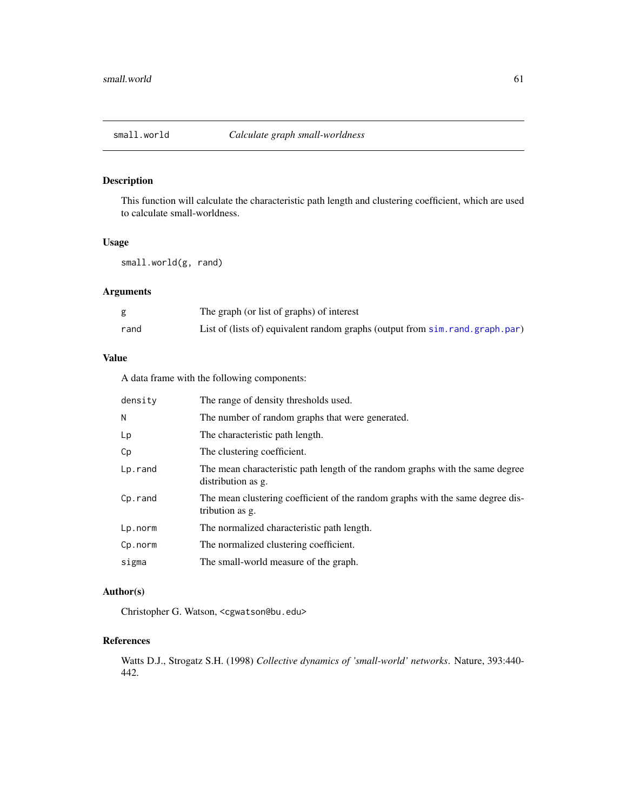<span id="page-60-1"></span><span id="page-60-0"></span>

This function will calculate the characteristic path length and clustering coefficient, which are used to calculate small-worldness.

## Usage

small.world(g, rand)

## Arguments

|      | The graph (or list of graphs) of interest                                       |
|------|---------------------------------------------------------------------------------|
| rand | List of (lists of) equivalent random graphs (output from sim. rand. graph. par) |

## Value

A data frame with the following components:

| density | The range of density thresholds used.                                                               |
|---------|-----------------------------------------------------------------------------------------------------|
| Ν       | The number of random graphs that were generated.                                                    |
| Lp      | The characteristic path length.                                                                     |
| Cp      | The clustering coefficient.                                                                         |
| Lp.rand | The mean characteristic path length of the random graphs with the same degree<br>distribution as g. |
| Cp.rand | The mean clustering coefficient of the random graphs with the same degree dis-<br>tribution as g.   |
| Lp.norm | The normalized characteristic path length.                                                          |
| Cp.norm | The normalized clustering coefficient.                                                              |
| sigma   | The small-world measure of the graph.                                                               |

## Author(s)

Christopher G. Watson, <cgwatson@bu.edu>

## References

Watts D.J., Strogatz S.H. (1998) *Collective dynamics of 'small-world' networks*. Nature, 393:440- 442.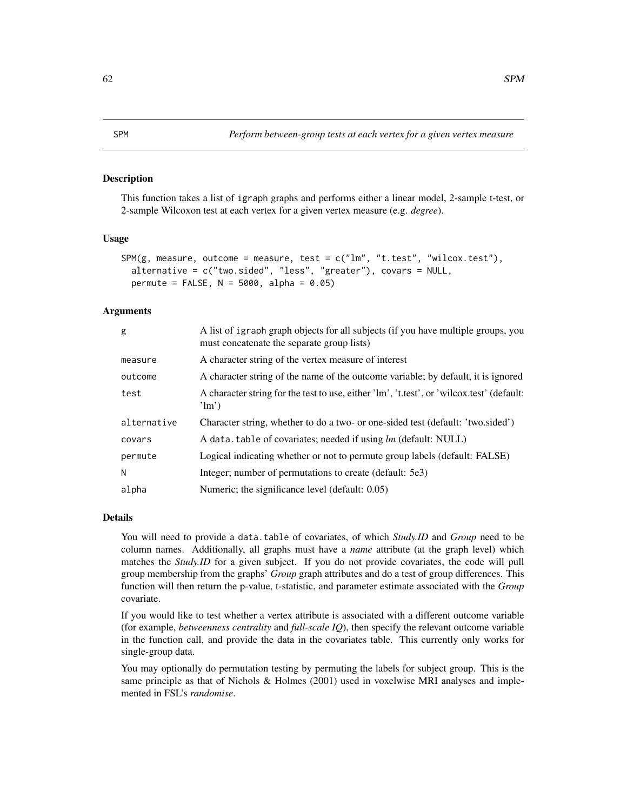<span id="page-61-0"></span>This function takes a list of igraph graphs and performs either a linear model, 2-sample t-test, or 2-sample Wilcoxon test at each vertex for a given vertex measure (e.g. *degree*).

#### Usage

```
SPM(g, measure, outcome = measure, test = c("lm", "t.test", "wilcox.test"),
 alternative = c("two.sided", "less", "greater"), covars = NULL,
 permute = FALSE, N = 5000, alpha = 0.05)
```
#### Arguments

| g           | A list of igraph graph objects for all subjects (if you have multiple groups, you<br>must concatenate the separate group lists) |
|-------------|---------------------------------------------------------------------------------------------------------------------------------|
| measure     | A character string of the vertex measure of interest                                                                            |
| outcome     | A character string of the name of the outcome variable; by default, it is ignored                                               |
| test        | A character string for the test to use, either 'lm', 't.test', or 'wilcox.test' (default:<br>$\lim$ )                           |
| alternative | Character string, whether to do a two- or one-sided test (default: 'two.sided')                                                 |
| covars      | A data. table of covariates; needed if using lm (default: NULL)                                                                 |
| permute     | Logical indicating whether or not to permute group labels (default: FALSE)                                                      |
| N           | Integer; number of permutations to create (default: 5e3)                                                                        |
| alpha       | Numeric; the significance level (default: 0.05)                                                                                 |

## Details

You will need to provide a data.table of covariates, of which *Study.ID* and *Group* need to be column names. Additionally, all graphs must have a *name* attribute (at the graph level) which matches the *Study.ID* for a given subject. If you do not provide covariates, the code will pull group membership from the graphs' *Group* graph attributes and do a test of group differences. This function will then return the p-value, t-statistic, and parameter estimate associated with the *Group* covariate.

If you would like to test whether a vertex attribute is associated with a different outcome variable (for example, *betweenness centrality* and *full-scale IQ*), then specify the relevant outcome variable in the function call, and provide the data in the covariates table. This currently only works for single-group data.

You may optionally do permutation testing by permuting the labels for subject group. This is the same principle as that of Nichols & Holmes (2001) used in voxelwise MRI analyses and implemented in FSL's *randomise*.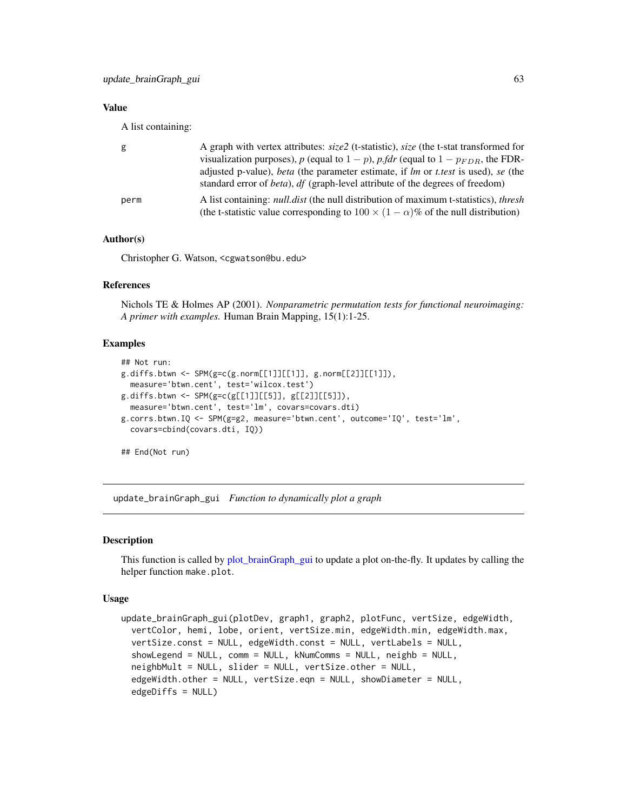## <span id="page-62-0"></span>Value

A list containing:

| g    | A graph with vertex attributes: size2 (t-statistic), size (the t-stat transformed for                          |
|------|----------------------------------------------------------------------------------------------------------------|
|      | visualization purposes), p (equal to $1 - p$ ), p fdr (equal to $1 - p_{FDR}$ , the FDR-                       |
|      | adjusted p-value), <i>beta</i> (the parameter estimate, if <i>lm</i> or <i>t.test</i> is used), <i>se</i> (the |
|      | standard error of <i>beta</i> ), df (graph-level attribute of the degrees of freedom)                          |
| perm | A list containing: <i>null.dist</i> (the null distribution of maximum t-statistics), <i>thresh</i>             |
|      | (the t-statistic value corresponding to $100 \times (1 - \alpha)\%$ of the null distribution)                  |

#### Author(s)

Christopher G. Watson, <cgwatson@bu.edu>

## References

Nichols TE & Holmes AP (2001). *Nonparametric permutation tests for functional neuroimaging: A primer with examples.* Human Brain Mapping, 15(1):1-25.

## Examples

```
## Not run:
g.diffs.btwn <- SPM(g=c(g.norm[[1]][[1]], g.norm[[2]][[1]]),
  measure='btwn.cent', test='wilcox.test')
g.diffs.btwn < -SPM(g=c(g[[1]][[5]], g[[2]][[5]]),measure='btwn.cent', test='lm', covars=covars.dti)
g.corrs.btwn.IQ <- SPM(g=g2, measure='btwn.cent', outcome='IQ', test='lm',
  covars=cbind(covars.dti, IQ))
```
## End(Not run)

update\_brainGraph\_gui *Function to dynamically plot a graph*

## **Description**

This function is called by [plot\\_brainGraph\\_gui](#page-44-1) to update a plot on-the-fly. It updates by calling the helper function make.plot.

#### Usage

```
update_brainGraph_gui(plotDev, graph1, graph2, plotFunc, vertSize, edgeWidth,
 vertColor, hemi, lobe, orient, vertSize.min, edgeWidth.min, edgeWidth.max,
  vertSize.const = NULL, edgeWidth.const = NULL, vertLabels = NULL,
  showLegend = NULL, comm = NULL, kNumComms = NULL, neighb = NULL,
  neighbMult = NULL, slider = NULL, vertSize.other = NULL,
  edgeWidth.other = NULL, vertSize.eqn = NULL, showDiameter = NULL,
  edgeDiffs = NULL)
```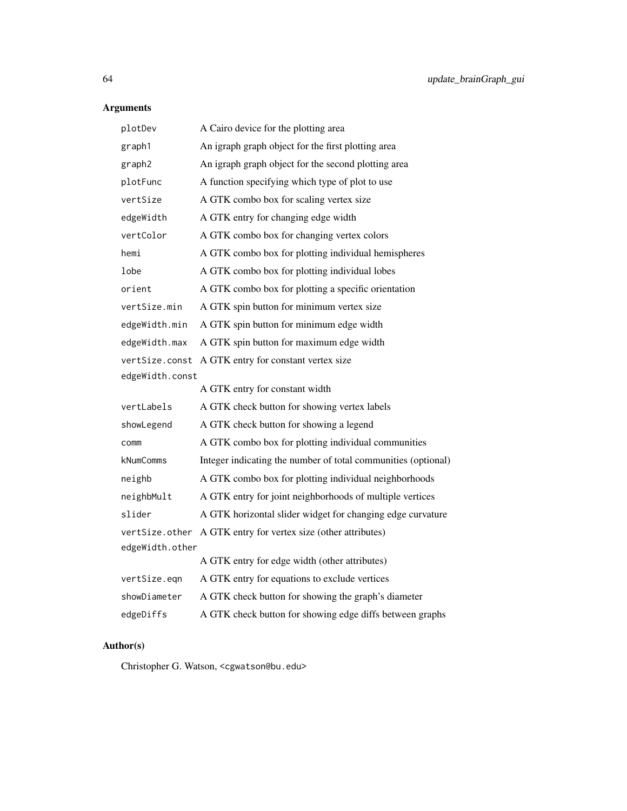## Arguments

| plotDev                                                   | A Cairo device for the plotting area                          |  |
|-----------------------------------------------------------|---------------------------------------------------------------|--|
| graph1                                                    | An igraph graph object for the first plotting area            |  |
| graph2                                                    | An igraph graph object for the second plotting area           |  |
| plotFunc                                                  | A function specifying which type of plot to use               |  |
| vertSize                                                  | A GTK combo box for scaling vertex size                       |  |
| edgeWidth                                                 | A GTK entry for changing edge width                           |  |
| vertColor                                                 | A GTK combo box for changing vertex colors                    |  |
| hemi                                                      | A GTK combo box for plotting individual hemispheres           |  |
| lobe                                                      | A GTK combo box for plotting individual lobes                 |  |
| orient                                                    | A GTK combo box for plotting a specific orientation           |  |
| A GTK spin button for minimum vertex size<br>vertSize.min |                                                               |  |
| edgeWidth.min                                             | A GTK spin button for minimum edge width                      |  |
| edgeWidth.max                                             | A GTK spin button for maximum edge width                      |  |
| vertSize.const                                            | A GTK entry for constant vertex size                          |  |
| edgeWidth.const                                           |                                                               |  |
|                                                           | A GTK entry for constant width                                |  |
| vertLabels                                                | A GTK check button for showing vertex labels                  |  |
| showLegend                                                | A GTK check button for showing a legend                       |  |
| comm                                                      | A GTK combo box for plotting individual communities           |  |
| kNumComms                                                 | Integer indicating the number of total communities (optional) |  |
| neighb                                                    | A GTK combo box for plotting individual neighborhoods         |  |
| neighbMult                                                | A GTK entry for joint neighborhoods of multiple vertices      |  |
| slider                                                    | A GTK horizontal slider widget for changing edge curvature    |  |
|                                                           | vertSize.other A GTK entry for vertex size (other attributes) |  |
| edgeWidth.other                                           |                                                               |  |
|                                                           | A GTK entry for edge width (other attributes)                 |  |
| vertSize.eqn                                              | A GTK entry for equations to exclude vertices                 |  |
| showDiameter                                              | A GTK check button for showing the graph's diameter           |  |
| edgeDiffs                                                 | A GTK check button for showing edge diffs between graphs      |  |

## Author(s)

Christopher G. Watson, <cgwatson@bu.edu>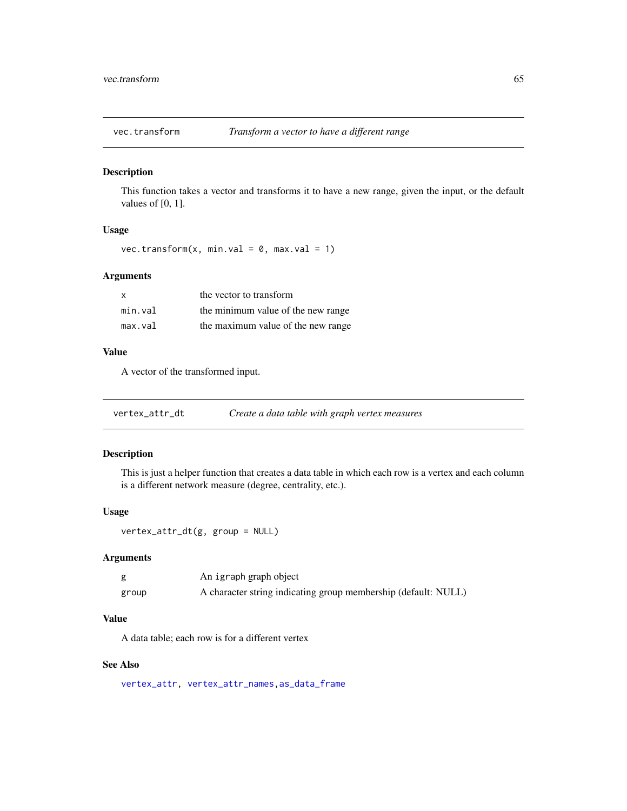<span id="page-64-0"></span>

This function takes a vector and transforms it to have a new range, given the input, or the default values of [0, 1].

## Usage

```
vec.transform(x, min.val = 0, max.val = 1)
```
## Arguments

| X       | the vector to transform            |
|---------|------------------------------------|
| min.val | the minimum value of the new range |
| max.val | the maximum value of the new range |

## Value

A vector of the transformed input.

| vertex_attr_dt |  | Create a data table with graph vertex measures |
|----------------|--|------------------------------------------------|
|----------------|--|------------------------------------------------|

## Description

This is just a helper function that creates a data table in which each row is a vertex and each column is a different network measure (degree, centrality, etc.).

## Usage

```
vertex_attr_dt(g, group = NULL)
```
## Arguments

|       | An igraph graph object                                         |
|-------|----------------------------------------------------------------|
| group | A character string indicating group membership (default: NULL) |

## Value

A data table; each row is for a different vertex

## See Also

[vertex\\_attr,](#page-0-0) [vertex\\_attr\\_names,as\\_data\\_frame](#page-0-0)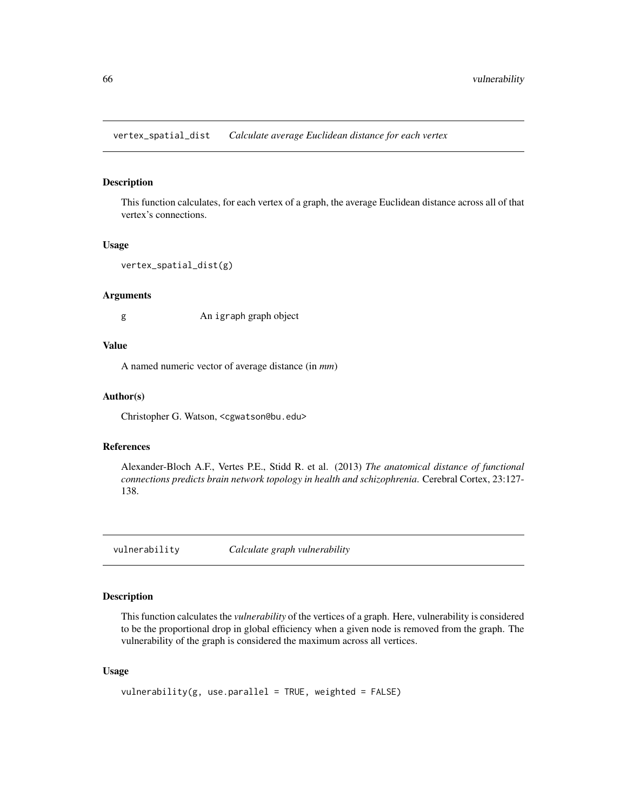<span id="page-65-2"></span><span id="page-65-0"></span>vertex\_spatial\_dist *Calculate average Euclidean distance for each vertex*

#### Description

This function calculates, for each vertex of a graph, the average Euclidean distance across all of that vertex's connections.

#### Usage

```
vertex_spatial_dist(g)
```
#### Arguments

g An igraph graph object

#### Value

A named numeric vector of average distance (in *mm*)

## Author(s)

Christopher G. Watson, <cgwatson@bu.edu>

#### References

Alexander-Bloch A.F., Vertes P.E., Stidd R. et al. (2013) *The anatomical distance of functional connections predicts brain network topology in health and schizophrenia*. Cerebral Cortex, 23:127- 138.

<span id="page-65-1"></span>vulnerability *Calculate graph vulnerability*

## Description

This function calculates the *vulnerability* of the vertices of a graph. Here, vulnerability is considered to be the proportional drop in global efficiency when a given node is removed from the graph. The vulnerability of the graph is considered the maximum across all vertices.

#### Usage

```
vulnerability(g, use.parallel = TRUE, weighted = FALSE)
```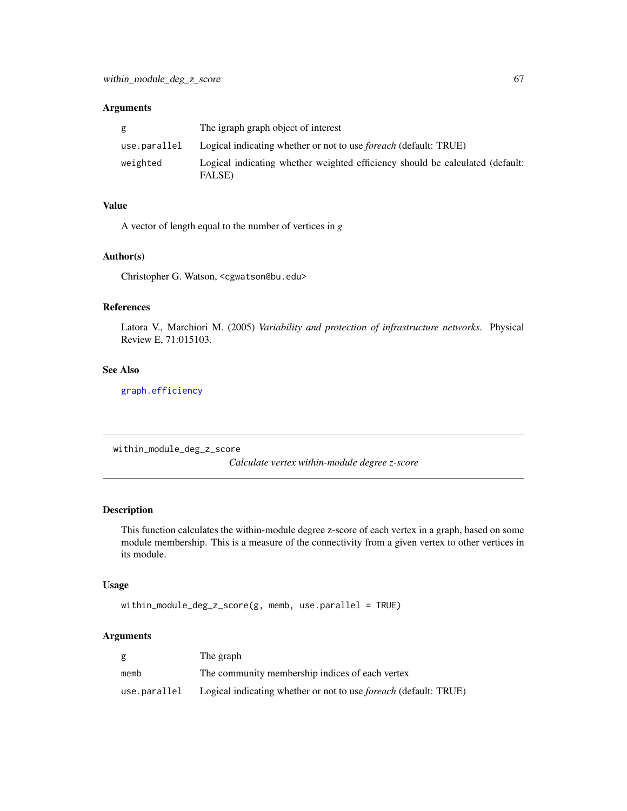## <span id="page-66-0"></span>Arguments

| g            | The igraph graph object of interest                                                     |
|--------------|-----------------------------------------------------------------------------------------|
| use.parallel | Logical indicating whether or not to use <i>foreach</i> (default: TRUE)                 |
| weighted     | Logical indicating whether weighted efficiency should be calculated (default:<br>FALSE) |

## Value

A vector of length equal to the number of vertices in *g*

#### Author(s)

Christopher G. Watson, <cgwatson@bu.edu>

## References

Latora V., Marchiori M. (2005) *Variability and protection of infrastructure networks*. Physical Review E, 71:015103.

#### See Also

[graph.efficiency](#page-31-1)

<span id="page-66-1"></span>within\_module\_deg\_z\_score

*Calculate vertex within-module degree z-score*

## Description

This function calculates the within-module degree z-score of each vertex in a graph, based on some module membership. This is a measure of the connectivity from a given vertex to other vertices in its module.

## Usage

```
within_module_deg_z_score(g, memb, use.parallel = TRUE)
```
## Arguments

| g            | The graph                                                               |
|--------------|-------------------------------------------------------------------------|
| memb         | The community membership indices of each vertex                         |
| use.parallel | Logical indicating whether or not to use <i>foreach</i> (default: TRUE) |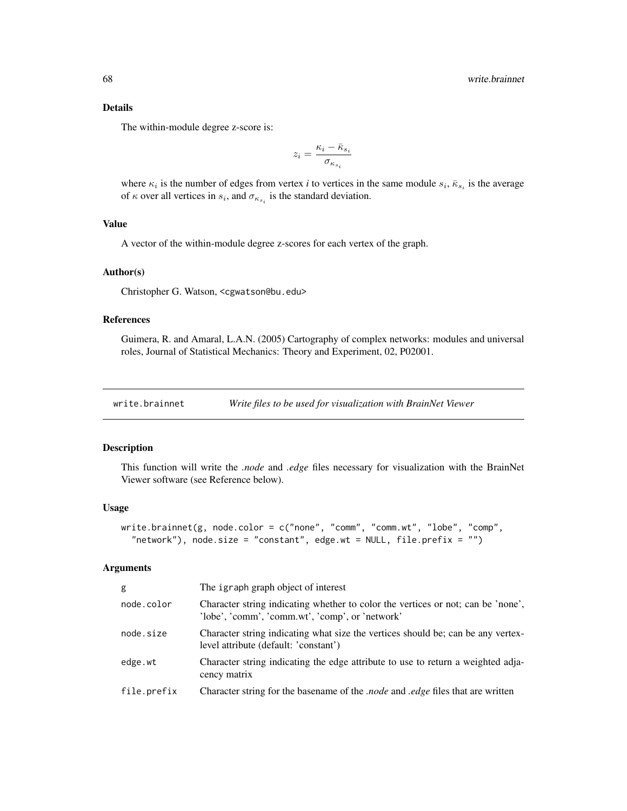<span id="page-67-0"></span>The within-module degree z-score is:

$$
z_i = \frac{\kappa_i - \bar\kappa_{s_i}}{\sigma_{\kappa_{s_i}}}
$$

where  $\kappa_i$  is the number of edges from vertex *i* to vertices in the same module  $s_i$ ,  $\bar{\kappa}_{s_i}$  is the average of  $\kappa$  over all vertices in  $s_i$ , and  $\sigma_{\kappa_{s_i}}$  is the standard deviation.

## Value

A vector of the within-module degree z-scores for each vertex of the graph.

## Author(s)

Christopher G. Watson, <cgwatson@bu.edu>

## References

Guimera, R. and Amaral, L.A.N. (2005) Cartography of complex networks: modules and universal roles, Journal of Statistical Mechanics: Theory and Experiment, 02, P02001.

```
write.brainnet Write files to be used for visualization with BrainNet Viewer
```
#### Description

This function will write the *.node* and *.edge* files necessary for visualization with the BrainNet Viewer software (see Reference below).

#### Usage

```
write.brainnet(g, node.color = c("none", "comm", "comm.wt", "lobe", "comp",
  "network"), node.size = "constant", edge.wt = NULL, file.prefix = "")
```
## Arguments

| g           | The igraph graph object of interest                                                                                                 |
|-------------|-------------------------------------------------------------------------------------------------------------------------------------|
| node.color  | Character string indicating whether to color the vertices or not; can be 'none',<br>'lobe', 'comm', 'comm.wt', 'comp', or 'network' |
| node.size   | Character string indicating what size the vertices should be; can be any vertex-<br>level attribute (default: 'constant')           |
| edge.wt     | Character string indicating the edge attribute to use to return a weighted adja-<br>cency matrix                                    |
| file.prefix | <i>Character string for the basename of the .node and .edge files that are written</i>                                              |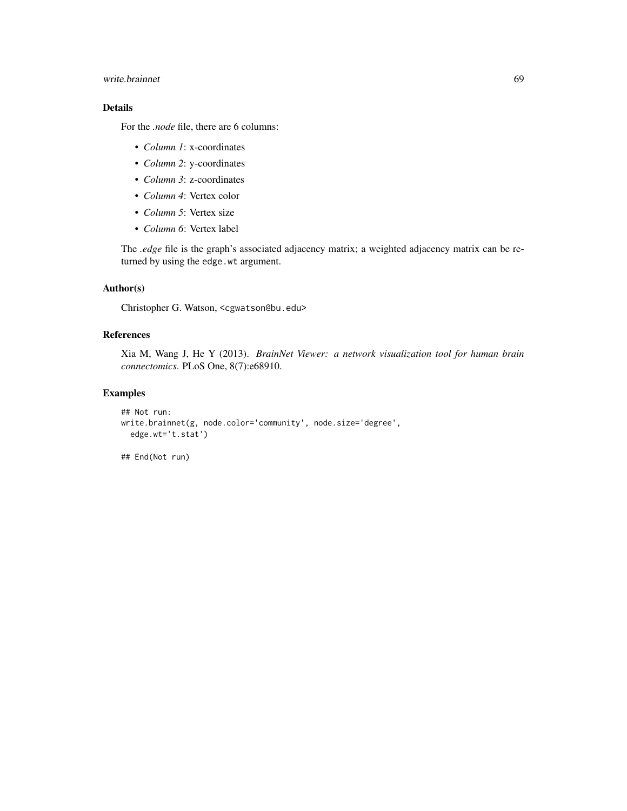## write.brainnet 69

## Details

For the *.node* file, there are 6 columns:

- *Column 1*: x-coordinates
- *Column 2*: y-coordinates
- *Column 3*: z-coordinates
- *Column 4*: Vertex color
- *Column 5*: Vertex size
- *Column 6*: Vertex label

The *.edge* file is the graph's associated adjacency matrix; a weighted adjacency matrix can be returned by using the edge.wt argument.

## Author(s)

Christopher G. Watson, <cgwatson@bu.edu>

## References

Xia M, Wang J, He Y (2013). *BrainNet Viewer: a network visualization tool for human brain connectomics*. PLoS One, 8(7):e68910.

## Examples

```
## Not run:
write.brainnet(g, node.color='community', node.size='degree',
  edge.wt='t.stat')
```
## End(Not run)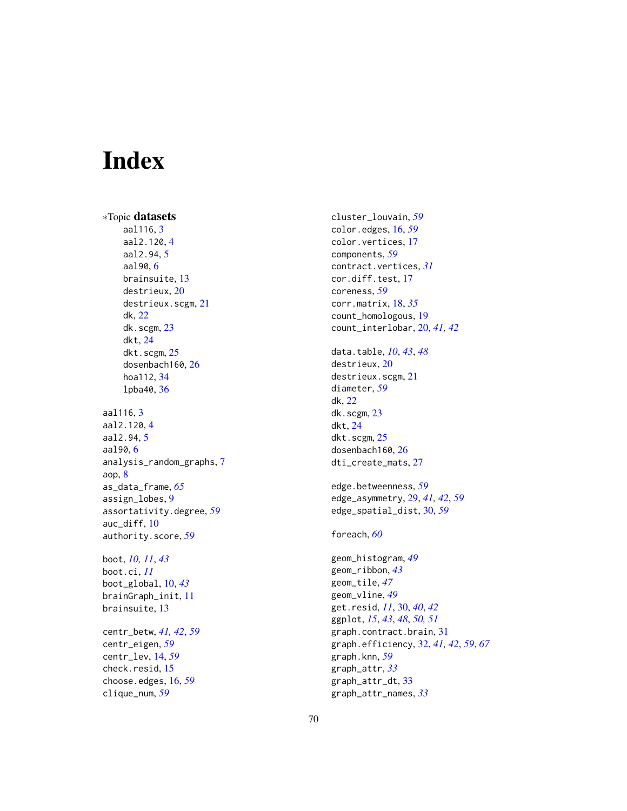# <span id="page-69-0"></span>Index

∗Topic datasets aal116, [3](#page-2-0) aal2.120, [4](#page-3-0) aal2.94, [5](#page-4-0) aal90, [6](#page-5-0) brainsuite, [13](#page-12-0) destrieux, [20](#page-19-0) destrieux.scgm, [21](#page-20-0) dk, [22](#page-21-0) dk.scgm, [23](#page-22-0) dkt, [24](#page-23-0) dkt.scgm, [25](#page-24-0) dosenbach160, [26](#page-25-0) hoa112, [34](#page-33-0) lpba40, [36](#page-35-0) aal116, [3](#page-2-0) aal2.120, [4](#page-3-0) aal2.94, [5](#page-4-0) aal90, [6](#page-5-0) analysis\_random\_graphs, [7](#page-6-0) aop, [8](#page-7-0) as\_data\_frame, *[65](#page-64-0)* assign\_lobes, [9](#page-8-0) assortativity.degree, *[59](#page-58-0)* auc\_diff, [10](#page-9-0) authority.score, *[59](#page-58-0)* boot, *[10,](#page-9-0) [11](#page-10-0)*, *[43](#page-42-0)* boot.ci, *[11](#page-10-0)* boot\_global, [10,](#page-9-0) *[43](#page-42-0)* brainGraph\_init, [11](#page-10-0) brainsuite, [13](#page-12-0) centr\_betw, *[41,](#page-40-0) [42](#page-41-0)*, *[59](#page-58-0)* centr\_eigen, *[59](#page-58-0)* centr\_lev, [14,](#page-13-0) *[59](#page-58-0)* check.resid, [15](#page-14-0) choose.edges, [16,](#page-15-0) *[59](#page-58-0)*

clique\_num, *[59](#page-58-0)*

cluster\_louvain, *[59](#page-58-0)* color.edges, [16,](#page-15-0) *[59](#page-58-0)* color.vertices, [17](#page-16-0) components, *[59](#page-58-0)* contract.vertices, *[31](#page-30-0)* cor.diff.test, [17](#page-16-0) coreness, *[59](#page-58-0)* corr.matrix, [18,](#page-17-0) *[35](#page-34-0)* count\_homologous, [19](#page-18-0) count\_interlobar, [20,](#page-19-0) *[41,](#page-40-0) [42](#page-41-0)* data.table, *[10](#page-9-0)*, *[43](#page-42-0)*, *[48](#page-47-0)* destrieux, [20](#page-19-0) destrieux.scgm, [21](#page-20-0) diameter, *[59](#page-58-0)* dk, [22](#page-21-0) dk.scgm, [23](#page-22-0) dkt, [24](#page-23-0) dkt.scgm, [25](#page-24-0) dosenbach160, [26](#page-25-0) dti\_create\_mats, [27](#page-26-0) edge.betweenness, *[59](#page-58-0)* edge\_asymmetry, [29,](#page-28-0) *[41,](#page-40-0) [42](#page-41-0)*, *[59](#page-58-0)* edge\_spatial\_dist, [30,](#page-29-0) *[59](#page-58-0)* foreach, *[60](#page-59-0)* geom\_histogram, *[49](#page-48-0)* geom\_ribbon, *[43](#page-42-0)* geom\_tile, *[47](#page-46-0)* geom\_vline, *[49](#page-48-0)* get.resid, *[11](#page-10-0)*, [30,](#page-29-0) *[40](#page-39-0)*, *[42](#page-41-0)* ggplot, *[15](#page-14-0)*, *[43](#page-42-0)*, *[48](#page-47-0)*, *[50,](#page-49-0) [51](#page-50-0)* graph.contract.brain, [31](#page-30-0) graph.efficiency, [32,](#page-31-0) *[41,](#page-40-0) [42](#page-41-0)*, *[59](#page-58-0)*, *[67](#page-66-0)* graph.knn, *[59](#page-58-0)* graph\_attr, *[33](#page-32-0)* graph\_attr\_dt, [33](#page-32-0) graph\_attr\_names, *[33](#page-32-0)*